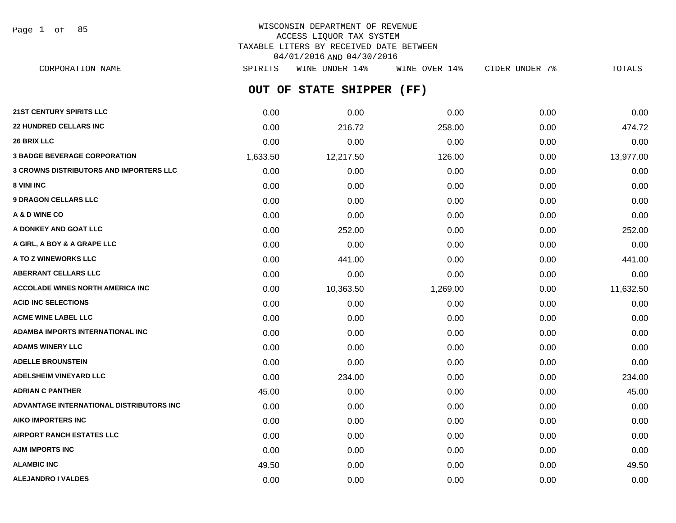Page 1 of 85

# WISCONSIN DEPARTMENT OF REVENUE ACCESS LIQUOR TAX SYSTEM TAXABLE LITERS BY RECEIVED DATE BETWEEN 04/01/2016 AND 04/30/2016

**OUT OF STATE SHIPPER (FF) 21ST CENTURY SPIRITS LLC** 0.00 0.00 0.00 0.00 0.00 **22 HUNDRED CELLARS INC** 0.00 216.72 258.00 0.00 474.72 CORPORATION NAME SPIRITS WINE UNDER 14% WINE OVER 14% CIDER UNDER 7% TOTALS

| 26 BRIX LLC                                    | 0.00     | 0.00      | 0.00     | 0.00 | 0.00      |
|------------------------------------------------|----------|-----------|----------|------|-----------|
| <b>3 BADGE BEVERAGE CORPORATION</b>            | 1,633.50 | 12,217.50 | 126.00   | 0.00 | 13,977.00 |
| <b>3 CROWNS DISTRIBUTORS AND IMPORTERS LLC</b> | 0.00     | 0.00      | 0.00     | 0.00 | 0.00      |
| 8 VINI INC                                     | 0.00     | 0.00      | 0.00     | 0.00 | 0.00      |
| <b>9 DRAGON CELLARS LLC</b>                    | 0.00     | 0.00      | 0.00     | 0.00 | 0.00      |
| A & D WINE CO                                  | 0.00     | 0.00      | 0.00     | 0.00 | 0.00      |
| A DONKEY AND GOAT LLC                          | 0.00     | 252.00    | 0.00     | 0.00 | 252.00    |
| A GIRL, A BOY & A GRAPE LLC                    | 0.00     | 0.00      | 0.00     | 0.00 | 0.00      |
| A TO Z WINEWORKS LLC                           | 0.00     | 441.00    | 0.00     | 0.00 | 441.00    |
| <b>ABERRANT CELLARS LLC</b>                    | 0.00     | 0.00      | 0.00     | 0.00 | 0.00      |
| <b>ACCOLADE WINES NORTH AMERICA INC.</b>       | 0.00     | 10,363.50 | 1,269.00 | 0.00 | 11,632.50 |
| <b>ACID INC SELECTIONS</b>                     | 0.00     | 0.00      | 0.00     | 0.00 | 0.00      |
| <b>ACME WINE LABEL LLC</b>                     | 0.00     | 0.00      | 0.00     | 0.00 | 0.00      |
| ADAMBA IMPORTS INTERNATIONAL INC               | 0.00     | 0.00      | 0.00     | 0.00 | 0.00      |
| <b>ADAMS WINERY LLC</b>                        | 0.00     | 0.00      | 0.00     | 0.00 | 0.00      |
| <b>ADELLE BROUNSTEIN</b>                       | 0.00     | 0.00      | 0.00     | 0.00 | 0.00      |
| <b>ADELSHEIM VINEYARD LLC</b>                  | 0.00     | 234.00    | 0.00     | 0.00 | 234.00    |
| <b>ADRIAN C PANTHER</b>                        | 45.00    | 0.00      | 0.00     | 0.00 | 45.00     |
| ADVANTAGE INTERNATIONAL DISTRIBUTORS INC       | 0.00     | 0.00      | 0.00     | 0.00 | 0.00      |
| <b>AIKO IMPORTERS INC</b>                      | 0.00     | 0.00      | 0.00     | 0.00 | 0.00      |
| <b>AIRPORT RANCH ESTATES LLC</b>               | 0.00     | 0.00      | 0.00     | 0.00 | 0.00      |
| <b>AJM IMPORTS INC</b>                         | 0.00     | 0.00      | 0.00     | 0.00 | 0.00      |
| <b>ALAMBIC INC</b>                             | 49.50    | 0.00      | 0.00     | 0.00 | 49.50     |
| <b>ALEJANDRO I VALDES</b>                      | 0.00     | 0.00      | 0.00     | 0.00 | 0.00      |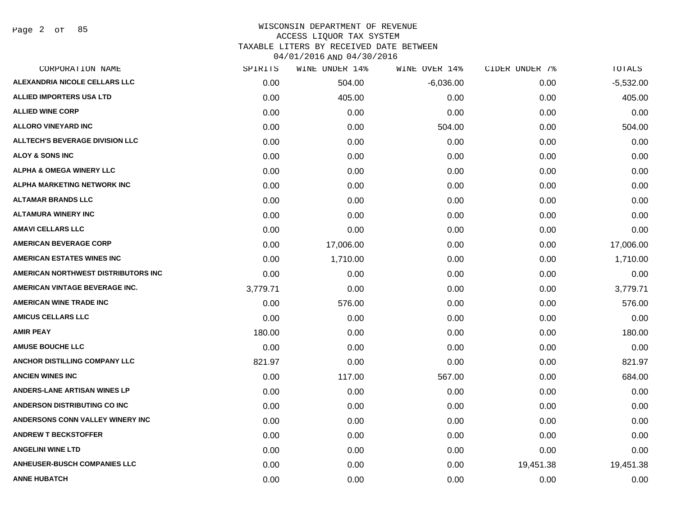Page 2 of 85

| CORPORATION NAME                       | SPIRITS  | WINE UNDER 14% | WINE OVER 14% | CIDER UNDER 7% | TOTALS      |
|----------------------------------------|----------|----------------|---------------|----------------|-------------|
| ALEXANDRIA NICOLE CELLARS LLC          | 0.00     | 504.00         | $-6,036.00$   | 0.00           | $-5,532.00$ |
| <b>ALLIED IMPORTERS USA LTD</b>        | 0.00     | 405.00         | 0.00          | 0.00           | 405.00      |
| <b>ALLIED WINE CORP</b>                | 0.00     | 0.00           | 0.00          | 0.00           | 0.00        |
| <b>ALLORO VINEYARD INC</b>             | 0.00     | 0.00           | 504.00        | 0.00           | 504.00      |
| <b>ALLTECH'S BEVERAGE DIVISION LLC</b> | 0.00     | 0.00           | 0.00          | 0.00           | 0.00        |
| <b>ALOY &amp; SONS INC</b>             | 0.00     | 0.00           | 0.00          | 0.00           | 0.00        |
| <b>ALPHA &amp; OMEGA WINERY LLC</b>    | 0.00     | 0.00           | 0.00          | 0.00           | 0.00        |
| <b>ALPHA MARKETING NETWORK INC</b>     | 0.00     | 0.00           | 0.00          | 0.00           | 0.00        |
| <b>ALTAMAR BRANDS LLC</b>              | 0.00     | 0.00           | 0.00          | 0.00           | 0.00        |
| <b>ALTAMURA WINERY INC</b>             | 0.00     | 0.00           | 0.00          | 0.00           | 0.00        |
| <b>AMAVI CELLARS LLC</b>               | 0.00     | 0.00           | 0.00          | 0.00           | 0.00        |
| <b>AMERICAN BEVERAGE CORP</b>          | 0.00     | 17,006.00      | 0.00          | 0.00           | 17,006.00   |
| <b>AMERICAN ESTATES WINES INC</b>      | 0.00     | 1,710.00       | 0.00          | 0.00           | 1,710.00    |
| AMERICAN NORTHWEST DISTRIBUTORS INC    | 0.00     | 0.00           | 0.00          | 0.00           | 0.00        |
| <b>AMERICAN VINTAGE BEVERAGE INC.</b>  | 3,779.71 | 0.00           | 0.00          | 0.00           | 3,779.71    |
| <b>AMERICAN WINE TRADE INC</b>         | 0.00     | 576.00         | 0.00          | 0.00           | 576.00      |
| <b>AMICUS CELLARS LLC</b>              | 0.00     | 0.00           | 0.00          | 0.00           | 0.00        |
| <b>AMIR PEAY</b>                       | 180.00   | 0.00           | 0.00          | 0.00           | 180.00      |
| <b>AMUSE BOUCHE LLC</b>                | 0.00     | 0.00           | 0.00          | 0.00           | 0.00        |
| ANCHOR DISTILLING COMPANY LLC          | 821.97   | 0.00           | 0.00          | 0.00           | 821.97      |
| <b>ANCIEN WINES INC</b>                | 0.00     | 117.00         | 567.00        | 0.00           | 684.00      |
| <b>ANDERS-LANE ARTISAN WINES LP</b>    | 0.00     | 0.00           | 0.00          | 0.00           | 0.00        |
| <b>ANDERSON DISTRIBUTING CO INC</b>    | 0.00     | 0.00           | 0.00          | 0.00           | 0.00        |
| ANDERSONS CONN VALLEY WINERY INC       | 0.00     | 0.00           | 0.00          | 0.00           | 0.00        |
| <b>ANDREW T BECKSTOFFER</b>            | 0.00     | 0.00           | 0.00          | 0.00           | 0.00        |
| <b>ANGELINI WINE LTD</b>               | 0.00     | 0.00           | 0.00          | 0.00           | 0.00        |
| <b>ANHEUSER-BUSCH COMPANIES LLC</b>    | 0.00     | 0.00           | 0.00          | 19,451.38      | 19,451.38   |
| <b>ANNE HUBATCH</b>                    | 0.00     | 0.00           | 0.00          | 0.00           | 0.00        |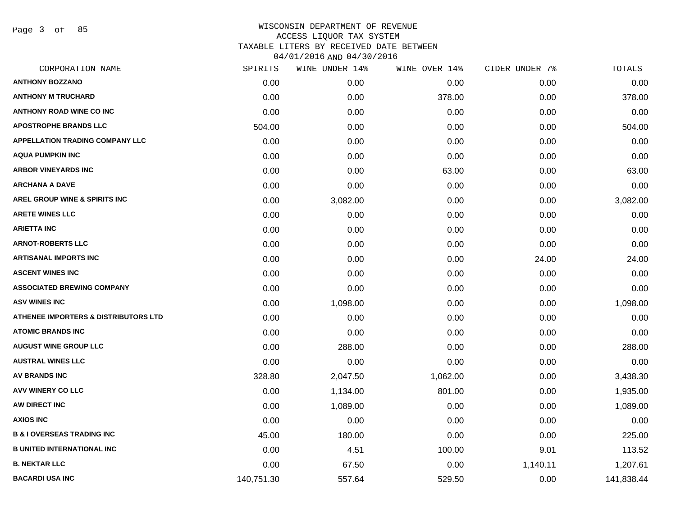Page 3 of 85

|            | WINE UNDER 14% |          | CIDER UNDER 7% | TOTALS     |
|------------|----------------|----------|----------------|------------|
| 0.00       | 0.00           | 0.00     | 0.00           | 0.00       |
| 0.00       | 0.00           | 378.00   | 0.00           | 378.00     |
| 0.00       | 0.00           | 0.00     | 0.00           | 0.00       |
| 504.00     | 0.00           | 0.00     | 0.00           | 504.00     |
| 0.00       | 0.00           | 0.00     | 0.00           | 0.00       |
| 0.00       | 0.00           | 0.00     | 0.00           | 0.00       |
| 0.00       | 0.00           | 63.00    | 0.00           | 63.00      |
| 0.00       | 0.00           | 0.00     | 0.00           | 0.00       |
| 0.00       | 3,082.00       | 0.00     | 0.00           | 3,082.00   |
| 0.00       | 0.00           | 0.00     | 0.00           | 0.00       |
| 0.00       | 0.00           | 0.00     | 0.00           | 0.00       |
| 0.00       | 0.00           | 0.00     | 0.00           | 0.00       |
| 0.00       | 0.00           | 0.00     | 24.00          | 24.00      |
| 0.00       | 0.00           | 0.00     | 0.00           | 0.00       |
| 0.00       | 0.00           | 0.00     | 0.00           | 0.00       |
| 0.00       | 1,098.00       | 0.00     | 0.00           | 1,098.00   |
| 0.00       | 0.00           | 0.00     | 0.00           | 0.00       |
| 0.00       | 0.00           | 0.00     | 0.00           | 0.00       |
| 0.00       | 288.00         | 0.00     | 0.00           | 288.00     |
| 0.00       | 0.00           | 0.00     | 0.00           | 0.00       |
| 328.80     | 2,047.50       | 1,062.00 | 0.00           | 3,438.30   |
| 0.00       | 1,134.00       | 801.00   | 0.00           | 1,935.00   |
| 0.00       | 1,089.00       | 0.00     | 0.00           | 1,089.00   |
| 0.00       | 0.00           | 0.00     | 0.00           | 0.00       |
| 45.00      | 180.00         | 0.00     | 0.00           | 225.00     |
| 0.00       | 4.51           | 100.00   | 9.01           | 113.52     |
| 0.00       | 67.50          | 0.00     | 1,140.11       | 1,207.61   |
| 140,751.30 | 557.64         | 529.50   | 0.00           | 141,838.44 |
|            | SPIRITS        |          | WINE OVER 14%  |            |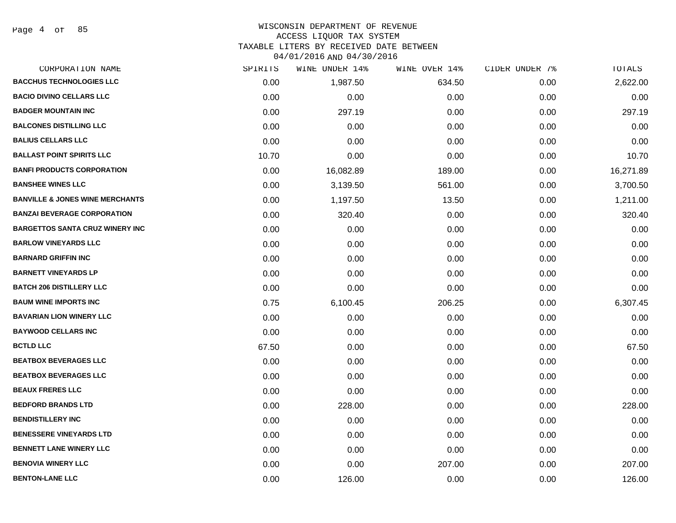#### WISCONSIN DEPARTMENT OF REVENUE ACCESS LIQUOR TAX SYSTEM TAXABLE LITERS BY RECEIVED DATE BETWEEN

04/01/2016 AND 04/30/2016

| CORPORATION NAME                           | SPIRITS | WINE UNDER 14% | WINE OVER 14% | CIDER UNDER 7% | TOTALS    |
|--------------------------------------------|---------|----------------|---------------|----------------|-----------|
| <b>BACCHUS TECHNOLOGIES LLC</b>            | 0.00    | 1,987.50       | 634.50        | 0.00           | 2,622.00  |
| <b>BACIO DIVINO CELLARS LLC</b>            | 0.00    | 0.00           | 0.00          | 0.00           | 0.00      |
| <b>BADGER MOUNTAIN INC</b>                 | 0.00    | 297.19         | 0.00          | 0.00           | 297.19    |
| <b>BALCONES DISTILLING LLC</b>             | 0.00    | 0.00           | 0.00          | 0.00           | 0.00      |
| <b>BALIUS CELLARS LLC</b>                  | 0.00    | 0.00           | 0.00          | 0.00           | 0.00      |
| <b>BALLAST POINT SPIRITS LLC</b>           | 10.70   | 0.00           | 0.00          | 0.00           | 10.70     |
| <b>BANFI PRODUCTS CORPORATION</b>          | 0.00    | 16,082.89      | 189.00        | 0.00           | 16,271.89 |
| <b>BANSHEE WINES LLC</b>                   | 0.00    | 3,139.50       | 561.00        | 0.00           | 3,700.50  |
| <b>BANVILLE &amp; JONES WINE MERCHANTS</b> | 0.00    | 1,197.50       | 13.50         | 0.00           | 1,211.00  |
| <b>BANZAI BEVERAGE CORPORATION</b>         | 0.00    | 320.40         | 0.00          | 0.00           | 320.40    |
| <b>BARGETTOS SANTA CRUZ WINERY INC</b>     | 0.00    | 0.00           | 0.00          | 0.00           | 0.00      |
| <b>BARLOW VINEYARDS LLC</b>                | 0.00    | 0.00           | 0.00          | 0.00           | 0.00      |
| <b>BARNARD GRIFFIN INC</b>                 | 0.00    | 0.00           | 0.00          | 0.00           | 0.00      |
| <b>BARNETT VINEYARDS LP</b>                | 0.00    | 0.00           | 0.00          | 0.00           | 0.00      |
| <b>BATCH 206 DISTILLERY LLC</b>            | 0.00    | 0.00           | 0.00          | 0.00           | 0.00      |
| <b>BAUM WINE IMPORTS INC</b>               | 0.75    | 6,100.45       | 206.25        | 0.00           | 6,307.45  |
| <b>BAVARIAN LION WINERY LLC</b>            | 0.00    | 0.00           | 0.00          | 0.00           | 0.00      |
| <b>BAYWOOD CELLARS INC</b>                 | 0.00    | 0.00           | 0.00          | 0.00           | 0.00      |
| <b>BCTLD LLC</b>                           | 67.50   | 0.00           | 0.00          | 0.00           | 67.50     |
| <b>BEATBOX BEVERAGES LLC</b>               | 0.00    | 0.00           | 0.00          | 0.00           | 0.00      |
| <b>BEATBOX BEVERAGES LLC</b>               | 0.00    | 0.00           | 0.00          | 0.00           | 0.00      |
| <b>BEAUX FRERES LLC</b>                    | 0.00    | 0.00           | 0.00          | 0.00           | 0.00      |
| <b>BEDFORD BRANDS LTD</b>                  | 0.00    | 228.00         | 0.00          | 0.00           | 228.00    |
| <b>BENDISTILLERY INC</b>                   | 0.00    | 0.00           | 0.00          | 0.00           | 0.00      |
| <b>BENESSERE VINEYARDS LTD</b>             | 0.00    | 0.00           | 0.00          | 0.00           | 0.00      |
| <b>BENNETT LANE WINERY LLC</b>             | 0.00    | 0.00           | 0.00          | 0.00           | 0.00      |
| <b>BENOVIA WINERY LLC</b>                  | 0.00    | 0.00           | 207.00        | 0.00           | 207.00    |
| <b>BENTON-LANE LLC</b>                     | 0.00    | 126.00         | 0.00          | 0.00           | 126.00    |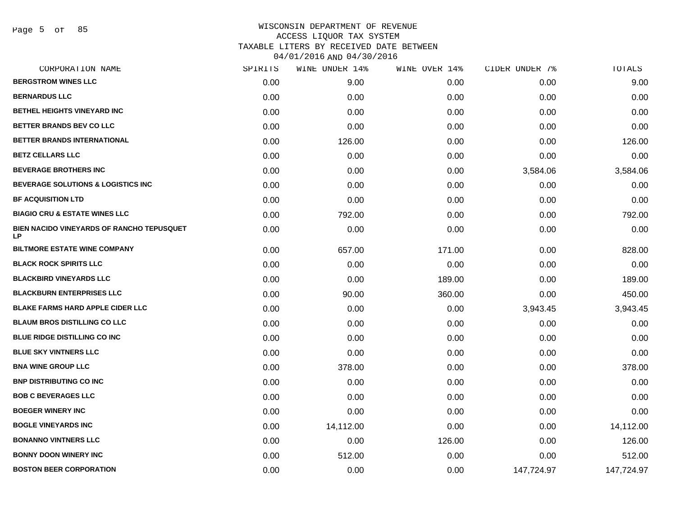| SPIRITS | WINE UNDER 14% | WINE OVER 14% | CIDER UNDER 7% | TOTALS     |
|---------|----------------|---------------|----------------|------------|
| 0.00    | 9.00           | 0.00          | 0.00           | 9.00       |
| 0.00    | 0.00           | 0.00          | 0.00           | 0.00       |
| 0.00    | 0.00           | 0.00          | 0.00           | 0.00       |
| 0.00    | 0.00           | 0.00          | 0.00           | 0.00       |
| 0.00    | 126.00         | 0.00          | 0.00           | 126.00     |
| 0.00    | 0.00           | 0.00          | 0.00           | 0.00       |
| 0.00    | 0.00           | 0.00          | 3,584.06       | 3,584.06   |
| 0.00    | 0.00           | 0.00          | 0.00           | 0.00       |
| 0.00    | 0.00           | 0.00          | 0.00           | 0.00       |
| 0.00    | 792.00         | 0.00          | 0.00           | 792.00     |
| 0.00    | 0.00           | 0.00          | 0.00           | 0.00       |
| 0.00    | 657.00         | 171.00        | 0.00           | 828.00     |
| 0.00    | 0.00           | 0.00          | 0.00           | 0.00       |
| 0.00    | 0.00           | 189.00        | 0.00           | 189.00     |
| 0.00    | 90.00          | 360.00        | 0.00           | 450.00     |
| 0.00    | 0.00           | 0.00          | 3,943.45       | 3,943.45   |
| 0.00    | 0.00           | 0.00          | 0.00           | 0.00       |
| 0.00    | 0.00           | 0.00          | 0.00           | 0.00       |
| 0.00    | 0.00           | 0.00          | 0.00           | 0.00       |
| 0.00    | 378.00         | 0.00          | 0.00           | 378.00     |
| 0.00    | 0.00           | 0.00          | 0.00           | 0.00       |
| 0.00    | 0.00           | 0.00          | 0.00           | 0.00       |
| 0.00    | 0.00           | 0.00          | 0.00           | 0.00       |
| 0.00    | 14,112.00      | 0.00          | 0.00           | 14,112.00  |
| 0.00    | 0.00           | 126.00        | 0.00           | 126.00     |
| 0.00    | 512.00         | 0.00          | 0.00           | 512.00     |
| 0.00    | 0.00           | 0.00          | 147,724.97     | 147,724.97 |
|         |                |               |                |            |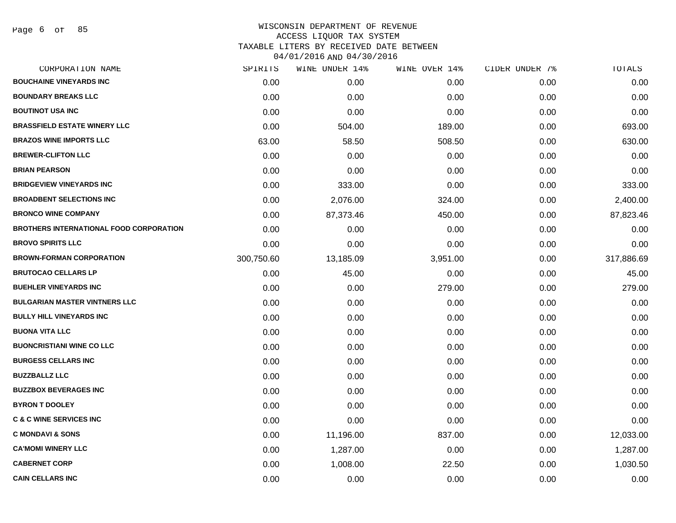| CORPORATION NAME                               | SPIRITS    | WINE UNDER 14% | WINE OVER 14% | CIDER UNDER 7% | TOTALS     |
|------------------------------------------------|------------|----------------|---------------|----------------|------------|
| <b>BOUCHAINE VINEYARDS INC</b>                 | 0.00       | 0.00           | 0.00          | 0.00           | 0.00       |
| <b>BOUNDARY BREAKS LLC</b>                     | 0.00       | 0.00           | 0.00          | 0.00           | 0.00       |
| <b>BOUTINOT USA INC</b>                        | 0.00       | 0.00           | 0.00          | 0.00           | 0.00       |
| <b>BRASSFIELD ESTATE WINERY LLC</b>            | 0.00       | 504.00         | 189.00        | 0.00           | 693.00     |
| <b>BRAZOS WINE IMPORTS LLC</b>                 | 63.00      | 58.50          | 508.50        | 0.00           | 630.00     |
| <b>BREWER-CLIFTON LLC</b>                      | 0.00       | 0.00           | 0.00          | 0.00           | 0.00       |
| <b>BRIAN PEARSON</b>                           | 0.00       | 0.00           | 0.00          | 0.00           | 0.00       |
| <b>BRIDGEVIEW VINEYARDS INC</b>                | 0.00       | 333.00         | 0.00          | 0.00           | 333.00     |
| <b>BROADBENT SELECTIONS INC</b>                | 0.00       | 2,076.00       | 324.00        | 0.00           | 2,400.00   |
| <b>BRONCO WINE COMPANY</b>                     | 0.00       | 87,373.46      | 450.00        | 0.00           | 87,823.46  |
| <b>BROTHERS INTERNATIONAL FOOD CORPORATION</b> | 0.00       | 0.00           | 0.00          | 0.00           | 0.00       |
| <b>BROVO SPIRITS LLC</b>                       | 0.00       | 0.00           | 0.00          | 0.00           | 0.00       |
| <b>BROWN-FORMAN CORPORATION</b>                | 300,750.60 | 13,185.09      | 3,951.00      | 0.00           | 317,886.69 |
| <b>BRUTOCAO CELLARS LP</b>                     | 0.00       | 45.00          | 0.00          | 0.00           | 45.00      |
| <b>BUEHLER VINEYARDS INC</b>                   | 0.00       | 0.00           | 279.00        | 0.00           | 279.00     |
| <b>BULGARIAN MASTER VINTNERS LLC</b>           | 0.00       | 0.00           | 0.00          | 0.00           | 0.00       |
| <b>BULLY HILL VINEYARDS INC</b>                | 0.00       | 0.00           | 0.00          | 0.00           | 0.00       |
| <b>BUONA VITA LLC</b>                          | 0.00       | 0.00           | 0.00          | 0.00           | 0.00       |
| <b>BUONCRISTIANI WINE CO LLC</b>               | 0.00       | 0.00           | 0.00          | 0.00           | 0.00       |
| <b>BURGESS CELLARS INC</b>                     | 0.00       | 0.00           | 0.00          | 0.00           | 0.00       |
| <b>BUZZBALLZ LLC</b>                           | 0.00       | 0.00           | 0.00          | 0.00           | 0.00       |
| <b>BUZZBOX BEVERAGES INC</b>                   | 0.00       | 0.00           | 0.00          | 0.00           | 0.00       |
| <b>BYRON T DOOLEY</b>                          | 0.00       | 0.00           | 0.00          | 0.00           | 0.00       |
| <b>C &amp; C WINE SERVICES INC</b>             | 0.00       | 0.00           | 0.00          | 0.00           | 0.00       |
| <b>C MONDAVI &amp; SONS</b>                    | 0.00       | 11,196.00      | 837.00        | 0.00           | 12,033.00  |
| <b>CA'MOMI WINERY LLC</b>                      | 0.00       | 1,287.00       | 0.00          | 0.00           | 1,287.00   |
| <b>CABERNET CORP</b>                           | 0.00       | 1,008.00       | 22.50         | 0.00           | 1,030.50   |
| <b>CAIN CELLARS INC</b>                        | 0.00       | 0.00           | 0.00          | 0.00           | 0.00       |
|                                                |            |                |               |                |            |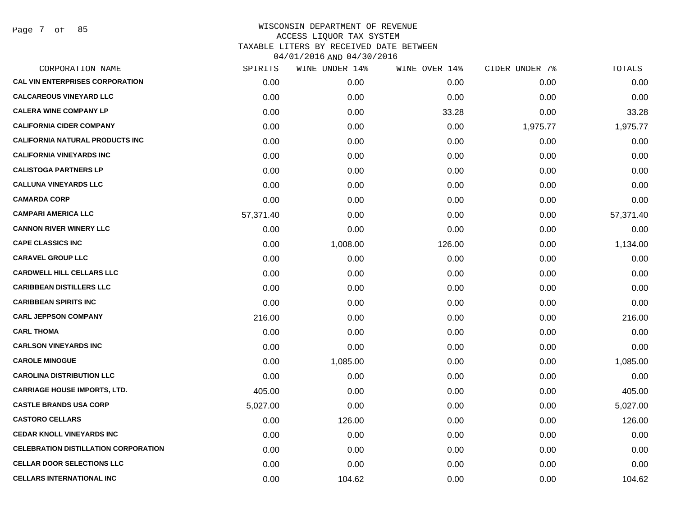Page 7 of 85

| CORPORATION NAME                            | SPIRITS   | WINE UNDER 14% | WINE OVER 14% | CIDER UNDER 7% | TOTALS    |
|---------------------------------------------|-----------|----------------|---------------|----------------|-----------|
| <b>CAL VIN ENTERPRISES CORPORATION</b>      | 0.00      | 0.00           | 0.00          | 0.00           | 0.00      |
| <b>CALCAREOUS VINEYARD LLC</b>              | 0.00      | 0.00           | 0.00          | 0.00           | 0.00      |
| <b>CALERA WINE COMPANY LP</b>               | 0.00      | 0.00           | 33.28         | 0.00           | 33.28     |
| <b>CALIFORNIA CIDER COMPANY</b>             | 0.00      | 0.00           | 0.00          | 1,975.77       | 1,975.77  |
| <b>CALIFORNIA NATURAL PRODUCTS INC</b>      | 0.00      | 0.00           | 0.00          | 0.00           | 0.00      |
| <b>CALIFORNIA VINEYARDS INC</b>             | 0.00      | 0.00           | 0.00          | 0.00           | 0.00      |
| <b>CALISTOGA PARTNERS LP</b>                | 0.00      | 0.00           | 0.00          | 0.00           | 0.00      |
| <b>CALLUNA VINEYARDS LLC</b>                | 0.00      | 0.00           | 0.00          | 0.00           | 0.00      |
| <b>CAMARDA CORP</b>                         | 0.00      | 0.00           | 0.00          | 0.00           | 0.00      |
| <b>CAMPARI AMERICA LLC</b>                  | 57,371.40 | 0.00           | 0.00          | 0.00           | 57,371.40 |
| <b>CANNON RIVER WINERY LLC</b>              | 0.00      | 0.00           | 0.00          | 0.00           | 0.00      |
| <b>CAPE CLASSICS INC</b>                    | 0.00      | 1,008.00       | 126.00        | 0.00           | 1,134.00  |
| <b>CARAVEL GROUP LLC</b>                    | 0.00      | 0.00           | 0.00          | 0.00           | 0.00      |
| <b>CARDWELL HILL CELLARS LLC</b>            | 0.00      | 0.00           | 0.00          | 0.00           | 0.00      |
| <b>CARIBBEAN DISTILLERS LLC</b>             | 0.00      | 0.00           | 0.00          | 0.00           | 0.00      |
| <b>CARIBBEAN SPIRITS INC</b>                | 0.00      | 0.00           | 0.00          | 0.00           | 0.00      |
| <b>CARL JEPPSON COMPANY</b>                 | 216.00    | 0.00           | 0.00          | 0.00           | 216.00    |
| <b>CARL THOMA</b>                           | 0.00      | 0.00           | 0.00          | 0.00           | 0.00      |
| <b>CARLSON VINEYARDS INC</b>                | 0.00      | 0.00           | 0.00          | 0.00           | 0.00      |
| <b>CAROLE MINOGUE</b>                       | 0.00      | 1,085.00       | 0.00          | 0.00           | 1,085.00  |
| <b>CAROLINA DISTRIBUTION LLC</b>            | 0.00      | 0.00           | 0.00          | 0.00           | 0.00      |
| <b>CARRIAGE HOUSE IMPORTS, LTD.</b>         | 405.00    | 0.00           | 0.00          | 0.00           | 405.00    |
| <b>CASTLE BRANDS USA CORP</b>               | 5,027.00  | 0.00           | 0.00          | 0.00           | 5,027.00  |
| <b>CASTORO CELLARS</b>                      | 0.00      | 126.00         | 0.00          | 0.00           | 126.00    |
| <b>CEDAR KNOLL VINEYARDS INC</b>            | 0.00      | 0.00           | 0.00          | 0.00           | 0.00      |
| <b>CELEBRATION DISTILLATION CORPORATION</b> | 0.00      | 0.00           | 0.00          | 0.00           | 0.00      |
| <b>CELLAR DOOR SELECTIONS LLC</b>           | 0.00      | 0.00           | 0.00          | 0.00           | 0.00      |
| <b>CELLARS INTERNATIONAL INC</b>            | 0.00      | 104.62         | 0.00          | 0.00           | 104.62    |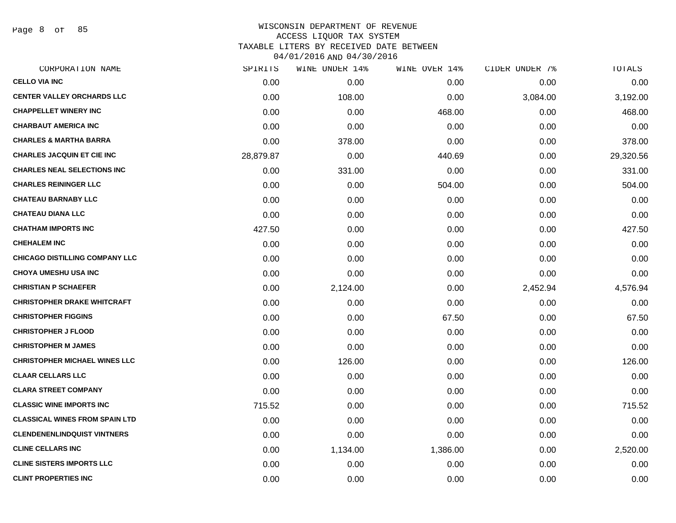Page 8 of 85

| SPIRITS   | WINE UNDER 14% |          |               | TOTALS         |
|-----------|----------------|----------|---------------|----------------|
| 0.00      | 0.00           | 0.00     | 0.00          | 0.00           |
| 0.00      | 108.00         | 0.00     | 3,084.00      | 3,192.00       |
| 0.00      | 0.00           | 468.00   | 0.00          | 468.00         |
| 0.00      | 0.00           | 0.00     | 0.00          | 0.00           |
| 0.00      | 378.00         | 0.00     | 0.00          | 378.00         |
| 28,879.87 | 0.00           | 440.69   | 0.00          | 29,320.56      |
| 0.00      | 331.00         | 0.00     | 0.00          | 331.00         |
| 0.00      | 0.00           | 504.00   | 0.00          | 504.00         |
| 0.00      | 0.00           | 0.00     | 0.00          | 0.00           |
| 0.00      | 0.00           | 0.00     | 0.00          | 0.00           |
| 427.50    | 0.00           | 0.00     | 0.00          | 427.50         |
| 0.00      | 0.00           | 0.00     | 0.00          | 0.00           |
| 0.00      | 0.00           | 0.00     | 0.00          | 0.00           |
| 0.00      | 0.00           | 0.00     | 0.00          | 0.00           |
| 0.00      | 2,124.00       | 0.00     | 2,452.94      | 4,576.94       |
| 0.00      | 0.00           | 0.00     | 0.00          | 0.00           |
| 0.00      | 0.00           | 67.50    | 0.00          | 67.50          |
| 0.00      | 0.00           | 0.00     | 0.00          | 0.00           |
| 0.00      | 0.00           | 0.00     | 0.00          | 0.00           |
| 0.00      | 126.00         | 0.00     | 0.00          | 126.00         |
| 0.00      | 0.00           | 0.00     | 0.00          | 0.00           |
| 0.00      | 0.00           | 0.00     | 0.00          | 0.00           |
| 715.52    | 0.00           | 0.00     | 0.00          | 715.52         |
| 0.00      | 0.00           | 0.00     | 0.00          | 0.00           |
| 0.00      | 0.00           | 0.00     | 0.00          | 0.00           |
| 0.00      | 1,134.00       | 1,386.00 | 0.00          | 2,520.00       |
| 0.00      | 0.00           | 0.00     | 0.00          | 0.00           |
| 0.00      | 0.00           | 0.00     | 0.00          | 0.00           |
|           |                |          | WINE OVER 14% | CIDER UNDER 7% |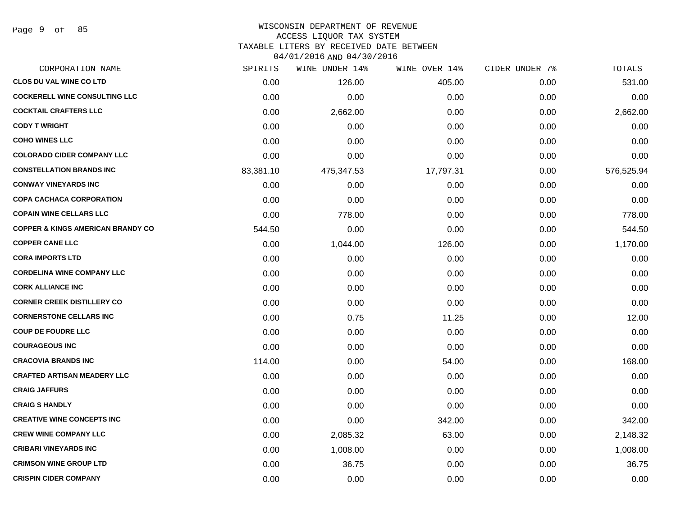#### WISCONSIN DEPARTMENT OF REVENUE ACCESS LIQUOR TAX SYSTEM TAXABLE LITERS BY RECEIVED DATE BETWEEN

04/01/2016 AND 04/30/2016

| CORPORATION NAME                             | SPIRITS   | WINE UNDER 14% | WINE OVER 14% | CIDER UNDER 7% | TOTALS     |
|----------------------------------------------|-----------|----------------|---------------|----------------|------------|
| <b>CLOS DU VAL WINE CO LTD</b>               | 0.00      | 126.00         | 405.00        | 0.00           | 531.00     |
| <b>COCKERELL WINE CONSULTING LLC</b>         | 0.00      | 0.00           | 0.00          | 0.00           | 0.00       |
| <b>COCKTAIL CRAFTERS LLC</b>                 | 0.00      | 2,662.00       | 0.00          | 0.00           | 2,662.00   |
| <b>CODY T WRIGHT</b>                         | 0.00      | 0.00           | 0.00          | 0.00           | 0.00       |
| <b>COHO WINES LLC</b>                        | 0.00      | 0.00           | 0.00          | 0.00           | 0.00       |
| <b>COLORADO CIDER COMPANY LLC</b>            | 0.00      | 0.00           | 0.00          | 0.00           | 0.00       |
| <b>CONSTELLATION BRANDS INC</b>              | 83,381.10 | 475,347.53     | 17,797.31     | 0.00           | 576,525.94 |
| <b>CONWAY VINEYARDS INC</b>                  | 0.00      | 0.00           | 0.00          | 0.00           | 0.00       |
| <b>COPA CACHACA CORPORATION</b>              | 0.00      | 0.00           | 0.00          | 0.00           | 0.00       |
| <b>COPAIN WINE CELLARS LLC</b>               | 0.00      | 778.00         | 0.00          | 0.00           | 778.00     |
| <b>COPPER &amp; KINGS AMERICAN BRANDY CO</b> | 544.50    | 0.00           | 0.00          | 0.00           | 544.50     |
| <b>COPPER CANE LLC</b>                       | 0.00      | 1,044.00       | 126.00        | 0.00           | 1,170.00   |
| <b>CORA IMPORTS LTD</b>                      | 0.00      | 0.00           | 0.00          | 0.00           | 0.00       |
| <b>CORDELINA WINE COMPANY LLC</b>            | 0.00      | 0.00           | 0.00          | 0.00           | 0.00       |
| <b>CORK ALLIANCE INC</b>                     | 0.00      | 0.00           | 0.00          | 0.00           | 0.00       |
| <b>CORNER CREEK DISTILLERY CO</b>            | 0.00      | 0.00           | 0.00          | 0.00           | 0.00       |
| <b>CORNERSTONE CELLARS INC</b>               | 0.00      | 0.75           | 11.25         | 0.00           | 12.00      |
| <b>COUP DE FOUDRE LLC</b>                    | 0.00      | 0.00           | 0.00          | 0.00           | 0.00       |
| <b>COURAGEOUS INC</b>                        | 0.00      | 0.00           | 0.00          | 0.00           | 0.00       |
| <b>CRACOVIA BRANDS INC</b>                   | 114.00    | 0.00           | 54.00         | 0.00           | 168.00     |
| <b>CRAFTED ARTISAN MEADERY LLC</b>           | 0.00      | 0.00           | 0.00          | 0.00           | 0.00       |
| <b>CRAIG JAFFURS</b>                         | 0.00      | 0.00           | 0.00          | 0.00           | 0.00       |
| <b>CRAIG S HANDLY</b>                        | 0.00      | 0.00           | 0.00          | 0.00           | 0.00       |
| <b>CREATIVE WINE CONCEPTS INC</b>            | 0.00      | 0.00           | 342.00        | 0.00           | 342.00     |
| <b>CREW WINE COMPANY LLC</b>                 | 0.00      | 2,085.32       | 63.00         | 0.00           | 2,148.32   |
| <b>CRIBARI VINEYARDS INC</b>                 | 0.00      | 1,008.00       | 0.00          | 0.00           | 1,008.00   |
| <b>CRIMSON WINE GROUP LTD</b>                | 0.00      | 36.75          | 0.00          | 0.00           | 36.75      |
| <b>CRISPIN CIDER COMPANY</b>                 | 0.00      | 0.00           | 0.00          | 0.00           | 0.00       |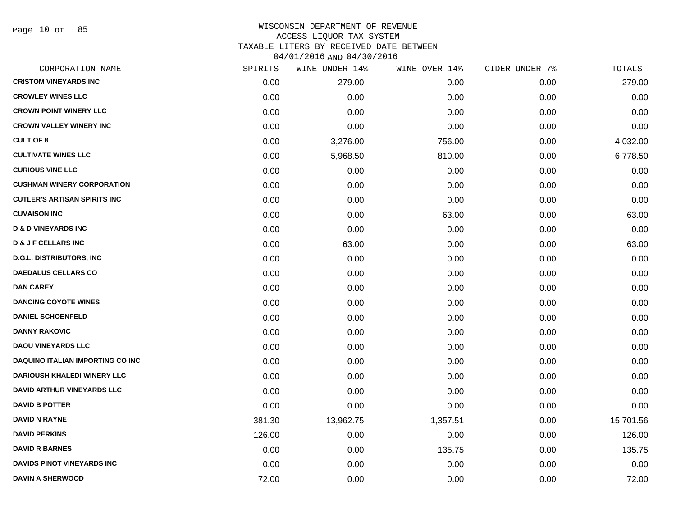Page 10 of 85

| CORPORATION NAME                        | SPIRITS | WINE UNDER 14% | WINE OVER 14% | CIDER UNDER 7% | TOTALS    |
|-----------------------------------------|---------|----------------|---------------|----------------|-----------|
| <b>CRISTOM VINEYARDS INC</b>            | 0.00    | 279.00         | 0.00          | 0.00           | 279.00    |
| <b>CROWLEY WINES LLC</b>                | 0.00    | 0.00           | 0.00          | 0.00           | 0.00      |
| <b>CROWN POINT WINERY LLC</b>           | 0.00    | 0.00           | 0.00          | 0.00           | 0.00      |
| <b>CROWN VALLEY WINERY INC</b>          | 0.00    | 0.00           | 0.00          | 0.00           | 0.00      |
| <b>CULT OF 8</b>                        | 0.00    | 3,276.00       | 756.00        | 0.00           | 4,032.00  |
| <b>CULTIVATE WINES LLC</b>              | 0.00    | 5,968.50       | 810.00        | 0.00           | 6,778.50  |
| <b>CURIOUS VINE LLC</b>                 | 0.00    | 0.00           | 0.00          | 0.00           | 0.00      |
| <b>CUSHMAN WINERY CORPORATION</b>       | 0.00    | 0.00           | 0.00          | 0.00           | 0.00      |
| <b>CUTLER'S ARTISAN SPIRITS INC</b>     | 0.00    | 0.00           | 0.00          | 0.00           | 0.00      |
| <b>CUVAISON INC</b>                     | 0.00    | 0.00           | 63.00         | 0.00           | 63.00     |
| <b>D &amp; D VINEYARDS INC</b>          | 0.00    | 0.00           | 0.00          | 0.00           | 0.00      |
| <b>D &amp; J F CELLARS INC</b>          | 0.00    | 63.00          | 0.00          | 0.00           | 63.00     |
| <b>D.G.L. DISTRIBUTORS, INC</b>         | 0.00    | 0.00           | 0.00          | 0.00           | 0.00      |
| <b>DAEDALUS CELLARS CO</b>              | 0.00    | 0.00           | 0.00          | 0.00           | 0.00      |
| <b>DAN CAREY</b>                        | 0.00    | 0.00           | 0.00          | 0.00           | 0.00      |
| <b>DANCING COYOTE WINES</b>             | 0.00    | 0.00           | 0.00          | 0.00           | 0.00      |
| <b>DANIEL SCHOENFELD</b>                | 0.00    | 0.00           | 0.00          | 0.00           | 0.00      |
| <b>DANNY RAKOVIC</b>                    | 0.00    | 0.00           | 0.00          | 0.00           | 0.00      |
| <b>DAOU VINEYARDS LLC</b>               | 0.00    | 0.00           | 0.00          | 0.00           | 0.00      |
| <b>DAQUINO ITALIAN IMPORTING CO INC</b> | 0.00    | 0.00           | 0.00          | 0.00           | 0.00      |
| <b>DARIOUSH KHALEDI WINERY LLC</b>      | 0.00    | 0.00           | 0.00          | 0.00           | 0.00      |
| <b>DAVID ARTHUR VINEYARDS LLC</b>       | 0.00    | 0.00           | 0.00          | 0.00           | 0.00      |
| <b>DAVID B POTTER</b>                   | 0.00    | 0.00           | 0.00          | 0.00           | 0.00      |
| <b>DAVID N RAYNE</b>                    | 381.30  | 13,962.75      | 1,357.51      | 0.00           | 15,701.56 |
| <b>DAVID PERKINS</b>                    | 126.00  | 0.00           | 0.00          | 0.00           | 126.00    |
| <b>DAVID R BARNES</b>                   | 0.00    | 0.00           | 135.75        | 0.00           | 135.75    |
| <b>DAVIDS PINOT VINEYARDS INC</b>       | 0.00    | 0.00           | 0.00          | 0.00           | 0.00      |
| <b>DAVIN A SHERWOOD</b>                 | 72.00   | 0.00           | 0.00          | 0.00           | 72.00     |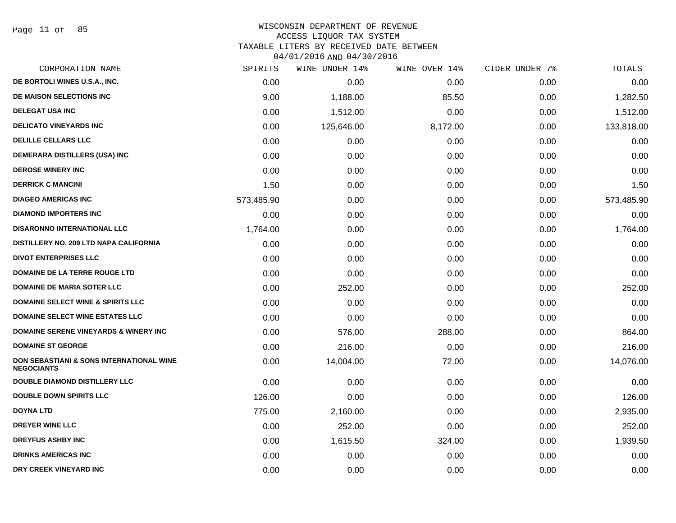#### WISCONSIN DEPARTMENT OF REVENUE ACCESS LIQUOR TAX SYSTEM TAXABLE LITERS BY RECEIVED DATE BETWEEN

04/01/2016 AND 04/30/2016

| CORPORATION NAME                                                         | SPIRITS    | WINE UNDER 14% | WINE OVER 14% | CIDER UNDER 7% | TOTALS     |
|--------------------------------------------------------------------------|------------|----------------|---------------|----------------|------------|
| DE BORTOLI WINES U.S.A., INC.                                            | 0.00       | 0.00           | 0.00          | 0.00           | 0.00       |
| DE MAISON SELECTIONS INC                                                 | 9.00       | 1,188.00       | 85.50         | 0.00           | 1,282.50   |
| <b>DELEGAT USA INC</b>                                                   | 0.00       | 1,512.00       | 0.00          | 0.00           | 1,512.00   |
| <b>DELICATO VINEYARDS INC</b>                                            | 0.00       | 125,646.00     | 8,172.00      | 0.00           | 133,818.00 |
| DELILLE CELLARS LLC                                                      | 0.00       | 0.00           | 0.00          | 0.00           | 0.00       |
| DEMERARA DISTILLERS (USA) INC                                            | 0.00       | 0.00           | 0.00          | 0.00           | 0.00       |
| <b>DEROSE WINERY INC</b>                                                 | 0.00       | 0.00           | 0.00          | 0.00           | 0.00       |
| <b>DERRICK C MANCINI</b>                                                 | 1.50       | 0.00           | 0.00          | 0.00           | 1.50       |
| <b>DIAGEO AMERICAS INC</b>                                               | 573,485.90 | 0.00           | 0.00          | 0.00           | 573,485.90 |
| <b>DIAMOND IMPORTERS INC</b>                                             | 0.00       | 0.00           | 0.00          | 0.00           | 0.00       |
| <b>DISARONNO INTERNATIONAL LLC</b>                                       | 1,764.00   | 0.00           | 0.00          | 0.00           | 1,764.00   |
| DISTILLERY NO. 209 LTD NAPA CALIFORNIA                                   | 0.00       | 0.00           | 0.00          | 0.00           | 0.00       |
| <b>DIVOT ENTERPRISES LLC</b>                                             | 0.00       | 0.00           | 0.00          | 0.00           | 0.00       |
| DOMAINE DE LA TERRE ROUGE LTD                                            | 0.00       | 0.00           | 0.00          | 0.00           | 0.00       |
| <b>DOMAINE DE MARIA SOTER LLC</b>                                        | 0.00       | 252.00         | 0.00          | 0.00           | 252.00     |
| <b>DOMAINE SELECT WINE &amp; SPIRITS LLC</b>                             | 0.00       | 0.00           | 0.00          | 0.00           | 0.00       |
| <b>DOMAINE SELECT WINE ESTATES LLC</b>                                   | 0.00       | 0.00           | 0.00          | 0.00           | 0.00       |
| <b>DOMAINE SERENE VINEYARDS &amp; WINERY INC</b>                         | 0.00       | 576.00         | 288.00        | 0.00           | 864.00     |
| <b>DOMAINE ST GEORGE</b>                                                 | 0.00       | 216.00         | 0.00          | 0.00           | 216.00     |
| <b>DON SEBASTIANI &amp; SONS INTERNATIONAL WINE</b><br><b>NEGOCIANTS</b> | 0.00       | 14,004.00      | 72.00         | 0.00           | 14,076.00  |
| <b>DOUBLE DIAMOND DISTILLERY LLC</b>                                     | 0.00       | 0.00           | 0.00          | 0.00           | 0.00       |
| <b>DOUBLE DOWN SPIRITS LLC</b>                                           | 126.00     | 0.00           | 0.00          | 0.00           | 126.00     |
| <b>DOYNA LTD</b>                                                         | 775.00     | 2,160.00       | 0.00          | 0.00           | 2,935.00   |
| DREYER WINE LLC                                                          | 0.00       | 252.00         | 0.00          | 0.00           | 252.00     |
| <b>DREYFUS ASHBY INC</b>                                                 | 0.00       | 1,615.50       | 324.00        | 0.00           | 1,939.50   |
| <b>DRINKS AMERICAS INC</b>                                               | 0.00       | 0.00           | 0.00          | 0.00           | 0.00       |
| DRY CREEK VINEYARD INC                                                   | 0.00       | 0.00           | 0.00          | 0.00           | 0.00       |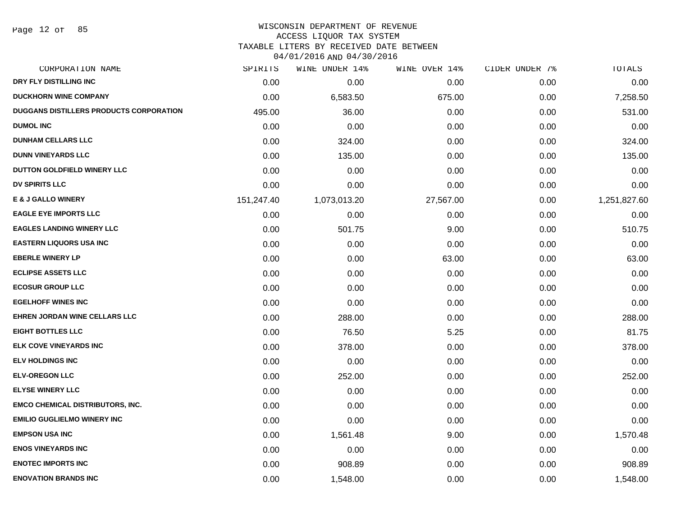Page 12 of 85

#### WISCONSIN DEPARTMENT OF REVENUE ACCESS LIQUOR TAX SYSTEM

TAXABLE LITERS BY RECEIVED DATE BETWEEN

04/01/2016 AND 04/30/2016

| CORPORATION NAME                               | SPIRITS    | WINE UNDER 14% | WINE OVER 14% | CIDER UNDER 7% | TOTALS       |
|------------------------------------------------|------------|----------------|---------------|----------------|--------------|
| DRY FLY DISTILLING INC                         | 0.00       | 0.00           | 0.00          | 0.00           | 0.00         |
| <b>DUCKHORN WINE COMPANY</b>                   | 0.00       | 6,583.50       | 675.00        | 0.00           | 7,258.50     |
| <b>DUGGANS DISTILLERS PRODUCTS CORPORATION</b> | 495.00     | 36.00          | 0.00          | 0.00           | 531.00       |
| <b>DUMOL INC</b>                               | 0.00       | 0.00           | 0.00          | 0.00           | 0.00         |
| <b>DUNHAM CELLARS LLC</b>                      | 0.00       | 324.00         | 0.00          | 0.00           | 324.00       |
| <b>DUNN VINEYARDS LLC</b>                      | 0.00       | 135.00         | 0.00          | 0.00           | 135.00       |
| DUTTON GOLDFIELD WINERY LLC                    | 0.00       | 0.00           | 0.00          | 0.00           | 0.00         |
| <b>DV SPIRITS LLC</b>                          | 0.00       | 0.00           | 0.00          | 0.00           | 0.00         |
| <b>E &amp; J GALLO WINERY</b>                  | 151,247.40 | 1,073,013.20   | 27,567.00     | 0.00           | 1,251,827.60 |
| <b>EAGLE EYE IMPORTS LLC</b>                   | 0.00       | 0.00           | 0.00          | 0.00           | 0.00         |
| <b>EAGLES LANDING WINERY LLC</b>               | 0.00       | 501.75         | 9.00          | 0.00           | 510.75       |
| <b>EASTERN LIQUORS USA INC</b>                 | 0.00       | 0.00           | 0.00          | 0.00           | 0.00         |
| <b>EBERLE WINERY LP</b>                        | 0.00       | 0.00           | 63.00         | 0.00           | 63.00        |
| <b>ECLIPSE ASSETS LLC</b>                      | 0.00       | 0.00           | 0.00          | 0.00           | 0.00         |
| <b>ECOSUR GROUP LLC</b>                        | 0.00       | 0.00           | 0.00          | 0.00           | 0.00         |
| <b>EGELHOFF WINES INC</b>                      | 0.00       | 0.00           | 0.00          | 0.00           | 0.00         |
| <b>EHREN JORDAN WINE CELLARS LLC</b>           | 0.00       | 288.00         | 0.00          | 0.00           | 288.00       |
| <b>EIGHT BOTTLES LLC</b>                       | 0.00       | 76.50          | 5.25          | 0.00           | 81.75        |
| <b>ELK COVE VINEYARDS INC</b>                  | 0.00       | 378.00         | 0.00          | 0.00           | 378.00       |
| <b>ELV HOLDINGS INC</b>                        | 0.00       | 0.00           | 0.00          | 0.00           | 0.00         |
| <b>ELV-OREGON LLC</b>                          | 0.00       | 252.00         | 0.00          | 0.00           | 252.00       |
| <b>ELYSE WINERY LLC</b>                        | 0.00       | 0.00           | 0.00          | 0.00           | 0.00         |
| <b>EMCO CHEMICAL DISTRIBUTORS, INC.</b>        | 0.00       | 0.00           | 0.00          | 0.00           | 0.00         |
| <b>EMILIO GUGLIELMO WINERY INC</b>             | 0.00       | 0.00           | 0.00          | 0.00           | 0.00         |
| <b>EMPSON USA INC</b>                          | 0.00       | 1,561.48       | 9.00          | 0.00           | 1,570.48     |
| <b>ENOS VINEYARDS INC</b>                      | 0.00       | 0.00           | 0.00          | 0.00           | 0.00         |
| <b>ENOTEC IMPORTS INC</b>                      | 0.00       | 908.89         | 0.00          | 0.00           | 908.89       |
| <b>ENOVATION BRANDS INC</b>                    | 0.00       | 1,548.00       | 0.00          | 0.00           | 1,548.00     |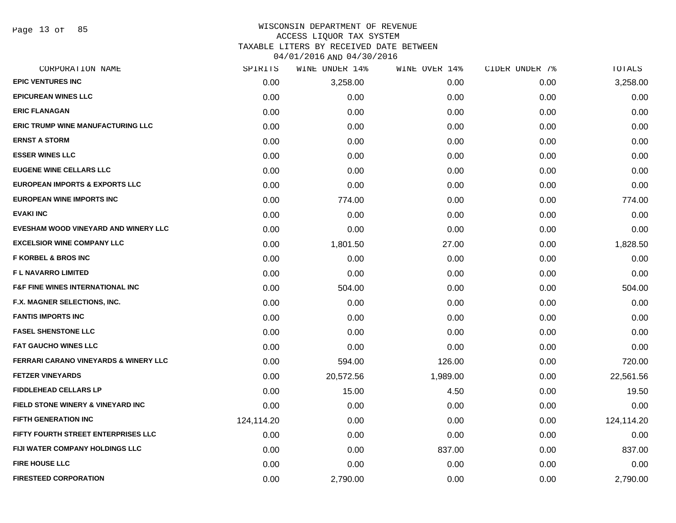Page 13 of 85

| CORPORATION NAME                                 | SPIRITS    | <b>WINE UNDER 14%</b> | WINE OVER 14% | CIDER UNDER 7% | TOTALS     |
|--------------------------------------------------|------------|-----------------------|---------------|----------------|------------|
| <b>EPIC VENTURES INC</b>                         | 0.00       | 3,258.00              | 0.00          | 0.00           | 3,258.00   |
| <b>EPICUREAN WINES LLC</b>                       | 0.00       | 0.00                  | 0.00          | 0.00           | 0.00       |
| <b>ERIC FLANAGAN</b>                             | 0.00       | 0.00                  | 0.00          | 0.00           | 0.00       |
| <b>ERIC TRUMP WINE MANUFACTURING LLC</b>         | 0.00       | 0.00                  | 0.00          | 0.00           | 0.00       |
| <b>ERNST A STORM</b>                             | 0.00       | 0.00                  | 0.00          | 0.00           | 0.00       |
| <b>ESSER WINES LLC</b>                           | 0.00       | 0.00                  | 0.00          | 0.00           | 0.00       |
| <b>EUGENE WINE CELLARS LLC</b>                   | 0.00       | 0.00                  | 0.00          | 0.00           | 0.00       |
| <b>EUROPEAN IMPORTS &amp; EXPORTS LLC</b>        | 0.00       | 0.00                  | 0.00          | 0.00           | 0.00       |
| <b>EUROPEAN WINE IMPORTS INC</b>                 | 0.00       | 774.00                | 0.00          | 0.00           | 774.00     |
| <b>EVAKI INC</b>                                 | 0.00       | 0.00                  | 0.00          | 0.00           | 0.00       |
| EVESHAM WOOD VINEYARD AND WINERY LLC             | 0.00       | 0.00                  | 0.00          | 0.00           | 0.00       |
| <b>EXCELSIOR WINE COMPANY LLC</b>                | 0.00       | 1,801.50              | 27.00         | 0.00           | 1,828.50   |
| <b>F KORBEL &amp; BROS INC</b>                   | 0.00       | 0.00                  | 0.00          | 0.00           | 0.00       |
| <b>FL NAVARRO LIMITED</b>                        | 0.00       | 0.00                  | 0.00          | 0.00           | 0.00       |
| <b>F&amp;F FINE WINES INTERNATIONAL INC</b>      | 0.00       | 504.00                | 0.00          | 0.00           | 504.00     |
| F.X. MAGNER SELECTIONS, INC.                     | 0.00       | 0.00                  | 0.00          | 0.00           | 0.00       |
| <b>FANTIS IMPORTS INC</b>                        | 0.00       | 0.00                  | 0.00          | 0.00           | 0.00       |
| <b>FASEL SHENSTONE LLC</b>                       | 0.00       | 0.00                  | 0.00          | 0.00           | 0.00       |
| <b>FAT GAUCHO WINES LLC</b>                      | 0.00       | 0.00                  | 0.00          | 0.00           | 0.00       |
| <b>FERRARI CARANO VINEYARDS &amp; WINERY LLC</b> | 0.00       | 594.00                | 126.00        | 0.00           | 720.00     |
| <b>FETZER VINEYARDS</b>                          | 0.00       | 20,572.56             | 1,989.00      | 0.00           | 22,561.56  |
| <b>FIDDLEHEAD CELLARS LP</b>                     | 0.00       | 15.00                 | 4.50          | 0.00           | 19.50      |
| FIELD STONE WINERY & VINEYARD INC                | 0.00       | 0.00                  | 0.00          | 0.00           | 0.00       |
| <b>FIFTH GENERATION INC</b>                      | 124,114.20 | 0.00                  | 0.00          | 0.00           | 124,114.20 |
| FIFTY FOURTH STREET ENTERPRISES LLC              | 0.00       | 0.00                  | 0.00          | 0.00           | 0.00       |
| FIJI WATER COMPANY HOLDINGS LLC                  | 0.00       | 0.00                  | 837.00        | 0.00           | 837.00     |
| <b>FIRE HOUSE LLC</b>                            | 0.00       | 0.00                  | 0.00          | 0.00           | 0.00       |
| <b>FIRESTEED CORPORATION</b>                     | 0.00       | 2,790.00              | 0.00          | 0.00           | 2,790.00   |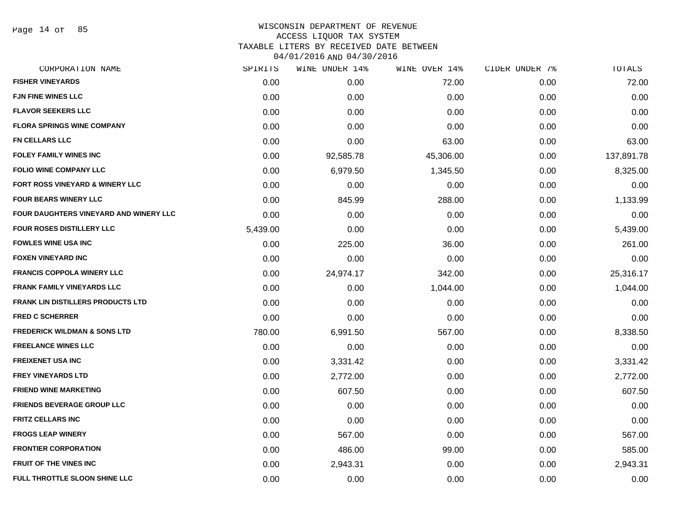Page 14 of 85

| CORPORATION NAME                        | SPIRITS  | WINE UNDER 14% | WINE OVER 14% | CIDER UNDER 7% | TOTALS     |
|-----------------------------------------|----------|----------------|---------------|----------------|------------|
| <b>FISHER VINEYARDS</b>                 | 0.00     | 0.00           | 72.00         | 0.00           | 72.00      |
| <b>FJN FINE WINES LLC</b>               | 0.00     | 0.00           | 0.00          | 0.00           | 0.00       |
| <b>FLAVOR SEEKERS LLC</b>               | 0.00     | 0.00           | 0.00          | 0.00           | 0.00       |
| <b>FLORA SPRINGS WINE COMPANY</b>       | 0.00     | 0.00           | 0.00          | 0.00           | 0.00       |
| <b>FN CELLARS LLC</b>                   | 0.00     | 0.00           | 63.00         | 0.00           | 63.00      |
| <b>FOLEY FAMILY WINES INC</b>           | 0.00     | 92,585.78      | 45,306.00     | 0.00           | 137,891.78 |
| <b>FOLIO WINE COMPANY LLC</b>           | 0.00     | 6,979.50       | 1,345.50      | 0.00           | 8,325.00   |
| FORT ROSS VINEYARD & WINERY LLC         | 0.00     | 0.00           | 0.00          | 0.00           | 0.00       |
| <b>FOUR BEARS WINERY LLC</b>            | 0.00     | 845.99         | 288.00        | 0.00           | 1,133.99   |
| FOUR DAUGHTERS VINEYARD AND WINERY LLC  | 0.00     | 0.00           | 0.00          | 0.00           | 0.00       |
| <b>FOUR ROSES DISTILLERY LLC</b>        | 5,439.00 | 0.00           | 0.00          | 0.00           | 5,439.00   |
| <b>FOWLES WINE USA INC</b>              | 0.00     | 225.00         | 36.00         | 0.00           | 261.00     |
| <b>FOXEN VINEYARD INC</b>               | 0.00     | 0.00           | 0.00          | 0.00           | 0.00       |
| FRANCIS COPPOLA WINERY LLC              | 0.00     | 24,974.17      | 342.00        | 0.00           | 25,316.17  |
| <b>FRANK FAMILY VINEYARDS LLC</b>       | 0.00     | 0.00           | 1,044.00      | 0.00           | 1,044.00   |
| FRANK LIN DISTILLERS PRODUCTS LTD       | 0.00     | 0.00           | 0.00          | 0.00           | 0.00       |
| <b>FRED C SCHERRER</b>                  | 0.00     | 0.00           | 0.00          | 0.00           | 0.00       |
| <b>FREDERICK WILDMAN &amp; SONS LTD</b> | 780.00   | 6,991.50       | 567.00        | 0.00           | 8,338.50   |
| <b>FREELANCE WINES LLC</b>              | 0.00     | 0.00           | 0.00          | 0.00           | 0.00       |
| <b>FREIXENET USA INC</b>                | 0.00     | 3,331.42       | 0.00          | 0.00           | 3,331.42   |
| <b>FREY VINEYARDS LTD</b>               | 0.00     | 2,772.00       | 0.00          | 0.00           | 2,772.00   |
| <b>FRIEND WINE MARKETING</b>            | 0.00     | 607.50         | 0.00          | 0.00           | 607.50     |
| FRIENDS BEVERAGE GROUP LLC              | 0.00     | 0.00           | 0.00          | 0.00           | 0.00       |
| <b>FRITZ CELLARS INC</b>                | 0.00     | 0.00           | 0.00          | 0.00           | 0.00       |
| <b>FROGS LEAP WINERY</b>                | 0.00     | 567.00         | 0.00          | 0.00           | 567.00     |
| <b>FRONTIER CORPORATION</b>             | 0.00     | 486.00         | 99.00         | 0.00           | 585.00     |
| <b>FRUIT OF THE VINES INC</b>           | 0.00     | 2,943.31       | 0.00          | 0.00           | 2,943.31   |
| FULL THROTTLE SLOON SHINE LLC           | 0.00     | 0.00           | 0.00          | 0.00           | 0.00       |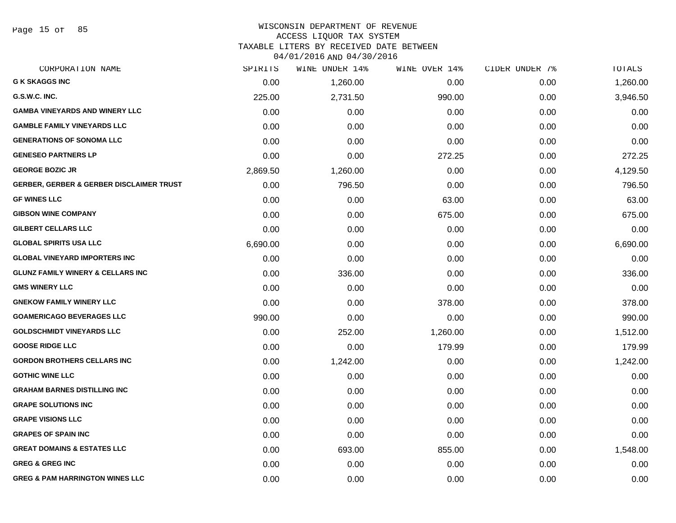Page 15 of 85

#### WISCONSIN DEPARTMENT OF REVENUE ACCESS LIQUOR TAX SYSTEM TAXABLE LITERS BY RECEIVED DATE BETWEEN

04/01/2016 AND 04/30/2016

| CORPORATION NAME                                    | SPIRITS  | WINE UNDER 14% | WINE OVER 14% | CIDER UNDER 7% | <b>TOTALS</b> |
|-----------------------------------------------------|----------|----------------|---------------|----------------|---------------|
| <b>G K SKAGGS INC</b>                               | 0.00     | 1,260.00       | 0.00          | 0.00           | 1,260.00      |
| G.S.W.C. INC.                                       | 225.00   | 2,731.50       | 990.00        | 0.00           | 3,946.50      |
| <b>GAMBA VINEYARDS AND WINERY LLC</b>               | 0.00     | 0.00           | 0.00          | 0.00           | 0.00          |
| <b>GAMBLE FAMILY VINEYARDS LLC</b>                  | 0.00     | 0.00           | 0.00          | 0.00           | 0.00          |
| <b>GENERATIONS OF SONOMA LLC</b>                    | 0.00     | 0.00           | 0.00          | 0.00           | 0.00          |
| <b>GENESEO PARTNERS LP</b>                          | 0.00     | 0.00           | 272.25        | 0.00           | 272.25        |
| <b>GEORGE BOZIC JR</b>                              | 2,869.50 | 1,260.00       | 0.00          | 0.00           | 4,129.50      |
| <b>GERBER, GERBER &amp; GERBER DISCLAIMER TRUST</b> | 0.00     | 796.50         | 0.00          | 0.00           | 796.50        |
| <b>GF WINES LLC</b>                                 | 0.00     | 0.00           | 63.00         | 0.00           | 63.00         |
| <b>GIBSON WINE COMPANY</b>                          | 0.00     | 0.00           | 675.00        | 0.00           | 675.00        |
| <b>GILBERT CELLARS LLC</b>                          | 0.00     | 0.00           | 0.00          | 0.00           | 0.00          |
| <b>GLOBAL SPIRITS USA LLC</b>                       | 6,690.00 | 0.00           | 0.00          | 0.00           | 6,690.00      |
| <b>GLOBAL VINEYARD IMPORTERS INC</b>                | 0.00     | 0.00           | 0.00          | 0.00           | 0.00          |
| <b>GLUNZ FAMILY WINERY &amp; CELLARS INC</b>        | 0.00     | 336.00         | 0.00          | 0.00           | 336.00        |
| <b>GMS WINERY LLC</b>                               | 0.00     | 0.00           | 0.00          | 0.00           | 0.00          |
| <b>GNEKOW FAMILY WINERY LLC</b>                     | 0.00     | 0.00           | 378.00        | 0.00           | 378.00        |
| <b>GOAMERICAGO BEVERAGES LLC</b>                    | 990.00   | 0.00           | 0.00          | 0.00           | 990.00        |
| <b>GOLDSCHMIDT VINEYARDS LLC</b>                    | 0.00     | 252.00         | 1,260.00      | 0.00           | 1,512.00      |
| <b>GOOSE RIDGE LLC</b>                              | 0.00     | 0.00           | 179.99        | 0.00           | 179.99        |
| <b>GORDON BROTHERS CELLARS INC</b>                  | 0.00     | 1,242.00       | 0.00          | 0.00           | 1,242.00      |
| <b>GOTHIC WINE LLC</b>                              | 0.00     | 0.00           | 0.00          | 0.00           | 0.00          |
| <b>GRAHAM BARNES DISTILLING INC</b>                 | 0.00     | 0.00           | 0.00          | 0.00           | 0.00          |
| <b>GRAPE SOLUTIONS INC</b>                          | 0.00     | 0.00           | 0.00          | 0.00           | 0.00          |
| <b>GRAPE VISIONS LLC</b>                            | 0.00     | 0.00           | 0.00          | 0.00           | 0.00          |
| <b>GRAPES OF SPAIN INC</b>                          | 0.00     | 0.00           | 0.00          | 0.00           | 0.00          |
| <b>GREAT DOMAINS &amp; ESTATES LLC</b>              | 0.00     | 693.00         | 855.00        | 0.00           | 1,548.00      |
| <b>GREG &amp; GREG INC</b>                          | 0.00     | 0.00           | 0.00          | 0.00           | 0.00          |
| <b>GREG &amp; PAM HARRINGTON WINES LLC</b>          | 0.00     | 0.00           | 0.00          | 0.00           | 0.00          |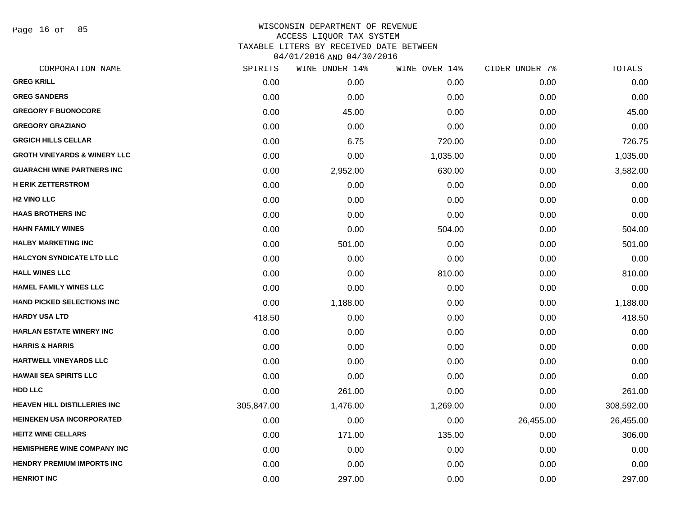Page 16 of 85

| CORPORATION NAME                        | SPIRITS    | WINE UNDER 14% | WINE OVER 14% | CIDER UNDER 7% | TOTALS     |
|-----------------------------------------|------------|----------------|---------------|----------------|------------|
| <b>GREG KRILL</b>                       | 0.00       | 0.00           | 0.00          | 0.00           | 0.00       |
| <b>GREG SANDERS</b>                     | 0.00       | 0.00           | 0.00          | 0.00           | 0.00       |
| <b>GREGORY F BUONOCORE</b>              | 0.00       | 45.00          | 0.00          | 0.00           | 45.00      |
| <b>GREGORY GRAZIANO</b>                 | 0.00       | 0.00           | 0.00          | 0.00           | 0.00       |
| <b>GRGICH HILLS CELLAR</b>              | 0.00       | 6.75           | 720.00        | 0.00           | 726.75     |
| <b>GROTH VINEYARDS &amp; WINERY LLC</b> | 0.00       | 0.00           | 1,035.00      | 0.00           | 1,035.00   |
| <b>GUARACHI WINE PARTNERS INC</b>       | 0.00       | 2,952.00       | 630.00        | 0.00           | 3,582.00   |
| <b>H ERIK ZETTERSTROM</b>               | 0.00       | 0.00           | 0.00          | 0.00           | 0.00       |
| <b>H2 VINO LLC</b>                      | 0.00       | 0.00           | 0.00          | 0.00           | 0.00       |
| <b>HAAS BROTHERS INC</b>                | 0.00       | 0.00           | 0.00          | 0.00           | 0.00       |
| <b>HAHN FAMILY WINES</b>                | 0.00       | 0.00           | 504.00        | 0.00           | 504.00     |
| <b>HALBY MARKETING INC</b>              | 0.00       | 501.00         | 0.00          | 0.00           | 501.00     |
| <b>HALCYON SYNDICATE LTD LLC</b>        | 0.00       | 0.00           | 0.00          | 0.00           | 0.00       |
| <b>HALL WINES LLC</b>                   | 0.00       | 0.00           | 810.00        | 0.00           | 810.00     |
| <b>HAMEL FAMILY WINES LLC</b>           | 0.00       | 0.00           | 0.00          | 0.00           | 0.00       |
| <b>HAND PICKED SELECTIONS INC</b>       | 0.00       | 1,188.00       | 0.00          | 0.00           | 1,188.00   |
| <b>HARDY USA LTD</b>                    | 418.50     | 0.00           | 0.00          | 0.00           | 418.50     |
| <b>HARLAN ESTATE WINERY INC</b>         | 0.00       | 0.00           | 0.00          | 0.00           | 0.00       |
| <b>HARRIS &amp; HARRIS</b>              | 0.00       | 0.00           | 0.00          | 0.00           | 0.00       |
| <b>HARTWELL VINEYARDS LLC</b>           | 0.00       | 0.00           | 0.00          | 0.00           | 0.00       |
| <b>HAWAII SEA SPIRITS LLC</b>           | 0.00       | 0.00           | 0.00          | 0.00           | 0.00       |
| <b>HDD LLC</b>                          | 0.00       | 261.00         | 0.00          | 0.00           | 261.00     |
| <b>HEAVEN HILL DISTILLERIES INC</b>     | 305,847.00 | 1,476.00       | 1,269.00      | 0.00           | 308,592.00 |
| <b>HEINEKEN USA INCORPORATED</b>        | 0.00       | 0.00           | 0.00          | 26,455.00      | 26,455.00  |
| <b>HEITZ WINE CELLARS</b>               | 0.00       | 171.00         | 135.00        | 0.00           | 306.00     |
| <b>HEMISPHERE WINE COMPANY INC</b>      | 0.00       | 0.00           | 0.00          | 0.00           | 0.00       |
| <b>HENDRY PREMIUM IMPORTS INC</b>       | 0.00       | 0.00           | 0.00          | 0.00           | 0.00       |
| <b>HENRIOT INC</b>                      | 0.00       | 297.00         | 0.00          | 0.00           | 297.00     |
|                                         |            |                |               |                |            |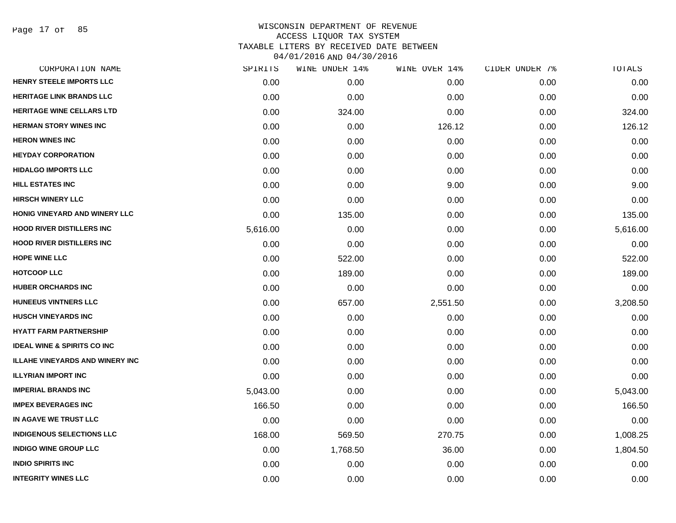Page 17 of 85

|          | WINE UNDER 14% | WINE OVER 14% |      | TOTALS         |
|----------|----------------|---------------|------|----------------|
| 0.00     | 0.00           | 0.00          | 0.00 | 0.00           |
| 0.00     | 0.00           | 0.00          | 0.00 | 0.00           |
| 0.00     | 324.00         | 0.00          | 0.00 | 324.00         |
| 0.00     | 0.00           | 126.12        | 0.00 | 126.12         |
| 0.00     | 0.00           | 0.00          | 0.00 | 0.00           |
| 0.00     | 0.00           | 0.00          | 0.00 | 0.00           |
| 0.00     | 0.00           | 0.00          | 0.00 | 0.00           |
| 0.00     | 0.00           | 9.00          | 0.00 | 9.00           |
| 0.00     | 0.00           | 0.00          | 0.00 | 0.00           |
| 0.00     | 135.00         | 0.00          | 0.00 | 135.00         |
| 5,616.00 | 0.00           | 0.00          | 0.00 | 5,616.00       |
| 0.00     | 0.00           | 0.00          | 0.00 | 0.00           |
| 0.00     | 522.00         | 0.00          | 0.00 | 522.00         |
| 0.00     | 189.00         | 0.00          | 0.00 | 189.00         |
| 0.00     | 0.00           | 0.00          | 0.00 | 0.00           |
| 0.00     | 657.00         | 2,551.50      | 0.00 | 3,208.50       |
| 0.00     | 0.00           | 0.00          | 0.00 | 0.00           |
| 0.00     | 0.00           | 0.00          | 0.00 | 0.00           |
| 0.00     | 0.00           | 0.00          | 0.00 | 0.00           |
| 0.00     | 0.00           | 0.00          | 0.00 | 0.00           |
| 0.00     | 0.00           | 0.00          | 0.00 | 0.00           |
| 5,043.00 | 0.00           | 0.00          | 0.00 | 5,043.00       |
| 166.50   | 0.00           | 0.00          | 0.00 | 166.50         |
| 0.00     | 0.00           | 0.00          | 0.00 | 0.00           |
| 168.00   | 569.50         | 270.75        | 0.00 | 1,008.25       |
| 0.00     | 1,768.50       | 36.00         | 0.00 | 1,804.50       |
| 0.00     | 0.00           | 0.00          | 0.00 | 0.00           |
| 0.00     | 0.00           | 0.00          | 0.00 | 0.00           |
|          | SPIRITS        |               |      | CIDER UNDER 7% |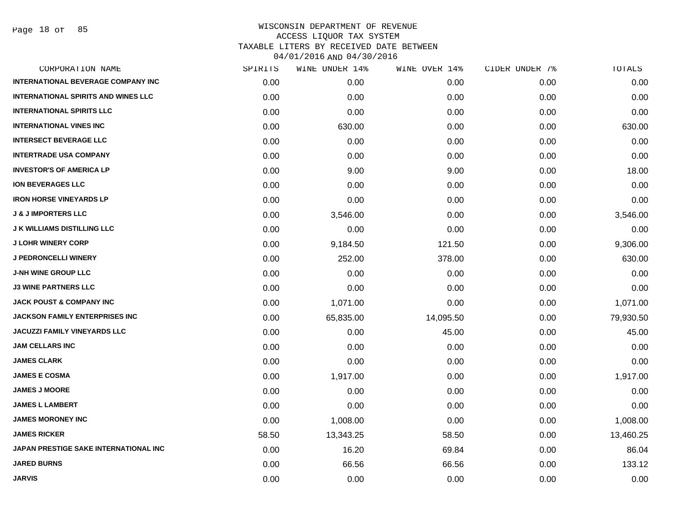Page 18 of 85

| CORPORATION NAME                           | SPIRITS | WINE UNDER 14% | WINE OVER 14% | CIDER UNDER 7% | TOTALS    |
|--------------------------------------------|---------|----------------|---------------|----------------|-----------|
| <b>INTERNATIONAL BEVERAGE COMPANY INC</b>  | 0.00    | 0.00           | 0.00          | 0.00           | 0.00      |
| <b>INTERNATIONAL SPIRITS AND WINES LLC</b> | 0.00    | 0.00           | 0.00          | 0.00           | 0.00      |
| <b>INTERNATIONAL SPIRITS LLC</b>           | 0.00    | 0.00           | 0.00          | 0.00           | 0.00      |
| <b>INTERNATIONAL VINES INC</b>             | 0.00    | 630.00         | 0.00          | 0.00           | 630.00    |
| <b>INTERSECT BEVERAGE LLC</b>              | 0.00    | 0.00           | 0.00          | 0.00           | 0.00      |
| <b>INTERTRADE USA COMPANY</b>              | 0.00    | 0.00           | 0.00          | 0.00           | 0.00      |
| <b>INVESTOR'S OF AMERICA LP</b>            | 0.00    | 9.00           | 9.00          | 0.00           | 18.00     |
| <b>ION BEVERAGES LLC</b>                   | 0.00    | 0.00           | 0.00          | 0.00           | 0.00      |
| <b>IRON HORSE VINEYARDS LP</b>             | 0.00    | 0.00           | 0.00          | 0.00           | 0.00      |
| <b>J &amp; J IMPORTERS LLC</b>             | 0.00    | 3,546.00       | 0.00          | 0.00           | 3,546.00  |
| <b>J K WILLIAMS DISTILLING LLC</b>         | 0.00    | 0.00           | 0.00          | 0.00           | 0.00      |
| <b>J LOHR WINERY CORP</b>                  | 0.00    | 9,184.50       | 121.50        | 0.00           | 9,306.00  |
| <b>J PEDRONCELLI WINERY</b>                | 0.00    | 252.00         | 378.00        | 0.00           | 630.00    |
| <b>J-NH WINE GROUP LLC</b>                 | 0.00    | 0.00           | 0.00          | 0.00           | 0.00      |
| <b>J3 WINE PARTNERS LLC</b>                | 0.00    | 0.00           | 0.00          | 0.00           | 0.00      |
| <b>JACK POUST &amp; COMPANY INC</b>        | 0.00    | 1,071.00       | 0.00          | 0.00           | 1,071.00  |
| <b>JACKSON FAMILY ENTERPRISES INC</b>      | 0.00    | 65,835.00      | 14,095.50     | 0.00           | 79,930.50 |
| <b>JACUZZI FAMILY VINEYARDS LLC</b>        | 0.00    | 0.00           | 45.00         | 0.00           | 45.00     |
| <b>JAM CELLARS INC</b>                     | 0.00    | 0.00           | 0.00          | 0.00           | 0.00      |
| <b>JAMES CLARK</b>                         | 0.00    | 0.00           | 0.00          | 0.00           | 0.00      |
| <b>JAMES E COSMA</b>                       | 0.00    | 1,917.00       | 0.00          | 0.00           | 1,917.00  |
| <b>JAMES J MOORE</b>                       | 0.00    | 0.00           | 0.00          | 0.00           | 0.00      |
| <b>JAMES L LAMBERT</b>                     | 0.00    | 0.00           | 0.00          | 0.00           | 0.00      |
| <b>JAMES MORONEY INC</b>                   | 0.00    | 1,008.00       | 0.00          | 0.00           | 1,008.00  |
| <b>JAMES RICKER</b>                        | 58.50   | 13,343.25      | 58.50         | 0.00           | 13,460.25 |
| JAPAN PRESTIGE SAKE INTERNATIONAL INC      | 0.00    | 16.20          | 69.84         | 0.00           | 86.04     |
| <b>JARED BURNS</b>                         | 0.00    | 66.56          | 66.56         | 0.00           | 133.12    |
| <b>JARVIS</b>                              | 0.00    | 0.00           | 0.00          | 0.00           | 0.00      |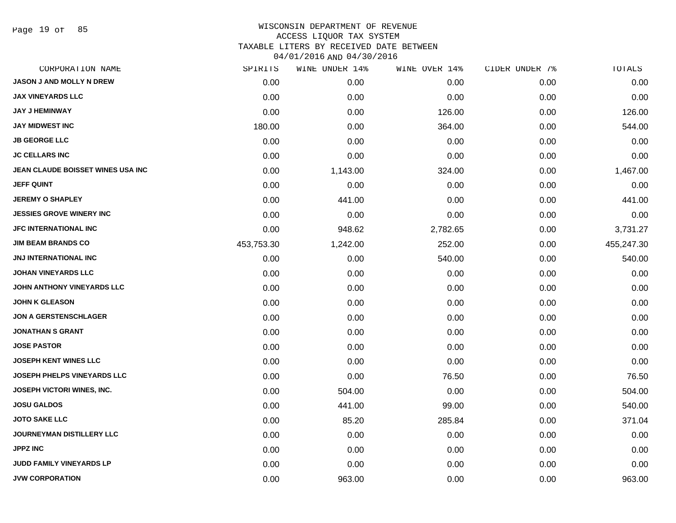Page 19 of 85

| CORPORATION NAME                   | SPIRITS    | WINE UNDER 14% | WINE OVER 14% | CIDER UNDER 7% | $\mathtt{TOTALS}$ |
|------------------------------------|------------|----------------|---------------|----------------|-------------------|
| <b>JASON J AND MOLLY N DREW</b>    | 0.00       | 0.00           | 0.00          | 0.00           | 0.00              |
| <b>JAX VINEYARDS LLC</b>           | 0.00       | 0.00           | 0.00          | 0.00           | 0.00              |
| <b>JAY J HEMINWAY</b>              | 0.00       | 0.00           | 126.00        | 0.00           | 126.00            |
| <b>JAY MIDWEST INC</b>             | 180.00     | 0.00           | 364.00        | 0.00           | 544.00            |
| <b>JB GEORGE LLC</b>               | 0.00       | 0.00           | 0.00          | 0.00           | 0.00              |
| <b>JC CELLARS INC</b>              | 0.00       | 0.00           | 0.00          | 0.00           | 0.00              |
| JEAN CLAUDE BOISSET WINES USA INC  | 0.00       | 1,143.00       | 324.00        | 0.00           | 1,467.00          |
| <b>JEFF QUINT</b>                  | 0.00       | 0.00           | 0.00          | 0.00           | 0.00              |
| <b>JEREMY O SHAPLEY</b>            | 0.00       | 441.00         | 0.00          | 0.00           | 441.00            |
| <b>JESSIES GROVE WINERY INC</b>    | 0.00       | 0.00           | 0.00          | 0.00           | 0.00              |
| <b>JFC INTERNATIONAL INC</b>       | 0.00       | 948.62         | 2,782.65      | 0.00           | 3,731.27          |
| <b>JIM BEAM BRANDS CO</b>          | 453,753.30 | 1,242.00       | 252.00        | 0.00           | 455,247.30        |
| <b>JNJ INTERNATIONAL INC</b>       | 0.00       | 0.00           | 540.00        | 0.00           | 540.00            |
| <b>JOHAN VINEYARDS LLC</b>         | 0.00       | 0.00           | 0.00          | 0.00           | 0.00              |
| JOHN ANTHONY VINEYARDS LLC         | 0.00       | 0.00           | 0.00          | 0.00           | 0.00              |
| <b>JOHN K GLEASON</b>              | 0.00       | 0.00           | 0.00          | 0.00           | 0.00              |
| <b>JON A GERSTENSCHLAGER</b>       | 0.00       | 0.00           | 0.00          | 0.00           | 0.00              |
| <b>JONATHAN S GRANT</b>            | 0.00       | 0.00           | 0.00          | 0.00           | 0.00              |
| <b>JOSE PASTOR</b>                 | 0.00       | 0.00           | 0.00          | 0.00           | 0.00              |
| <b>JOSEPH KENT WINES LLC</b>       | 0.00       | 0.00           | 0.00          | 0.00           | 0.00              |
| <b>JOSEPH PHELPS VINEYARDS LLC</b> | 0.00       | 0.00           | 76.50         | 0.00           | 76.50             |
| JOSEPH VICTORI WINES, INC.         | 0.00       | 504.00         | 0.00          | 0.00           | 504.00            |
| <b>JOSU GALDOS</b>                 | 0.00       | 441.00         | 99.00         | 0.00           | 540.00            |
| <b>JOTO SAKE LLC</b>               | 0.00       | 85.20          | 285.84        | 0.00           | 371.04            |
| <b>JOURNEYMAN DISTILLERY LLC</b>   | 0.00       | 0.00           | 0.00          | 0.00           | 0.00              |
| <b>JPPZ INC</b>                    | 0.00       | 0.00           | 0.00          | 0.00           | 0.00              |
| JUDD FAMILY VINEYARDS LP           | 0.00       | 0.00           | 0.00          | 0.00           | 0.00              |
| <b>JVW CORPORATION</b>             | 0.00       | 963.00         | 0.00          | 0.00           | 963.00            |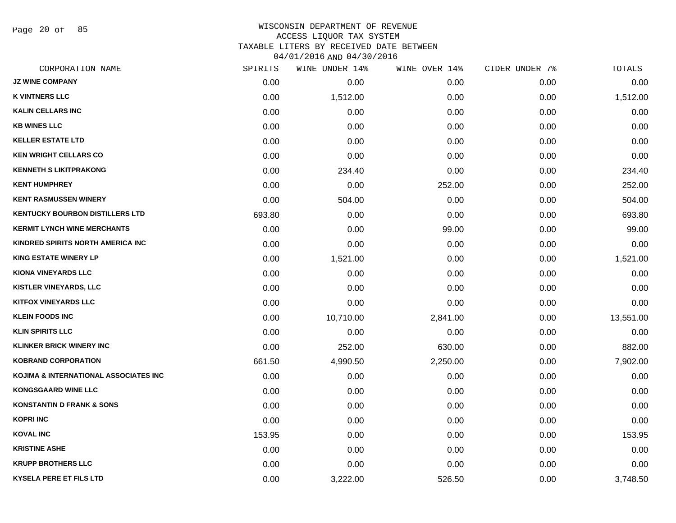Page 20 of 85

| CORPORATION NAME                       | SPIRITS | WINE UNDER 14% | WINE OVER 14% | CIDER UNDER 7% | <b>TOTALS</b> |
|----------------------------------------|---------|----------------|---------------|----------------|---------------|
| <b>JZ WINE COMPANY</b>                 | 0.00    | 0.00           | 0.00          | 0.00           | 0.00          |
| <b>K VINTNERS LLC</b>                  | 0.00    | 1,512.00       | 0.00          | 0.00           | 1,512.00      |
| <b>KALIN CELLARS INC</b>               | 0.00    | 0.00           | 0.00          | 0.00           | 0.00          |
| <b>KB WINES LLC</b>                    | 0.00    | 0.00           | 0.00          | 0.00           | 0.00          |
| <b>KELLER ESTATE LTD</b>               | 0.00    | 0.00           | 0.00          | 0.00           | 0.00          |
| <b>KEN WRIGHT CELLARS CO</b>           | 0.00    | 0.00           | 0.00          | 0.00           | 0.00          |
| <b>KENNETH S LIKITPRAKONG</b>          | 0.00    | 234.40         | 0.00          | 0.00           | 234.40        |
| <b>KENT HUMPHREY</b>                   | 0.00    | 0.00           | 252.00        | 0.00           | 252.00        |
| <b>KENT RASMUSSEN WINERY</b>           | 0.00    | 504.00         | 0.00          | 0.00           | 504.00        |
| <b>KENTUCKY BOURBON DISTILLERS LTD</b> | 693.80  | 0.00           | 0.00          | 0.00           | 693.80        |
| <b>KERMIT LYNCH WINE MERCHANTS</b>     | 0.00    | 0.00           | 99.00         | 0.00           | 99.00         |
| KINDRED SPIRITS NORTH AMERICA INC      | 0.00    | 0.00           | 0.00          | 0.00           | 0.00          |
| <b>KING ESTATE WINERY LP</b>           | 0.00    | 1,521.00       | 0.00          | 0.00           | 1,521.00      |
| <b>KIONA VINEYARDS LLC</b>             | 0.00    | 0.00           | 0.00          | 0.00           | 0.00          |
| KISTLER VINEYARDS, LLC                 | 0.00    | 0.00           | 0.00          | 0.00           | 0.00          |
| <b>KITFOX VINEYARDS LLC</b>            | 0.00    | 0.00           | 0.00          | 0.00           | 0.00          |
| <b>KLEIN FOODS INC</b>                 | 0.00    | 10,710.00      | 2,841.00      | 0.00           | 13,551.00     |
| <b>KLIN SPIRITS LLC</b>                | 0.00    | 0.00           | 0.00          | 0.00           | 0.00          |
| <b>KLINKER BRICK WINERY INC</b>        | 0.00    | 252.00         | 630.00        | 0.00           | 882.00        |
| <b>KOBRAND CORPORATION</b>             | 661.50  | 4,990.50       | 2,250.00      | 0.00           | 7,902.00      |
| KOJIMA & INTERNATIONAL ASSOCIATES INC  | 0.00    | 0.00           | 0.00          | 0.00           | 0.00          |
| <b>KONGSGAARD WINE LLC</b>             | 0.00    | 0.00           | 0.00          | 0.00           | 0.00          |
| <b>KONSTANTIN D FRANK &amp; SONS</b>   | 0.00    | 0.00           | 0.00          | 0.00           | 0.00          |
| <b>KOPRI INC</b>                       | 0.00    | 0.00           | 0.00          | 0.00           | 0.00          |
| <b>KOVAL INC</b>                       | 153.95  | 0.00           | 0.00          | 0.00           | 153.95        |
| <b>KRISTINE ASHE</b>                   | 0.00    | 0.00           | 0.00          | 0.00           | 0.00          |
| <b>KRUPP BROTHERS LLC</b>              | 0.00    | 0.00           | 0.00          | 0.00           | 0.00          |
| <b>KYSELA PERE ET FILS LTD</b>         | 0.00    | 3,222.00       | 526.50        | 0.00           | 3,748.50      |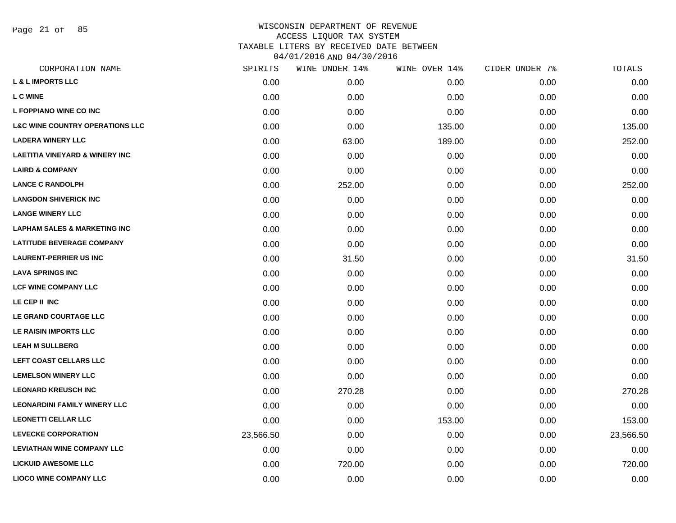Page 21 of 85

| CORPORATION NAME                           | SPIRITS   | WINE UNDER 14% | WINE OVER 14% | CIDER UNDER 7% | TOTALS    |
|--------------------------------------------|-----------|----------------|---------------|----------------|-----------|
| <b>L &amp; L IMPORTS LLC</b>               | 0.00      | 0.00           | 0.00          | 0.00           | 0.00      |
| <b>L C WINE</b>                            | 0.00      | 0.00           | 0.00          | 0.00           | 0.00      |
| L FOPPIANO WINE CO INC                     | 0.00      | 0.00           | 0.00          | 0.00           | 0.00      |
| <b>L&amp;C WINE COUNTRY OPERATIONS LLC</b> | 0.00      | 0.00           | 135.00        | 0.00           | 135.00    |
| <b>LADERA WINERY LLC</b>                   | 0.00      | 63.00          | 189.00        | 0.00           | 252.00    |
| <b>LAETITIA VINEYARD &amp; WINERY INC</b>  | 0.00      | 0.00           | 0.00          | 0.00           | 0.00      |
| <b>LAIRD &amp; COMPANY</b>                 | 0.00      | 0.00           | 0.00          | 0.00           | 0.00      |
| <b>LANCE C RANDOLPH</b>                    | 0.00      | 252.00         | 0.00          | 0.00           | 252.00    |
| <b>LANGDON SHIVERICK INC</b>               | 0.00      | 0.00           | 0.00          | 0.00           | 0.00      |
| <b>LANGE WINERY LLC</b>                    | 0.00      | 0.00           | 0.00          | 0.00           | 0.00      |
| <b>LAPHAM SALES &amp; MARKETING INC</b>    | 0.00      | 0.00           | 0.00          | 0.00           | 0.00      |
| <b>LATITUDE BEVERAGE COMPANY</b>           | 0.00      | 0.00           | 0.00          | 0.00           | 0.00      |
| <b>LAURENT-PERRIER US INC</b>              | 0.00      | 31.50          | 0.00          | 0.00           | 31.50     |
| <b>LAVA SPRINGS INC</b>                    | 0.00      | 0.00           | 0.00          | 0.00           | 0.00      |
| <b>LCF WINE COMPANY LLC</b>                | 0.00      | 0.00           | 0.00          | 0.00           | 0.00      |
| LE CEP II INC                              | 0.00      | 0.00           | 0.00          | 0.00           | 0.00      |
| LE GRAND COURTAGE LLC                      | 0.00      | 0.00           | 0.00          | 0.00           | 0.00      |
| LE RAISIN IMPORTS LLC                      | 0.00      | 0.00           | 0.00          | 0.00           | 0.00      |
| <b>LEAH M SULLBERG</b>                     | 0.00      | 0.00           | 0.00          | 0.00           | 0.00      |
| LEFT COAST CELLARS LLC                     | 0.00      | 0.00           | 0.00          | 0.00           | 0.00      |
| <b>LEMELSON WINERY LLC</b>                 | 0.00      | 0.00           | 0.00          | 0.00           | 0.00      |
| <b>LEONARD KREUSCH INC</b>                 | 0.00      | 270.28         | 0.00          | 0.00           | 270.28    |
| <b>LEONARDINI FAMILY WINERY LLC</b>        | 0.00      | 0.00           | 0.00          | 0.00           | 0.00      |
| <b>LEONETTI CELLAR LLC</b>                 | 0.00      | 0.00           | 153.00        | 0.00           | 153.00    |
| <b>LEVECKE CORPORATION</b>                 | 23,566.50 | 0.00           | 0.00          | 0.00           | 23,566.50 |
| <b>LEVIATHAN WINE COMPANY LLC</b>          | 0.00      | 0.00           | 0.00          | 0.00           | 0.00      |
| <b>LICKUID AWESOME LLC</b>                 | 0.00      | 720.00         | 0.00          | 0.00           | 720.00    |
| <b>LIOCO WINE COMPANY LLC</b>              | 0.00      | 0.00           | 0.00          | 0.00           | 0.00      |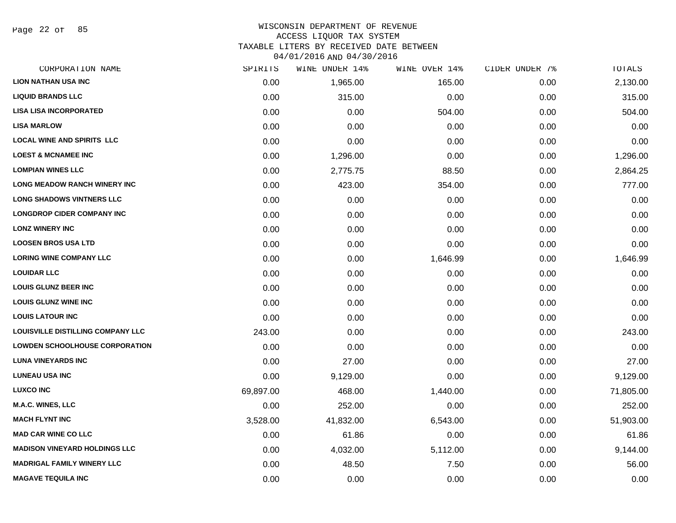Page 22 of 85

#### WISCONSIN DEPARTMENT OF REVENUE ACCESS LIQUOR TAX SYSTEM TAXABLE LITERS BY RECEIVED DATE BETWEEN

04/01/2016 AND 04/30/2016

| CORPORATION NAME                         | SPIRITS   | WINE UNDER 14% | WINE OVER 14% | CIDER UNDER 7% | TOTALS    |
|------------------------------------------|-----------|----------------|---------------|----------------|-----------|
| <b>LION NATHAN USA INC</b>               | 0.00      | 1,965.00       | 165.00        | 0.00           | 2,130.00  |
| <b>LIQUID BRANDS LLC</b>                 | 0.00      | 315.00         | 0.00          | 0.00           | 315.00    |
| <b>LISA LISA INCORPORATED</b>            | 0.00      | 0.00           | 504.00        | 0.00           | 504.00    |
| <b>LISA MARLOW</b>                       | 0.00      | 0.00           | 0.00          | 0.00           | 0.00      |
| <b>LOCAL WINE AND SPIRITS LLC</b>        | 0.00      | 0.00           | 0.00          | 0.00           | 0.00      |
| <b>LOEST &amp; MCNAMEE INC</b>           | 0.00      | 1,296.00       | 0.00          | 0.00           | 1,296.00  |
| <b>LOMPIAN WINES LLC</b>                 | 0.00      | 2,775.75       | 88.50         | 0.00           | 2,864.25  |
| <b>LONG MEADOW RANCH WINERY INC</b>      | 0.00      | 423.00         | 354.00        | 0.00           | 777.00    |
| <b>LONG SHADOWS VINTNERS LLC</b>         | 0.00      | 0.00           | 0.00          | 0.00           | 0.00      |
| <b>LONGDROP CIDER COMPANY INC</b>        | 0.00      | 0.00           | 0.00          | 0.00           | 0.00      |
| <b>LONZ WINERY INC</b>                   | 0.00      | 0.00           | 0.00          | 0.00           | 0.00      |
| <b>LOOSEN BROS USA LTD</b>               | 0.00      | 0.00           | 0.00          | 0.00           | 0.00      |
| <b>LORING WINE COMPANY LLC</b>           | 0.00      | 0.00           | 1,646.99      | 0.00           | 1,646.99  |
| <b>LOUIDAR LLC</b>                       | 0.00      | 0.00           | 0.00          | 0.00           | 0.00      |
| <b>LOUIS GLUNZ BEER INC</b>              | 0.00      | 0.00           | 0.00          | 0.00           | 0.00      |
| <b>LOUIS GLUNZ WINE INC</b>              | 0.00      | 0.00           | 0.00          | 0.00           | 0.00      |
| <b>LOUIS LATOUR INC</b>                  | 0.00      | 0.00           | 0.00          | 0.00           | 0.00      |
| <b>LOUISVILLE DISTILLING COMPANY LLC</b> | 243.00    | 0.00           | 0.00          | 0.00           | 243.00    |
| <b>LOWDEN SCHOOLHOUSE CORPORATION</b>    | 0.00      | 0.00           | 0.00          | 0.00           | 0.00      |
| <b>LUNA VINEYARDS INC</b>                | 0.00      | 27.00          | 0.00          | 0.00           | 27.00     |
| <b>LUNEAU USA INC</b>                    | 0.00      | 9,129.00       | 0.00          | 0.00           | 9,129.00  |
| <b>LUXCO INC</b>                         | 69,897.00 | 468.00         | 1,440.00      | 0.00           | 71,805.00 |
| <b>M.A.C. WINES, LLC</b>                 | 0.00      | 252.00         | 0.00          | 0.00           | 252.00    |
| <b>MACH FLYNT INC</b>                    | 3,528.00  | 41,832.00      | 6,543.00      | 0.00           | 51,903.00 |
| <b>MAD CAR WINE CO LLC</b>               | 0.00      | 61.86          | 0.00          | 0.00           | 61.86     |
| <b>MADISON VINEYARD HOLDINGS LLC</b>     | 0.00      | 4,032.00       | 5,112.00      | 0.00           | 9,144.00  |
| <b>MADRIGAL FAMILY WINERY LLC</b>        | 0.00      | 48.50          | 7.50          | 0.00           | 56.00     |
| <b>MAGAVE TEQUILA INC</b>                | 0.00      | 0.00           | 0.00          | 0.00           | 0.00      |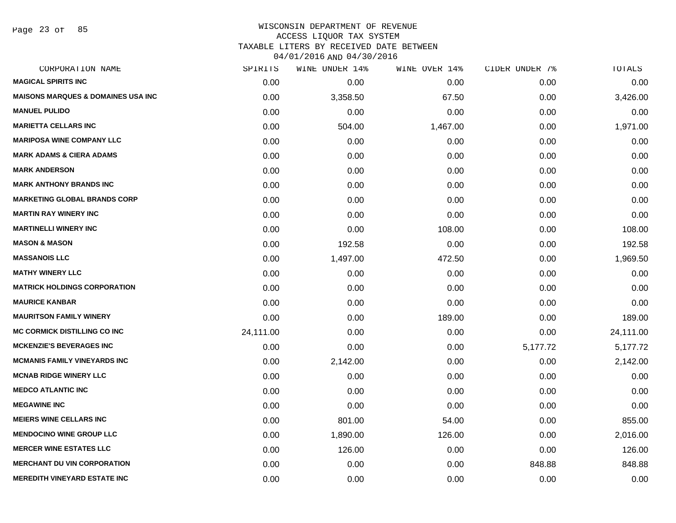Page 23 of 85

| <b>MAGICAL SPIRITS INC</b><br>0.00<br>0.00<br>0.00<br>0.00<br><b>MAISONS MARQUES &amp; DOMAINES USA INC.</b><br>0.00<br>3,358.50<br>67.50<br>0.00<br><b>MANUEL PULIDO</b><br>0.00<br>0.00<br>0.00<br>0.00<br><b>MARIETTA CELLARS INC</b><br>0.00<br>504.00<br>1,467.00<br>0.00<br><b>MARIPOSA WINE COMPANY LLC</b><br>0.00<br>0.00<br>0.00<br>0.00<br><b>MARK ADAMS &amp; CIERA ADAMS</b><br>0.00<br>0.00<br>0.00<br>0.00<br><b>MARK ANDERSON</b><br>0.00<br>0.00<br>0.00<br>0.00<br><b>MARK ANTHONY BRANDS INC</b><br>0.00<br>0.00<br>0.00<br>0.00<br><b>MARKETING GLOBAL BRANDS CORP</b><br>0.00<br>0.00<br>0.00<br>0.00<br><b>MARTIN RAY WINERY INC</b><br>0.00<br>0.00<br>0.00<br>0.00<br><b>MARTINELLI WINERY INC</b><br>0.00<br>0.00<br>108.00<br>0.00<br><b>MASON &amp; MASON</b><br>0.00<br>192.58<br>0.00<br>0.00<br><b>MASSANOIS LLC</b><br>1,497.00<br>472.50<br>0.00<br>0.00<br><b>MATHY WINERY LLC</b><br>0.00<br>0.00<br>0.00<br>0.00<br><b>MATRICK HOLDINGS CORPORATION</b><br>0.00<br>0.00<br>0.00<br>0.00<br><b>MAURICE KANBAR</b><br>0.00<br>0.00<br>0.00<br>0.00<br><b>MAURITSON FAMILY WINERY</b><br>0.00<br>0.00<br>189.00<br>0.00<br><b>MC CORMICK DISTILLING CO INC</b><br>24,111.00<br>0.00<br>0.00<br>0.00<br><b>MCKENZIE'S BEVERAGES INC</b><br>0.00<br>0.00<br>0.00<br>5,177.72<br><b>MCMANIS FAMILY VINEYARDS INC</b><br>0.00<br>2,142.00<br>0.00<br>0.00<br><b>MCNAB RIDGE WINERY LLC</b><br>0.00<br>0.00<br>0.00<br>0.00<br><b>MEDCO ATLANTIC INC</b><br>0.00<br>0.00<br>0.00<br>0.00<br><b>MEGAWINE INC</b><br>0.00<br>0.00<br>0.00<br>0.00<br><b>MEIERS WINE CELLARS INC</b><br>0.00<br>801.00<br>54.00<br>0.00<br><b>MENDOCINO WINE GROUP LLC</b><br>0.00<br>1,890.00<br>126.00<br>0.00<br><b>MERCER WINE ESTATES LLC</b><br>0.00<br>126.00<br>0.00<br>0.00<br><b>MERCHANT DU VIN CORPORATION</b><br>0.00<br>848.88<br>0.00<br>0.00<br><b>MEREDITH VINEYARD ESTATE INC</b><br>0.00<br>0.00<br>0.00<br>0.00 | CORPORATION NAME | SPIRITS | WINE UNDER 14% | WINE OVER 14% | CIDER UNDER 7% | TOTALS    |
|---------------------------------------------------------------------------------------------------------------------------------------------------------------------------------------------------------------------------------------------------------------------------------------------------------------------------------------------------------------------------------------------------------------------------------------------------------------------------------------------------------------------------------------------------------------------------------------------------------------------------------------------------------------------------------------------------------------------------------------------------------------------------------------------------------------------------------------------------------------------------------------------------------------------------------------------------------------------------------------------------------------------------------------------------------------------------------------------------------------------------------------------------------------------------------------------------------------------------------------------------------------------------------------------------------------------------------------------------------------------------------------------------------------------------------------------------------------------------------------------------------------------------------------------------------------------------------------------------------------------------------------------------------------------------------------------------------------------------------------------------------------------------------------------------------------------------------------------------------------------------------------------------------------------------------------------|------------------|---------|----------------|---------------|----------------|-----------|
|                                                                                                                                                                                                                                                                                                                                                                                                                                                                                                                                                                                                                                                                                                                                                                                                                                                                                                                                                                                                                                                                                                                                                                                                                                                                                                                                                                                                                                                                                                                                                                                                                                                                                                                                                                                                                                                                                                                                             |                  |         |                |               |                | 0.00      |
|                                                                                                                                                                                                                                                                                                                                                                                                                                                                                                                                                                                                                                                                                                                                                                                                                                                                                                                                                                                                                                                                                                                                                                                                                                                                                                                                                                                                                                                                                                                                                                                                                                                                                                                                                                                                                                                                                                                                             |                  |         |                |               |                | 3,426.00  |
|                                                                                                                                                                                                                                                                                                                                                                                                                                                                                                                                                                                                                                                                                                                                                                                                                                                                                                                                                                                                                                                                                                                                                                                                                                                                                                                                                                                                                                                                                                                                                                                                                                                                                                                                                                                                                                                                                                                                             |                  |         |                |               |                | 0.00      |
|                                                                                                                                                                                                                                                                                                                                                                                                                                                                                                                                                                                                                                                                                                                                                                                                                                                                                                                                                                                                                                                                                                                                                                                                                                                                                                                                                                                                                                                                                                                                                                                                                                                                                                                                                                                                                                                                                                                                             |                  |         |                |               |                | 1,971.00  |
|                                                                                                                                                                                                                                                                                                                                                                                                                                                                                                                                                                                                                                                                                                                                                                                                                                                                                                                                                                                                                                                                                                                                                                                                                                                                                                                                                                                                                                                                                                                                                                                                                                                                                                                                                                                                                                                                                                                                             |                  |         |                |               |                | 0.00      |
|                                                                                                                                                                                                                                                                                                                                                                                                                                                                                                                                                                                                                                                                                                                                                                                                                                                                                                                                                                                                                                                                                                                                                                                                                                                                                                                                                                                                                                                                                                                                                                                                                                                                                                                                                                                                                                                                                                                                             |                  |         |                |               |                | 0.00      |
|                                                                                                                                                                                                                                                                                                                                                                                                                                                                                                                                                                                                                                                                                                                                                                                                                                                                                                                                                                                                                                                                                                                                                                                                                                                                                                                                                                                                                                                                                                                                                                                                                                                                                                                                                                                                                                                                                                                                             |                  |         |                |               |                | 0.00      |
|                                                                                                                                                                                                                                                                                                                                                                                                                                                                                                                                                                                                                                                                                                                                                                                                                                                                                                                                                                                                                                                                                                                                                                                                                                                                                                                                                                                                                                                                                                                                                                                                                                                                                                                                                                                                                                                                                                                                             |                  |         |                |               |                | 0.00      |
|                                                                                                                                                                                                                                                                                                                                                                                                                                                                                                                                                                                                                                                                                                                                                                                                                                                                                                                                                                                                                                                                                                                                                                                                                                                                                                                                                                                                                                                                                                                                                                                                                                                                                                                                                                                                                                                                                                                                             |                  |         |                |               |                | 0.00      |
|                                                                                                                                                                                                                                                                                                                                                                                                                                                                                                                                                                                                                                                                                                                                                                                                                                                                                                                                                                                                                                                                                                                                                                                                                                                                                                                                                                                                                                                                                                                                                                                                                                                                                                                                                                                                                                                                                                                                             |                  |         |                |               |                | 0.00      |
|                                                                                                                                                                                                                                                                                                                                                                                                                                                                                                                                                                                                                                                                                                                                                                                                                                                                                                                                                                                                                                                                                                                                                                                                                                                                                                                                                                                                                                                                                                                                                                                                                                                                                                                                                                                                                                                                                                                                             |                  |         |                |               |                | 108.00    |
|                                                                                                                                                                                                                                                                                                                                                                                                                                                                                                                                                                                                                                                                                                                                                                                                                                                                                                                                                                                                                                                                                                                                                                                                                                                                                                                                                                                                                                                                                                                                                                                                                                                                                                                                                                                                                                                                                                                                             |                  |         |                |               |                | 192.58    |
|                                                                                                                                                                                                                                                                                                                                                                                                                                                                                                                                                                                                                                                                                                                                                                                                                                                                                                                                                                                                                                                                                                                                                                                                                                                                                                                                                                                                                                                                                                                                                                                                                                                                                                                                                                                                                                                                                                                                             |                  |         |                |               |                | 1,969.50  |
|                                                                                                                                                                                                                                                                                                                                                                                                                                                                                                                                                                                                                                                                                                                                                                                                                                                                                                                                                                                                                                                                                                                                                                                                                                                                                                                                                                                                                                                                                                                                                                                                                                                                                                                                                                                                                                                                                                                                             |                  |         |                |               |                | 0.00      |
|                                                                                                                                                                                                                                                                                                                                                                                                                                                                                                                                                                                                                                                                                                                                                                                                                                                                                                                                                                                                                                                                                                                                                                                                                                                                                                                                                                                                                                                                                                                                                                                                                                                                                                                                                                                                                                                                                                                                             |                  |         |                |               |                | 0.00      |
|                                                                                                                                                                                                                                                                                                                                                                                                                                                                                                                                                                                                                                                                                                                                                                                                                                                                                                                                                                                                                                                                                                                                                                                                                                                                                                                                                                                                                                                                                                                                                                                                                                                                                                                                                                                                                                                                                                                                             |                  |         |                |               |                | 0.00      |
|                                                                                                                                                                                                                                                                                                                                                                                                                                                                                                                                                                                                                                                                                                                                                                                                                                                                                                                                                                                                                                                                                                                                                                                                                                                                                                                                                                                                                                                                                                                                                                                                                                                                                                                                                                                                                                                                                                                                             |                  |         |                |               |                | 189.00    |
|                                                                                                                                                                                                                                                                                                                                                                                                                                                                                                                                                                                                                                                                                                                                                                                                                                                                                                                                                                                                                                                                                                                                                                                                                                                                                                                                                                                                                                                                                                                                                                                                                                                                                                                                                                                                                                                                                                                                             |                  |         |                |               |                | 24,111.00 |
|                                                                                                                                                                                                                                                                                                                                                                                                                                                                                                                                                                                                                                                                                                                                                                                                                                                                                                                                                                                                                                                                                                                                                                                                                                                                                                                                                                                                                                                                                                                                                                                                                                                                                                                                                                                                                                                                                                                                             |                  |         |                |               |                | 5,177.72  |
|                                                                                                                                                                                                                                                                                                                                                                                                                                                                                                                                                                                                                                                                                                                                                                                                                                                                                                                                                                                                                                                                                                                                                                                                                                                                                                                                                                                                                                                                                                                                                                                                                                                                                                                                                                                                                                                                                                                                             |                  |         |                |               |                | 2,142.00  |
|                                                                                                                                                                                                                                                                                                                                                                                                                                                                                                                                                                                                                                                                                                                                                                                                                                                                                                                                                                                                                                                                                                                                                                                                                                                                                                                                                                                                                                                                                                                                                                                                                                                                                                                                                                                                                                                                                                                                             |                  |         |                |               |                | 0.00      |
|                                                                                                                                                                                                                                                                                                                                                                                                                                                                                                                                                                                                                                                                                                                                                                                                                                                                                                                                                                                                                                                                                                                                                                                                                                                                                                                                                                                                                                                                                                                                                                                                                                                                                                                                                                                                                                                                                                                                             |                  |         |                |               |                | 0.00      |
|                                                                                                                                                                                                                                                                                                                                                                                                                                                                                                                                                                                                                                                                                                                                                                                                                                                                                                                                                                                                                                                                                                                                                                                                                                                                                                                                                                                                                                                                                                                                                                                                                                                                                                                                                                                                                                                                                                                                             |                  |         |                |               |                | 0.00      |
|                                                                                                                                                                                                                                                                                                                                                                                                                                                                                                                                                                                                                                                                                                                                                                                                                                                                                                                                                                                                                                                                                                                                                                                                                                                                                                                                                                                                                                                                                                                                                                                                                                                                                                                                                                                                                                                                                                                                             |                  |         |                |               |                | 855.00    |
|                                                                                                                                                                                                                                                                                                                                                                                                                                                                                                                                                                                                                                                                                                                                                                                                                                                                                                                                                                                                                                                                                                                                                                                                                                                                                                                                                                                                                                                                                                                                                                                                                                                                                                                                                                                                                                                                                                                                             |                  |         |                |               |                | 2,016.00  |
|                                                                                                                                                                                                                                                                                                                                                                                                                                                                                                                                                                                                                                                                                                                                                                                                                                                                                                                                                                                                                                                                                                                                                                                                                                                                                                                                                                                                                                                                                                                                                                                                                                                                                                                                                                                                                                                                                                                                             |                  |         |                |               |                | 126.00    |
|                                                                                                                                                                                                                                                                                                                                                                                                                                                                                                                                                                                                                                                                                                                                                                                                                                                                                                                                                                                                                                                                                                                                                                                                                                                                                                                                                                                                                                                                                                                                                                                                                                                                                                                                                                                                                                                                                                                                             |                  |         |                |               |                | 848.88    |
|                                                                                                                                                                                                                                                                                                                                                                                                                                                                                                                                                                                                                                                                                                                                                                                                                                                                                                                                                                                                                                                                                                                                                                                                                                                                                                                                                                                                                                                                                                                                                                                                                                                                                                                                                                                                                                                                                                                                             |                  |         |                |               |                | 0.00      |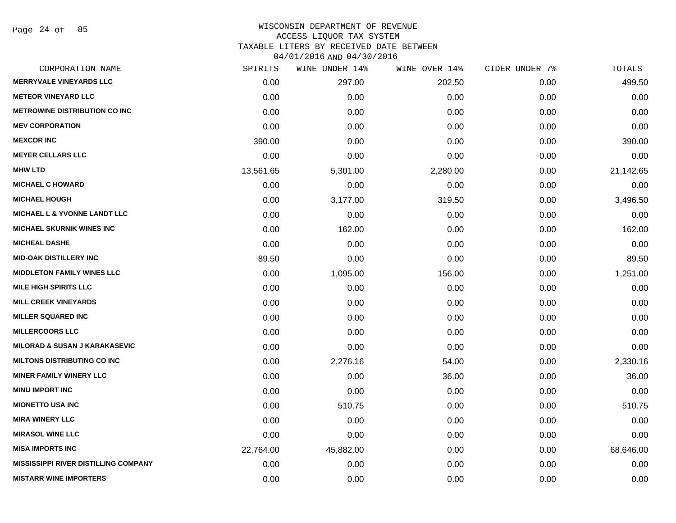Page 24 of 85

| SPIRITS   | WINE UNDER 14% | WINE OVER 14% |      | TOTALS         |
|-----------|----------------|---------------|------|----------------|
| 0.00      | 297.00         | 202.50        | 0.00 | 499.50         |
| 0.00      | 0.00           | 0.00          | 0.00 | 0.00           |
| 0.00      | 0.00           | 0.00          | 0.00 | 0.00           |
| 0.00      | 0.00           | 0.00          | 0.00 | 0.00           |
| 390.00    | 0.00           | 0.00          | 0.00 | 390.00         |
| 0.00      | 0.00           | 0.00          | 0.00 | 0.00           |
| 13,561.65 | 5,301.00       | 2,280.00      | 0.00 | 21,142.65      |
| 0.00      | 0.00           | 0.00          | 0.00 | 0.00           |
| 0.00      | 3,177.00       | 319.50        | 0.00 | 3,496.50       |
| 0.00      | 0.00           | 0.00          | 0.00 | 0.00           |
| 0.00      | 162.00         | 0.00          | 0.00 | 162.00         |
| 0.00      | 0.00           | 0.00          | 0.00 | 0.00           |
| 89.50     | 0.00           | 0.00          | 0.00 | 89.50          |
| 0.00      | 1,095.00       | 156.00        | 0.00 | 1,251.00       |
| 0.00      | 0.00           | 0.00          | 0.00 | 0.00           |
| 0.00      | 0.00           | 0.00          | 0.00 | 0.00           |
| 0.00      | 0.00           | 0.00          | 0.00 | 0.00           |
| 0.00      | 0.00           | 0.00          | 0.00 | 0.00           |
| 0.00      | 0.00           | 0.00          | 0.00 | 0.00           |
| 0.00      | 2,276.16       | 54.00         | 0.00 | 2,330.16       |
| 0.00      | 0.00           | 36.00         | 0.00 | 36.00          |
| 0.00      | 0.00           | 0.00          | 0.00 | 0.00           |
| 0.00      | 510.75         | 0.00          | 0.00 | 510.75         |
| 0.00      | 0.00           | 0.00          | 0.00 | 0.00           |
| 0.00      | 0.00           | 0.00          | 0.00 | 0.00           |
| 22,764.00 | 45,882.00      | 0.00          | 0.00 | 68,646.00      |
| 0.00      | 0.00           | 0.00          | 0.00 | 0.00           |
| 0.00      | 0.00           | 0.00          | 0.00 | 0.00           |
|           |                |               |      | CIDER UNDER 7% |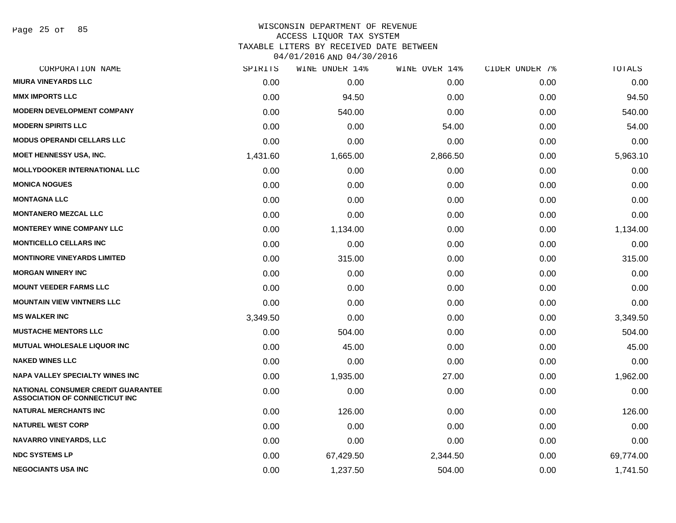Page 25 of 85

| CORPORATION NAME                                                                   | SPIRITS  | WINE UNDER 14% | WINE OVER 14% | CIDER UNDER 7% | TOTALS    |
|------------------------------------------------------------------------------------|----------|----------------|---------------|----------------|-----------|
| <b>MIURA VINEYARDS LLC</b>                                                         | 0.00     | 0.00           | 0.00          | 0.00           | 0.00      |
| <b>MMX IMPORTS LLC</b>                                                             | 0.00     | 94.50          | 0.00          | 0.00           | 94.50     |
| <b>MODERN DEVELOPMENT COMPANY</b>                                                  | 0.00     | 540.00         | 0.00          | 0.00           | 540.00    |
| <b>MODERN SPIRITS LLC</b>                                                          | 0.00     | 0.00           | 54.00         | 0.00           | 54.00     |
| <b>MODUS OPERANDI CELLARS LLC</b>                                                  | 0.00     | 0.00           | 0.00          | 0.00           | 0.00      |
| <b>MOET HENNESSY USA, INC.</b>                                                     | 1,431.60 | 1,665.00       | 2,866.50      | 0.00           | 5,963.10  |
| <b>MOLLYDOOKER INTERNATIONAL LLC</b>                                               | 0.00     | 0.00           | 0.00          | 0.00           | 0.00      |
| <b>MONICA NOGUES</b>                                                               | 0.00     | 0.00           | 0.00          | 0.00           | 0.00      |
| <b>MONTAGNA LLC</b>                                                                | 0.00     | 0.00           | 0.00          | 0.00           | 0.00      |
| <b>MONTANERO MEZCAL LLC</b>                                                        | 0.00     | 0.00           | 0.00          | 0.00           | 0.00      |
| <b>MONTEREY WINE COMPANY LLC</b>                                                   | 0.00     | 1,134.00       | 0.00          | 0.00           | 1,134.00  |
| <b>MONTICELLO CELLARS INC</b>                                                      | 0.00     | 0.00           | 0.00          | 0.00           | 0.00      |
| <b>MONTINORE VINEYARDS LIMITED</b>                                                 | 0.00     | 315.00         | 0.00          | 0.00           | 315.00    |
| <b>MORGAN WINERY INC</b>                                                           | 0.00     | 0.00           | 0.00          | 0.00           | 0.00      |
| <b>MOUNT VEEDER FARMS LLC</b>                                                      | 0.00     | 0.00           | 0.00          | 0.00           | 0.00      |
| <b>MOUNTAIN VIEW VINTNERS LLC</b>                                                  | 0.00     | 0.00           | 0.00          | 0.00           | 0.00      |
| <b>MS WALKER INC</b>                                                               | 3,349.50 | 0.00           | 0.00          | 0.00           | 3,349.50  |
| <b>MUSTACHE MENTORS LLC</b>                                                        | 0.00     | 504.00         | 0.00          | 0.00           | 504.00    |
| <b>MUTUAL WHOLESALE LIQUOR INC</b>                                                 | 0.00     | 45.00          | 0.00          | 0.00           | 45.00     |
| <b>NAKED WINES LLC</b>                                                             | 0.00     | 0.00           | 0.00          | 0.00           | 0.00      |
| <b>NAPA VALLEY SPECIALTY WINES INC</b>                                             | 0.00     | 1,935.00       | 27.00         | 0.00           | 1,962.00  |
| <b>NATIONAL CONSUMER CREDIT GUARANTEE</b><br><b>ASSOCIATION OF CONNECTICUT INC</b> | 0.00     | 0.00           | 0.00          | 0.00           | 0.00      |
| <b>NATURAL MERCHANTS INC</b>                                                       | 0.00     | 126.00         | 0.00          | 0.00           | 126.00    |
| <b>NATUREL WEST CORP</b>                                                           | 0.00     | 0.00           | 0.00          | 0.00           | 0.00      |
| NAVARRO VINEYARDS, LLC                                                             | 0.00     | 0.00           | 0.00          | 0.00           | 0.00      |
| <b>NDC SYSTEMS LP</b>                                                              | 0.00     | 67,429.50      | 2,344.50      | 0.00           | 69,774.00 |
| <b>NEGOCIANTS USA INC</b>                                                          | 0.00     | 1,237.50       | 504.00        | 0.00           | 1,741.50  |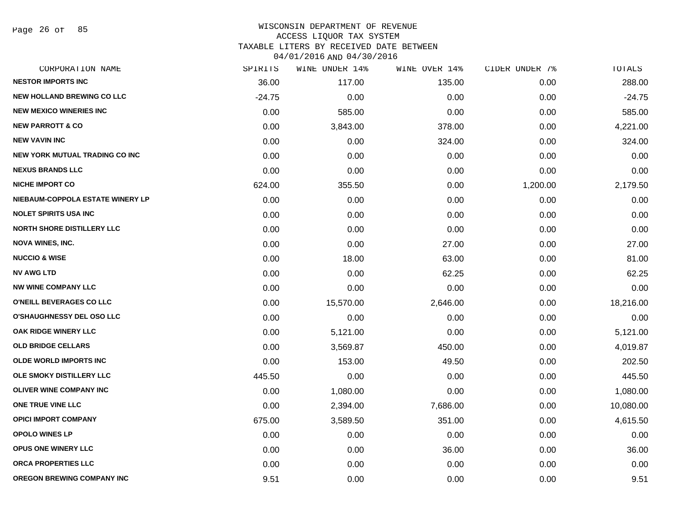Page 26 of 85

| CORPORATION NAME                      | SPIRITS  | WINE UNDER 14% | WINE OVER 14% | CIDER UNDER 7% | TOTALS    |
|---------------------------------------|----------|----------------|---------------|----------------|-----------|
| <b>NESTOR IMPORTS INC</b>             | 36.00    | 117.00         | 135.00        | 0.00           | 288.00    |
| <b>NEW HOLLAND BREWING CO LLC</b>     | $-24.75$ | 0.00           | 0.00          | 0.00           | $-24.75$  |
| <b>NEW MEXICO WINERIES INC</b>        | 0.00     | 585.00         | 0.00          | 0.00           | 585.00    |
| <b>NEW PARROTT &amp; CO</b>           | 0.00     | 3,843.00       | 378.00        | 0.00           | 4,221.00  |
| <b>NEW VAVIN INC</b>                  | 0.00     | 0.00           | 324.00        | 0.00           | 324.00    |
| <b>NEW YORK MUTUAL TRADING CO INC</b> | 0.00     | 0.00           | 0.00          | 0.00           | 0.00      |
| <b>NEXUS BRANDS LLC</b>               | 0.00     | 0.00           | 0.00          | 0.00           | 0.00      |
| <b>NICHE IMPORT CO</b>                | 624.00   | 355.50         | 0.00          | 1,200.00       | 2,179.50  |
| NIEBAUM-COPPOLA ESTATE WINERY LP      | 0.00     | 0.00           | 0.00          | 0.00           | 0.00      |
| <b>NOLET SPIRITS USA INC</b>          | 0.00     | 0.00           | 0.00          | 0.00           | 0.00      |
| <b>NORTH SHORE DISTILLERY LLC</b>     | 0.00     | 0.00           | 0.00          | 0.00           | 0.00      |
| <b>NOVA WINES, INC.</b>               | 0.00     | 0.00           | 27.00         | 0.00           | 27.00     |
| <b>NUCCIO &amp; WISE</b>              | 0.00     | 18.00          | 63.00         | 0.00           | 81.00     |
| <b>NV AWG LTD</b>                     | 0.00     | 0.00           | 62.25         | 0.00           | 62.25     |
| <b>NW WINE COMPANY LLC</b>            | 0.00     | 0.00           | 0.00          | 0.00           | 0.00      |
| O'NEILL BEVERAGES CO LLC              | 0.00     | 15,570.00      | 2,646.00      | 0.00           | 18,216.00 |
| <b>O'SHAUGHNESSY DEL OSO LLC</b>      | 0.00     | 0.00           | 0.00          | 0.00           | 0.00      |
| OAK RIDGE WINERY LLC                  | 0.00     | 5,121.00       | 0.00          | 0.00           | 5,121.00  |
| <b>OLD BRIDGE CELLARS</b>             | 0.00     | 3,569.87       | 450.00        | 0.00           | 4,019.87  |
| <b>OLDE WORLD IMPORTS INC</b>         | 0.00     | 153.00         | 49.50         | 0.00           | 202.50    |
| OLE SMOKY DISTILLERY LLC              | 445.50   | 0.00           | 0.00          | 0.00           | 445.50    |
| <b>OLIVER WINE COMPANY INC</b>        | 0.00     | 1,080.00       | 0.00          | 0.00           | 1,080.00  |
| ONE TRUE VINE LLC                     | 0.00     | 2,394.00       | 7,686.00      | 0.00           | 10,080.00 |
| <b>OPICI IMPORT COMPANY</b>           | 675.00   | 3,589.50       | 351.00        | 0.00           | 4,615.50  |
| <b>OPOLO WINES LP</b>                 | 0.00     | 0.00           | 0.00          | 0.00           | 0.00      |
| <b>OPUS ONE WINERY LLC</b>            | 0.00     | 0.00           | 36.00         | 0.00           | 36.00     |
| ORCA PROPERTIES LLC                   | 0.00     | 0.00           | 0.00          | 0.00           | 0.00      |
| OREGON BREWING COMPANY INC            | 9.51     | 0.00           | 0.00          | 0.00           | 9.51      |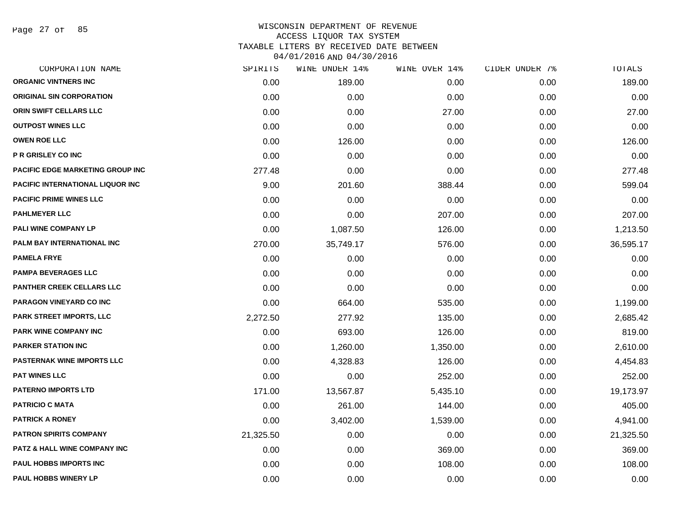Page 27 of 85

| SPIRITS   | WINE UNDER 14% |          | CIDER UNDER 7% | TOTALS    |
|-----------|----------------|----------|----------------|-----------|
| 0.00      | 189.00         | 0.00     | 0.00           | 189.00    |
| 0.00      | 0.00           | 0.00     | 0.00           | 0.00      |
| 0.00      | 0.00           | 27.00    | 0.00           | 27.00     |
| 0.00      | 0.00           | 0.00     | 0.00           | 0.00      |
| 0.00      | 126.00         | 0.00     | 0.00           | 126.00    |
| 0.00      | 0.00           | 0.00     | 0.00           | 0.00      |
| 277.48    | 0.00           | 0.00     | 0.00           | 277.48    |
| 9.00      | 201.60         | 388.44   | 0.00           | 599.04    |
| 0.00      | 0.00           | 0.00     | 0.00           | 0.00      |
| 0.00      | 0.00           | 207.00   | 0.00           | 207.00    |
| 0.00      | 1,087.50       | 126.00   | 0.00           | 1,213.50  |
| 270.00    | 35,749.17      | 576.00   | 0.00           | 36,595.17 |
| 0.00      | 0.00           | 0.00     | 0.00           | 0.00      |
| 0.00      | 0.00           | 0.00     | 0.00           | 0.00      |
| 0.00      | 0.00           | 0.00     | 0.00           | 0.00      |
| 0.00      | 664.00         | 535.00   | 0.00           | 1,199.00  |
| 2,272.50  | 277.92         | 135.00   | 0.00           | 2,685.42  |
| 0.00      | 693.00         | 126.00   | 0.00           | 819.00    |
| 0.00      | 1,260.00       | 1,350.00 | 0.00           | 2,610.00  |
| 0.00      | 4,328.83       | 126.00   | 0.00           | 4,454.83  |
| 0.00      | 0.00           | 252.00   | 0.00           | 252.00    |
| 171.00    | 13,567.87      | 5,435.10 | 0.00           | 19,173.97 |
| 0.00      | 261.00         | 144.00   | 0.00           | 405.00    |
| 0.00      | 3,402.00       | 1,539.00 | 0.00           | 4,941.00  |
| 21,325.50 | 0.00           | 0.00     | 0.00           | 21,325.50 |
| 0.00      | 0.00           | 369.00   | 0.00           | 369.00    |
| 0.00      | 0.00           | 108.00   | 0.00           | 108.00    |
| 0.00      | 0.00           | 0.00     | 0.00           | 0.00      |
|           |                |          | WINE OVER 14%  |           |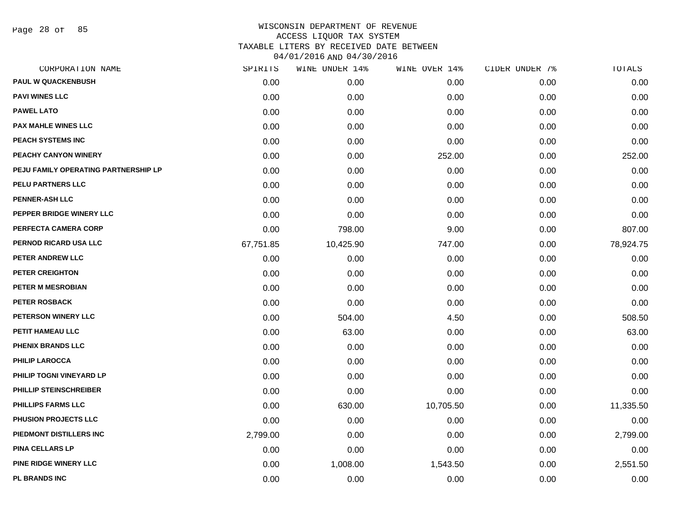Page 28 of 85

| CORPORATION NAME                     | SPIRITS   | WINE UNDER 14% | WINE OVER 14% | CIDER UNDER 7% | TOTALS    |
|--------------------------------------|-----------|----------------|---------------|----------------|-----------|
| <b>PAUL W QUACKENBUSH</b>            | 0.00      | 0.00           | 0.00          | 0.00           | 0.00      |
| <b>PAVI WINES LLC</b>                | 0.00      | 0.00           | 0.00          | 0.00           | 0.00      |
| <b>PAWEL LATO</b>                    | 0.00      | 0.00           | 0.00          | 0.00           | 0.00      |
| <b>PAX MAHLE WINES LLC</b>           | 0.00      | 0.00           | 0.00          | 0.00           | 0.00      |
| PEACH SYSTEMS INC                    | 0.00      | 0.00           | 0.00          | 0.00           | 0.00      |
| PEACHY CANYON WINERY                 | 0.00      | 0.00           | 252.00        | 0.00           | 252.00    |
| PEJU FAMILY OPERATING PARTNERSHIP LP | 0.00      | 0.00           | 0.00          | 0.00           | 0.00      |
| PELU PARTNERS LLC                    | 0.00      | 0.00           | 0.00          | 0.00           | 0.00      |
| <b>PENNER-ASH LLC</b>                | 0.00      | 0.00           | 0.00          | 0.00           | 0.00      |
| PEPPER BRIDGE WINERY LLC             | 0.00      | 0.00           | 0.00          | 0.00           | 0.00      |
| PERFECTA CAMERA CORP                 | 0.00      | 798.00         | 9.00          | 0.00           | 807.00    |
| PERNOD RICARD USA LLC                | 67,751.85 | 10,425.90      | 747.00        | 0.00           | 78,924.75 |
| PETER ANDREW LLC                     | 0.00      | 0.00           | 0.00          | 0.00           | 0.00      |
| <b>PETER CREIGHTON</b>               | 0.00      | 0.00           | 0.00          | 0.00           | 0.00      |
| PETER M MESROBIAN                    | 0.00      | 0.00           | 0.00          | 0.00           | 0.00      |
| PETER ROSBACK                        | 0.00      | 0.00           | 0.00          | 0.00           | 0.00      |
| PETERSON WINERY LLC                  | 0.00      | 504.00         | 4.50          | 0.00           | 508.50    |
| PETIT HAMEAU LLC                     | 0.00      | 63.00          | 0.00          | 0.00           | 63.00     |
| PHENIX BRANDS LLC                    | 0.00      | 0.00           | 0.00          | 0.00           | 0.00      |
| <b>PHILIP LAROCCA</b>                | 0.00      | 0.00           | 0.00          | 0.00           | 0.00      |
| PHILIP TOGNI VINEYARD LP             | 0.00      | 0.00           | 0.00          | 0.00           | 0.00      |
| PHILLIP STEINSCHREIBER               | 0.00      | 0.00           | 0.00          | 0.00           | 0.00      |
| <b>PHILLIPS FARMS LLC</b>            | 0.00      | 630.00         | 10,705.50     | 0.00           | 11,335.50 |
| PHUSION PROJECTS LLC                 | 0.00      | 0.00           | 0.00          | 0.00           | 0.00      |
| PIEDMONT DISTILLERS INC              | 2,799.00  | 0.00           | 0.00          | 0.00           | 2,799.00  |
| <b>PINA CELLARS LP</b>               | 0.00      | 0.00           | 0.00          | 0.00           | 0.00      |
| PINE RIDGE WINERY LLC                | 0.00      | 1,008.00       | 1,543.50      | 0.00           | 2,551.50  |
| PL BRANDS INC                        | 0.00      | 0.00           | 0.00          | 0.00           | 0.00      |
|                                      |           |                |               |                |           |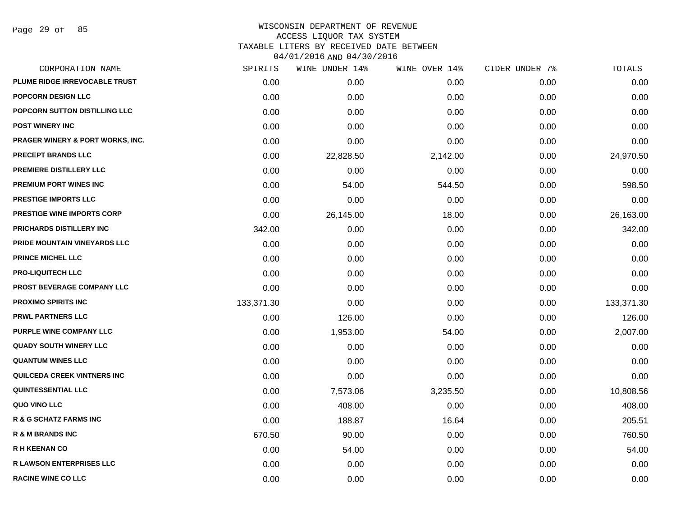Page 29 of 85

| CORPORATION NAME                            | SPIRITS    | WINE UNDER 14% | WINE OVER 14% | CIDER UNDER 7% | TOTALS     |
|---------------------------------------------|------------|----------------|---------------|----------------|------------|
| PLUME RIDGE IRREVOCABLE TRUST               | 0.00       | 0.00           | 0.00          | 0.00           | 0.00       |
| <b>POPCORN DESIGN LLC</b>                   | 0.00       | 0.00           | 0.00          | 0.00           | 0.00       |
| POPCORN SUTTON DISTILLING LLC               | 0.00       | 0.00           | 0.00          | 0.00           | 0.00       |
| <b>POST WINERY INC</b>                      | 0.00       | 0.00           | 0.00          | 0.00           | 0.00       |
| <b>PRAGER WINERY &amp; PORT WORKS, INC.</b> | 0.00       | 0.00           | 0.00          | 0.00           | 0.00       |
| <b>PRECEPT BRANDS LLC</b>                   | 0.00       | 22,828.50      | 2,142.00      | 0.00           | 24,970.50  |
| PREMIERE DISTILLERY LLC                     | 0.00       | 0.00           | 0.00          | 0.00           | 0.00       |
| PREMIUM PORT WINES INC                      | 0.00       | 54.00          | 544.50        | 0.00           | 598.50     |
| PRESTIGE IMPORTS LLC                        | 0.00       | 0.00           | 0.00          | 0.00           | 0.00       |
| PRESTIGE WINE IMPORTS CORP                  | 0.00       | 26,145.00      | 18.00         | 0.00           | 26,163.00  |
| PRICHARDS DISTILLERY INC                    | 342.00     | 0.00           | 0.00          | 0.00           | 342.00     |
| PRIDE MOUNTAIN VINEYARDS LLC                | 0.00       | 0.00           | 0.00          | 0.00           | 0.00       |
| PRINCE MICHEL LLC                           | 0.00       | 0.00           | 0.00          | 0.00           | 0.00       |
| <b>PRO-LIQUITECH LLC</b>                    | 0.00       | 0.00           | 0.00          | 0.00           | 0.00       |
| PROST BEVERAGE COMPANY LLC                  | 0.00       | 0.00           | 0.00          | 0.00           | 0.00       |
| <b>PROXIMO SPIRITS INC</b>                  | 133,371.30 | 0.00           | 0.00          | 0.00           | 133,371.30 |
| <b>PRWL PARTNERS LLC</b>                    | 0.00       | 126.00         | 0.00          | 0.00           | 126.00     |
| <b>PURPLE WINE COMPANY LLC</b>              | 0.00       | 1,953.00       | 54.00         | 0.00           | 2,007.00   |
| <b>QUADY SOUTH WINERY LLC</b>               | 0.00       | 0.00           | 0.00          | 0.00           | 0.00       |
| <b>QUANTUM WINES LLC</b>                    | 0.00       | 0.00           | 0.00          | 0.00           | 0.00       |
| QUILCEDA CREEK VINTNERS INC                 | 0.00       | 0.00           | 0.00          | 0.00           | 0.00       |
| QUINTESSENTIAL LLC                          | 0.00       | 7,573.06       | 3,235.50      | 0.00           | 10,808.56  |
| QUO VINO LLC                                | 0.00       | 408.00         | 0.00          | 0.00           | 408.00     |
| <b>R &amp; G SCHATZ FARMS INC</b>           | 0.00       | 188.87         | 16.64         | 0.00           | 205.51     |
| <b>R &amp; M BRANDS INC</b>                 | 670.50     | 90.00          | 0.00          | 0.00           | 760.50     |
| <b>R H KEENAN CO</b>                        | 0.00       | 54.00          | 0.00          | 0.00           | 54.00      |
| <b>R LAWSON ENTERPRISES LLC</b>             | 0.00       | 0.00           | 0.00          | 0.00           | 0.00       |
| <b>RACINE WINE CO LLC</b>                   | 0.00       | 0.00           | 0.00          | 0.00           | 0.00       |
|                                             |            |                |               |                |            |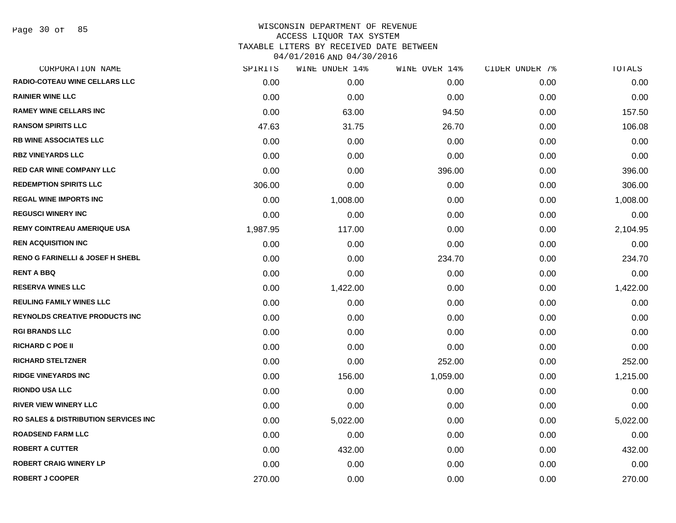Page 30 of 85

| CORPORATION NAME                                | SPIRITS  | WINE UNDER 14% | WINE OVER 14% | CIDER UNDER 7% | TOTALS   |
|-------------------------------------------------|----------|----------------|---------------|----------------|----------|
| RADIO-COTEAU WINE CELLARS LLC                   | 0.00     | 0.00           | 0.00          | 0.00           | 0.00     |
| <b>RAINIER WINE LLC</b>                         | 0.00     | 0.00           | 0.00          | 0.00           | 0.00     |
| <b>RAMEY WINE CELLARS INC</b>                   | 0.00     | 63.00          | 94.50         | 0.00           | 157.50   |
| <b>RANSOM SPIRITS LLC</b>                       | 47.63    | 31.75          | 26.70         | 0.00           | 106.08   |
| <b>RB WINE ASSOCIATES LLC</b>                   | 0.00     | 0.00           | 0.00          | 0.00           | 0.00     |
| <b>RBZ VINEYARDS LLC</b>                        | 0.00     | 0.00           | 0.00          | 0.00           | 0.00     |
| <b>RED CAR WINE COMPANY LLC</b>                 | 0.00     | 0.00           | 396.00        | 0.00           | 396.00   |
| <b>REDEMPTION SPIRITS LLC</b>                   | 306.00   | 0.00           | 0.00          | 0.00           | 306.00   |
| <b>REGAL WINE IMPORTS INC</b>                   | 0.00     | 1,008.00       | 0.00          | 0.00           | 1,008.00 |
| <b>REGUSCI WINERY INC</b>                       | 0.00     | 0.00           | 0.00          | 0.00           | 0.00     |
| <b>REMY COINTREAU AMERIQUE USA</b>              | 1,987.95 | 117.00         | 0.00          | 0.00           | 2,104.95 |
| <b>REN ACQUISITION INC</b>                      | 0.00     | 0.00           | 0.00          | 0.00           | 0.00     |
| <b>RENO G FARINELLI &amp; JOSEF H SHEBL</b>     | 0.00     | 0.00           | 234.70        | 0.00           | 234.70   |
| <b>RENT A BBQ</b>                               | 0.00     | 0.00           | 0.00          | 0.00           | 0.00     |
| <b>RESERVA WINES LLC</b>                        | 0.00     | 1,422.00       | 0.00          | 0.00           | 1,422.00 |
| <b>REULING FAMILY WINES LLC</b>                 | 0.00     | 0.00           | 0.00          | 0.00           | 0.00     |
| <b>REYNOLDS CREATIVE PRODUCTS INC</b>           | 0.00     | 0.00           | 0.00          | 0.00           | 0.00     |
| <b>RGI BRANDS LLC</b>                           | 0.00     | 0.00           | 0.00          | 0.00           | 0.00     |
| <b>RICHARD C POE II</b>                         | 0.00     | 0.00           | 0.00          | 0.00           | 0.00     |
| <b>RICHARD STELTZNER</b>                        | 0.00     | 0.00           | 252.00        | 0.00           | 252.00   |
| <b>RIDGE VINEYARDS INC</b>                      | 0.00     | 156.00         | 1,059.00      | 0.00           | 1,215.00 |
| <b>RIONDO USA LLC</b>                           | 0.00     | 0.00           | 0.00          | 0.00           | 0.00     |
| <b>RIVER VIEW WINERY LLC</b>                    | 0.00     | 0.00           | 0.00          | 0.00           | 0.00     |
| <b>RO SALES &amp; DISTRIBUTION SERVICES INC</b> | 0.00     | 5,022.00       | 0.00          | 0.00           | 5,022.00 |
| <b>ROADSEND FARM LLC</b>                        | 0.00     | 0.00           | 0.00          | 0.00           | 0.00     |
| <b>ROBERT A CUTTER</b>                          | 0.00     | 432.00         | 0.00          | 0.00           | 432.00   |
| <b>ROBERT CRAIG WINERY LP</b>                   | 0.00     | 0.00           | 0.00          | 0.00           | 0.00     |
| <b>ROBERT J COOPER</b>                          | 270.00   | 0.00           | 0.00          | 0.00           | 270.00   |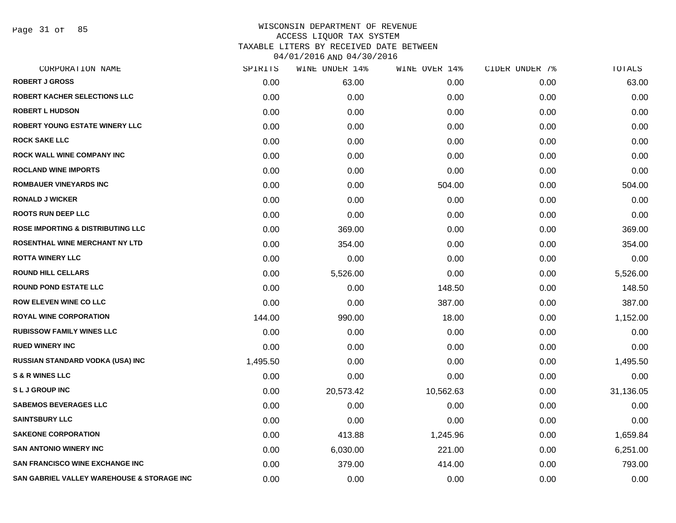Page 31 of 85

| SPIRITS  | WINE UNDER 14% |           | CIDER UNDER 7% | TOTALS    |
|----------|----------------|-----------|----------------|-----------|
| 0.00     | 63.00          | 0.00      | 0.00           | 63.00     |
| 0.00     | 0.00           | 0.00      | 0.00           | 0.00      |
| 0.00     | 0.00           | 0.00      | 0.00           | 0.00      |
| 0.00     | 0.00           | 0.00      | 0.00           | 0.00      |
| 0.00     | 0.00           | 0.00      | 0.00           | 0.00      |
| 0.00     | 0.00           | 0.00      | 0.00           | 0.00      |
| 0.00     | 0.00           | 0.00      | 0.00           | 0.00      |
| 0.00     | 0.00           | 504.00    | 0.00           | 504.00    |
| 0.00     | 0.00           | 0.00      | 0.00           | 0.00      |
| 0.00     | 0.00           | 0.00      | 0.00           | 0.00      |
| 0.00     | 369.00         | 0.00      | 0.00           | 369.00    |
| 0.00     | 354.00         | 0.00      | 0.00           | 354.00    |
| 0.00     | 0.00           | 0.00      | 0.00           | 0.00      |
| 0.00     | 5,526.00       | 0.00      | 0.00           | 5,526.00  |
| 0.00     | 0.00           | 148.50    | 0.00           | 148.50    |
| 0.00     | 0.00           | 387.00    | 0.00           | 387.00    |
| 144.00   | 990.00         | 18.00     | 0.00           | 1,152.00  |
| 0.00     | 0.00           | 0.00      | 0.00           | 0.00      |
| 0.00     | 0.00           | 0.00      | 0.00           | 0.00      |
| 1,495.50 | 0.00           | 0.00      | 0.00           | 1,495.50  |
| 0.00     | 0.00           | 0.00      | 0.00           | 0.00      |
| 0.00     | 20,573.42      | 10,562.63 | 0.00           | 31,136.05 |
| 0.00     | 0.00           | 0.00      | 0.00           | 0.00      |
| 0.00     | 0.00           | 0.00      | 0.00           | 0.00      |
| 0.00     | 413.88         | 1,245.96  | 0.00           | 1,659.84  |
| 0.00     | 6,030.00       | 221.00    | 0.00           | 6,251.00  |
| 0.00     | 379.00         | 414.00    | 0.00           | 793.00    |
| 0.00     | 0.00           | 0.00      | 0.00           | 0.00      |
|          |                |           | WINE OVER 14%  |           |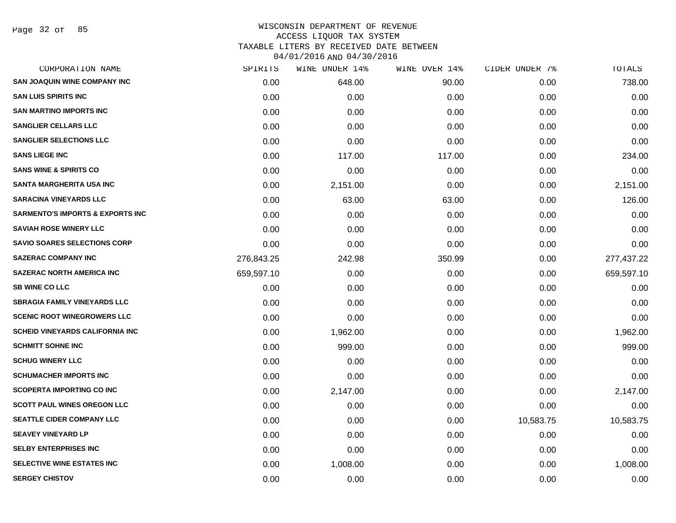Page 32 of 85

| CORPORATION NAME                            | SPIRITS    | WINE UNDER 14% | WINE OVER 14% | CIDER UNDER 7% | TOTALS     |
|---------------------------------------------|------------|----------------|---------------|----------------|------------|
| <b>SAN JOAQUIN WINE COMPANY INC</b>         | 0.00       | 648.00         | 90.00         | 0.00           | 738.00     |
| <b>SAN LUIS SPIRITS INC</b>                 | 0.00       | 0.00           | 0.00          | 0.00           | 0.00       |
| <b>SAN MARTINO IMPORTS INC</b>              | 0.00       | 0.00           | 0.00          | 0.00           | 0.00       |
| <b>SANGLIER CELLARS LLC</b>                 | 0.00       | 0.00           | 0.00          | 0.00           | 0.00       |
| <b>SANGLIER SELECTIONS LLC</b>              | 0.00       | 0.00           | 0.00          | 0.00           | 0.00       |
| <b>SANS LIEGE INC</b>                       | 0.00       | 117.00         | 117.00        | 0.00           | 234.00     |
| <b>SANS WINE &amp; SPIRITS CO</b>           | 0.00       | 0.00           | 0.00          | 0.00           | 0.00       |
| <b>SANTA MARGHERITA USA INC</b>             | 0.00       | 2,151.00       | 0.00          | 0.00           | 2,151.00   |
| <b>SARACINA VINEYARDS LLC</b>               | 0.00       | 63.00          | 63.00         | 0.00           | 126.00     |
| <b>SARMENTO'S IMPORTS &amp; EXPORTS INC</b> | 0.00       | 0.00           | 0.00          | 0.00           | 0.00       |
| <b>SAVIAH ROSE WINERY LLC</b>               | 0.00       | 0.00           | 0.00          | 0.00           | 0.00       |
| <b>SAVIO SOARES SELECTIONS CORP</b>         | 0.00       | 0.00           | 0.00          | 0.00           | 0.00       |
| <b>SAZERAC COMPANY INC</b>                  | 276,843.25 | 242.98         | 350.99        | 0.00           | 277,437.22 |
| SAZERAC NORTH AMERICA INC                   | 659,597.10 | 0.00           | 0.00          | 0.00           | 659,597.10 |
| <b>SB WINE CO LLC</b>                       | 0.00       | 0.00           | 0.00          | 0.00           | 0.00       |
| <b>SBRAGIA FAMILY VINEYARDS LLC</b>         | 0.00       | 0.00           | 0.00          | 0.00           | 0.00       |
| <b>SCENIC ROOT WINEGROWERS LLC</b>          | 0.00       | 0.00           | 0.00          | 0.00           | 0.00       |
| <b>SCHEID VINEYARDS CALIFORNIA INC</b>      | 0.00       | 1,962.00       | 0.00          | 0.00           | 1,962.00   |
| <b>SCHMITT SOHNE INC</b>                    | 0.00       | 999.00         | 0.00          | 0.00           | 999.00     |
| <b>SCHUG WINERY LLC</b>                     | 0.00       | 0.00           | 0.00          | 0.00           | 0.00       |
| <b>SCHUMACHER IMPORTS INC</b>               | 0.00       | 0.00           | 0.00          | 0.00           | 0.00       |
| <b>SCOPERTA IMPORTING CO INC</b>            | 0.00       | 2,147.00       | 0.00          | 0.00           | 2,147.00   |
| <b>SCOTT PAUL WINES OREGON LLC</b>          | 0.00       | 0.00           | 0.00          | 0.00           | 0.00       |
| <b>SEATTLE CIDER COMPANY LLC</b>            | 0.00       | 0.00           | 0.00          | 10,583.75      | 10,583.75  |
| <b>SEAVEY VINEYARD LP</b>                   | 0.00       | 0.00           | 0.00          | 0.00           | 0.00       |
| <b>SELBY ENTERPRISES INC</b>                | 0.00       | 0.00           | 0.00          | 0.00           | 0.00       |
| SELECTIVE WINE ESTATES INC                  | 0.00       | 1,008.00       | 0.00          | 0.00           | 1,008.00   |
| <b>SERGEY CHISTOV</b>                       | 0.00       | 0.00           | 0.00          | 0.00           | 0.00       |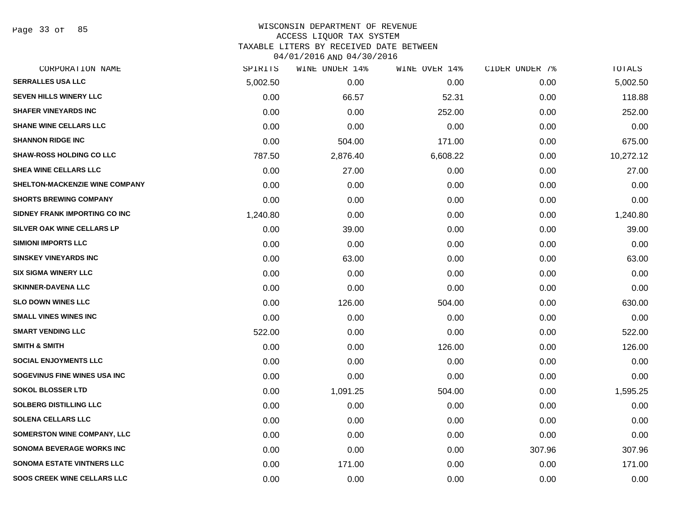Page 33 of 85

| CORPORATION NAME                   | SPIRITS  | WINE UNDER 14% | WINE OVER 14% | CIDER UNDER 7% | <b>TOTALS</b> |
|------------------------------------|----------|----------------|---------------|----------------|---------------|
| <b>SERRALLES USA LLC</b>           | 5,002.50 | 0.00           | 0.00          | 0.00           | 5,002.50      |
| <b>SEVEN HILLS WINERY LLC</b>      | 0.00     | 66.57          | 52.31         | 0.00           | 118.88        |
| <b>SHAFER VINEYARDS INC</b>        | 0.00     | 0.00           | 252.00        | 0.00           | 252.00        |
| <b>SHANE WINE CELLARS LLC</b>      | 0.00     | 0.00           | 0.00          | 0.00           | 0.00          |
| <b>SHANNON RIDGE INC</b>           | 0.00     | 504.00         | 171.00        | 0.00           | 675.00        |
| <b>SHAW-ROSS HOLDING CO LLC</b>    | 787.50   | 2,876.40       | 6,608.22      | 0.00           | 10,272.12     |
| SHEA WINE CELLARS LLC              | 0.00     | 27.00          | 0.00          | 0.00           | 27.00         |
| SHELTON-MACKENZIE WINE COMPANY     | 0.00     | 0.00           | 0.00          | 0.00           | 0.00          |
| <b>SHORTS BREWING COMPANY</b>      | 0.00     | 0.00           | 0.00          | 0.00           | 0.00          |
| SIDNEY FRANK IMPORTING CO INC      | 1,240.80 | 0.00           | 0.00          | 0.00           | 1,240.80      |
| SILVER OAK WINE CELLARS LP         | 0.00     | 39.00          | 0.00          | 0.00           | 39.00         |
| <b>SIMIONI IMPORTS LLC</b>         | 0.00     | 0.00           | 0.00          | 0.00           | 0.00          |
| <b>SINSKEY VINEYARDS INC</b>       | 0.00     | 63.00          | 0.00          | 0.00           | 63.00         |
| <b>SIX SIGMA WINERY LLC</b>        | 0.00     | 0.00           | 0.00          | 0.00           | 0.00          |
| <b>SKINNER-DAVENA LLC</b>          | 0.00     | 0.00           | 0.00          | 0.00           | 0.00          |
| <b>SLO DOWN WINES LLC</b>          | 0.00     | 126.00         | 504.00        | 0.00           | 630.00        |
| <b>SMALL VINES WINES INC</b>       | 0.00     | 0.00           | 0.00          | 0.00           | 0.00          |
| <b>SMART VENDING LLC</b>           | 522.00   | 0.00           | 0.00          | 0.00           | 522.00        |
| <b>SMITH &amp; SMITH</b>           | 0.00     | 0.00           | 126.00        | 0.00           | 126.00        |
| <b>SOCIAL ENJOYMENTS LLC</b>       | 0.00     | 0.00           | 0.00          | 0.00           | 0.00          |
| SOGEVINUS FINE WINES USA INC       | 0.00     | 0.00           | 0.00          | 0.00           | 0.00          |
| <b>SOKOL BLOSSER LTD</b>           | 0.00     | 1,091.25       | 504.00        | 0.00           | 1,595.25      |
| <b>SOLBERG DISTILLING LLC</b>      | 0.00     | 0.00           | 0.00          | 0.00           | 0.00          |
| <b>SOLENA CELLARS LLC</b>          | 0.00     | 0.00           | 0.00          | 0.00           | 0.00          |
| <b>SOMERSTON WINE COMPANY, LLC</b> | 0.00     | 0.00           | 0.00          | 0.00           | 0.00          |
| <b>SONOMA BEVERAGE WORKS INC</b>   | 0.00     | 0.00           | 0.00          | 307.96         | 307.96        |
| <b>SONOMA ESTATE VINTNERS LLC</b>  | 0.00     | 171.00         | 0.00          | 0.00           | 171.00        |
| <b>SOOS CREEK WINE CELLARS LLC</b> | 0.00     | 0.00           | 0.00          | 0.00           | 0.00          |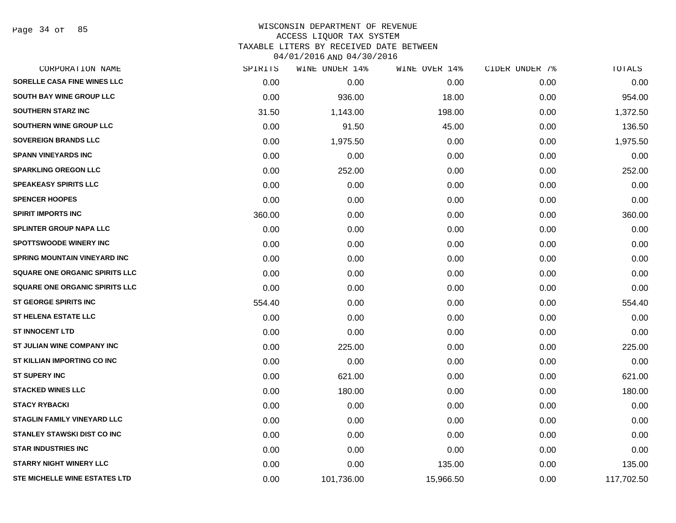Page 34 of 85

| CORPORATION NAME                     | SPIRITS | WINE UNDER 14% | WINE OVER 14% | CIDER UNDER 7% | TOTALS     |
|--------------------------------------|---------|----------------|---------------|----------------|------------|
| SORELLE CASA FINE WINES LLC          | 0.00    | 0.00           | 0.00          | 0.00           | 0.00       |
| <b>SOUTH BAY WINE GROUP LLC</b>      | 0.00    | 936.00         | 18.00         | 0.00           | 954.00     |
| <b>SOUTHERN STARZ INC</b>            | 31.50   | 1,143.00       | 198.00        | 0.00           | 1,372.50   |
| SOUTHERN WINE GROUP LLC              | 0.00    | 91.50          | 45.00         | 0.00           | 136.50     |
| <b>SOVEREIGN BRANDS LLC</b>          | 0.00    | 1,975.50       | 0.00          | 0.00           | 1,975.50   |
| <b>SPANN VINEYARDS INC</b>           | 0.00    | 0.00           | 0.00          | 0.00           | 0.00       |
| <b>SPARKLING OREGON LLC</b>          | 0.00    | 252.00         | 0.00          | 0.00           | 252.00     |
| <b>SPEAKEASY SPIRITS LLC</b>         | 0.00    | 0.00           | 0.00          | 0.00           | 0.00       |
| <b>SPENCER HOOPES</b>                | 0.00    | 0.00           | 0.00          | 0.00           | 0.00       |
| <b>SPIRIT IMPORTS INC</b>            | 360.00  | 0.00           | 0.00          | 0.00           | 360.00     |
| SPLINTER GROUP NAPA LLC              | 0.00    | 0.00           | 0.00          | 0.00           | 0.00       |
| <b>SPOTTSWOODE WINERY INC</b>        | 0.00    | 0.00           | 0.00          | 0.00           | 0.00       |
| SPRING MOUNTAIN VINEYARD INC         | 0.00    | 0.00           | 0.00          | 0.00           | 0.00       |
| SQUARE ONE ORGANIC SPIRITS LLC       | 0.00    | 0.00           | 0.00          | 0.00           | 0.00       |
| SQUARE ONE ORGANIC SPIRITS LLC       | 0.00    | 0.00           | 0.00          | 0.00           | 0.00       |
| <b>ST GEORGE SPIRITS INC</b>         | 554.40  | 0.00           | 0.00          | 0.00           | 554.40     |
| <b>ST HELENA ESTATE LLC</b>          | 0.00    | 0.00           | 0.00          | 0.00           | 0.00       |
| <b>ST INNOCENT LTD</b>               | 0.00    | 0.00           | 0.00          | 0.00           | 0.00       |
| ST JULIAN WINE COMPANY INC           | 0.00    | 225.00         | 0.00          | 0.00           | 225.00     |
| ST KILLIAN IMPORTING CO INC          | 0.00    | 0.00           | 0.00          | 0.00           | 0.00       |
| <b>ST SUPERY INC</b>                 | 0.00    | 621.00         | 0.00          | 0.00           | 621.00     |
| <b>STACKED WINES LLC</b>             | 0.00    | 180.00         | 0.00          | 0.00           | 180.00     |
| <b>STACY RYBACKI</b>                 | 0.00    | 0.00           | 0.00          | 0.00           | 0.00       |
| <b>STAGLIN FAMILY VINEYARD LLC</b>   | 0.00    | 0.00           | 0.00          | 0.00           | 0.00       |
| <b>STANLEY STAWSKI DIST CO INC</b>   | 0.00    | 0.00           | 0.00          | 0.00           | 0.00       |
| <b>STAR INDUSTRIES INC</b>           | 0.00    | 0.00           | 0.00          | 0.00           | 0.00       |
| <b>STARRY NIGHT WINERY LLC</b>       | 0.00    | 0.00           | 135.00        | 0.00           | 135.00     |
| <b>STE MICHELLE WINE ESTATES LTD</b> | 0.00    | 101,736.00     | 15,966.50     | 0.00           | 117,702.50 |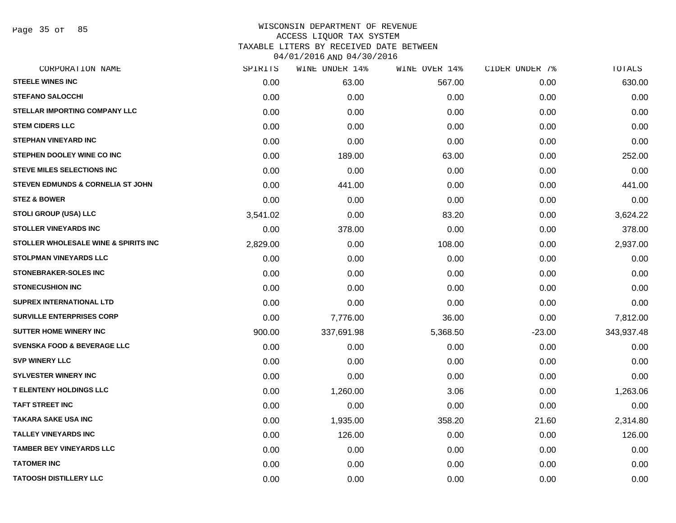Page 35 of 85

| CORPORATION NAME                       | SPIRITS  | WINE UNDER 14% | WINE OVER 14% | CIDER UNDER 7% | TOTALS     |
|----------------------------------------|----------|----------------|---------------|----------------|------------|
| <b>STEELE WINES INC</b>                | 0.00     | 63.00          | 567.00        | 0.00           | 630.00     |
| <b>STEFANO SALOCCHI</b>                | 0.00     | 0.00           | 0.00          | 0.00           | 0.00       |
| <b>STELLAR IMPORTING COMPANY LLC</b>   | 0.00     | 0.00           | 0.00          | 0.00           | 0.00       |
| <b>STEM CIDERS LLC</b>                 | 0.00     | 0.00           | 0.00          | 0.00           | 0.00       |
| <b>STEPHAN VINEYARD INC</b>            | 0.00     | 0.00           | 0.00          | 0.00           | 0.00       |
| STEPHEN DOOLEY WINE CO INC             | 0.00     | 189.00         | 63.00         | 0.00           | 252.00     |
| <b>STEVE MILES SELECTIONS INC</b>      | 0.00     | 0.00           | 0.00          | 0.00           | 0.00       |
| STEVEN EDMUNDS & CORNELIA ST JOHN      | 0.00     | 441.00         | 0.00          | 0.00           | 441.00     |
| <b>STEZ &amp; BOWER</b>                | 0.00     | 0.00           | 0.00          | 0.00           | 0.00       |
| <b>STOLI GROUP (USA) LLC</b>           | 3,541.02 | 0.00           | 83.20         | 0.00           | 3,624.22   |
| <b>STOLLER VINEYARDS INC</b>           | 0.00     | 378.00         | 0.00          | 0.00           | 378.00     |
| STOLLER WHOLESALE WINE & SPIRITS INC   | 2,829.00 | 0.00           | 108.00        | 0.00           | 2,937.00   |
| <b>STOLPMAN VINEYARDS LLC</b>          | 0.00     | 0.00           | 0.00          | 0.00           | 0.00       |
| <b>STONEBRAKER-SOLES INC</b>           | 0.00     | 0.00           | 0.00          | 0.00           | 0.00       |
| <b>STONECUSHION INC</b>                | 0.00     | 0.00           | 0.00          | 0.00           | 0.00       |
| SUPREX INTERNATIONAL LTD               | 0.00     | 0.00           | 0.00          | 0.00           | 0.00       |
| <b>SURVILLE ENTERPRISES CORP</b>       | 0.00     | 7,776.00       | 36.00         | 0.00           | 7,812.00   |
| <b>SUTTER HOME WINERY INC.</b>         | 900.00   | 337,691.98     | 5,368.50      | $-23.00$       | 343,937.48 |
| <b>SVENSKA FOOD &amp; BEVERAGE LLC</b> | 0.00     | 0.00           | 0.00          | 0.00           | 0.00       |
| <b>SVP WINERY LLC</b>                  | 0.00     | 0.00           | 0.00          | 0.00           | 0.00       |
| <b>SYLVESTER WINERY INC</b>            | 0.00     | 0.00           | 0.00          | 0.00           | 0.00       |
| <b>T ELENTENY HOLDINGS LLC</b>         | 0.00     | 1,260.00       | 3.06          | 0.00           | 1,263.06   |
| <b>TAFT STREET INC</b>                 | 0.00     | 0.00           | 0.00          | 0.00           | 0.00       |
| TAKARA SAKE USA INC                    | 0.00     | 1,935.00       | 358.20        | 21.60          | 2,314.80   |
| <b>TALLEY VINEYARDS INC</b>            | 0.00     | 126.00         | 0.00          | 0.00           | 126.00     |
| <b>TAMBER BEY VINEYARDS LLC</b>        | 0.00     | 0.00           | 0.00          | 0.00           | 0.00       |
| <b>TATOMER INC</b>                     | 0.00     | 0.00           | 0.00          | 0.00           | 0.00       |
| <b>TATOOSH DISTILLERY LLC</b>          | 0.00     | 0.00           | 0.00          | 0.00           | 0.00       |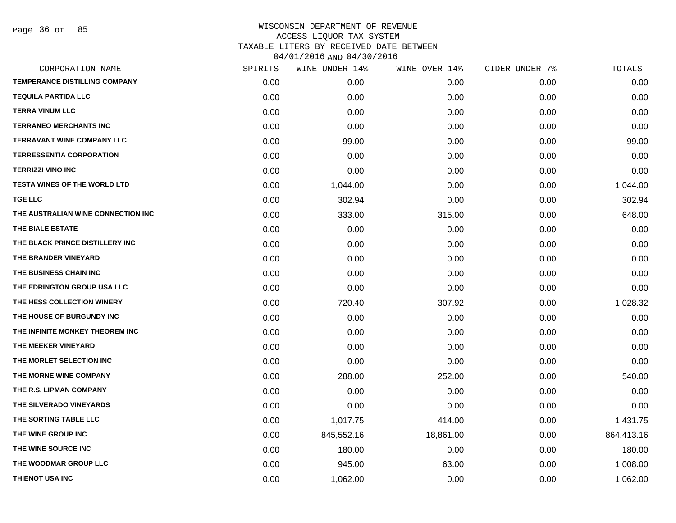Page 36 of 85

| SPIRITS | WINE UNDER 14% |           |               | TOTALS         |
|---------|----------------|-----------|---------------|----------------|
| 0.00    | 0.00           | 0.00      | 0.00          | 0.00           |
| 0.00    | 0.00           | 0.00      | 0.00          | 0.00           |
| 0.00    | 0.00           | 0.00      | 0.00          | 0.00           |
| 0.00    | 0.00           | 0.00      | 0.00          | 0.00           |
| 0.00    | 99.00          | 0.00      | 0.00          | 99.00          |
| 0.00    | 0.00           | 0.00      | 0.00          | 0.00           |
| 0.00    | 0.00           | 0.00      | 0.00          | 0.00           |
| 0.00    | 1,044.00       | 0.00      | 0.00          | 1,044.00       |
| 0.00    | 302.94         | 0.00      | 0.00          | 302.94         |
| 0.00    | 333.00         | 315.00    | 0.00          | 648.00         |
| 0.00    | 0.00           | 0.00      | 0.00          | 0.00           |
| 0.00    | 0.00           | 0.00      | 0.00          | 0.00           |
| 0.00    | 0.00           | 0.00      | 0.00          | 0.00           |
| 0.00    | 0.00           | 0.00      | 0.00          | 0.00           |
| 0.00    | 0.00           | 0.00      | 0.00          | 0.00           |
| 0.00    | 720.40         | 307.92    | 0.00          | 1,028.32       |
| 0.00    | 0.00           | 0.00      | 0.00          | 0.00           |
| 0.00    | 0.00           | 0.00      | 0.00          | 0.00           |
| 0.00    | 0.00           | 0.00      | 0.00          | 0.00           |
| 0.00    | 0.00           | 0.00      | 0.00          | 0.00           |
| 0.00    | 288.00         | 252.00    | 0.00          | 540.00         |
| 0.00    | 0.00           | 0.00      | 0.00          | 0.00           |
| 0.00    | 0.00           | 0.00      | 0.00          | 0.00           |
| 0.00    | 1,017.75       | 414.00    | 0.00          | 1,431.75       |
| 0.00    | 845,552.16     | 18,861.00 | 0.00          | 864,413.16     |
| 0.00    | 180.00         | 0.00      | 0.00          | 180.00         |
| 0.00    | 945.00         | 63.00     | 0.00          | 1,008.00       |
| 0.00    | 1,062.00       | 0.00      | 0.00          | 1,062.00       |
|         |                |           | WINE OVER 14% | CIDER UNDER 7% |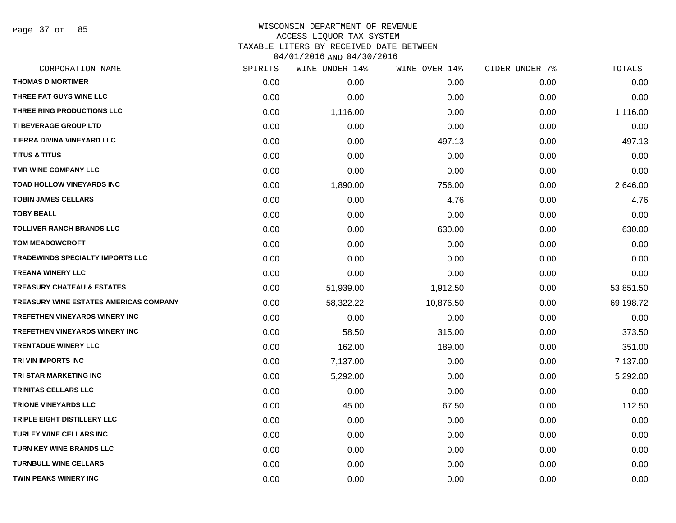Page 37 of 85

# WISCONSIN DEPARTMENT OF REVENUE ACCESS LIQUOR TAX SYSTEM TAXABLE LITERS BY RECEIVED DATE BETWEEN

04/01/2016 AND 04/30/2016

| CORPORATION NAME                              | SPIRITS | WINE UNDER 14% | WINE OVER 14% | CIDER UNDER 7% | TOTALS    |
|-----------------------------------------------|---------|----------------|---------------|----------------|-----------|
| <b>THOMAS D MORTIMER</b>                      | 0.00    | 0.00           | 0.00          | 0.00           | 0.00      |
| THREE FAT GUYS WINE LLC                       | 0.00    | 0.00           | 0.00          | 0.00           | 0.00      |
| THREE RING PRODUCTIONS LLC                    | 0.00    | 1,116.00       | 0.00          | 0.00           | 1,116.00  |
| <b>TI BEVERAGE GROUP LTD</b>                  | 0.00    | 0.00           | 0.00          | 0.00           | 0.00      |
| TIERRA DIVINA VINEYARD LLC                    | 0.00    | 0.00           | 497.13        | 0.00           | 497.13    |
| <b>TITUS &amp; TITUS</b>                      | 0.00    | 0.00           | 0.00          | 0.00           | 0.00      |
| TMR WINE COMPANY LLC                          | 0.00    | 0.00           | 0.00          | 0.00           | 0.00      |
| <b>TOAD HOLLOW VINEYARDS INC</b>              | 0.00    | 1,890.00       | 756.00        | 0.00           | 2,646.00  |
| <b>TOBIN JAMES CELLARS</b>                    | 0.00    | 0.00           | 4.76          | 0.00           | 4.76      |
| <b>TOBY BEALL</b>                             | 0.00    | 0.00           | 0.00          | 0.00           | 0.00      |
| <b>TOLLIVER RANCH BRANDS LLC</b>              | 0.00    | 0.00           | 630.00        | 0.00           | 630.00    |
| <b>TOM MEADOWCROFT</b>                        | 0.00    | 0.00           | 0.00          | 0.00           | 0.00      |
| <b>TRADEWINDS SPECIALTY IMPORTS LLC</b>       | 0.00    | 0.00           | 0.00          | 0.00           | 0.00      |
| <b>TREANA WINERY LLC</b>                      | 0.00    | 0.00           | 0.00          | 0.00           | 0.00      |
| <b>TREASURY CHATEAU &amp; ESTATES</b>         | 0.00    | 51,939.00      | 1,912.50      | 0.00           | 53,851.50 |
| <b>TREASURY WINE ESTATES AMERICAS COMPANY</b> | 0.00    | 58,322.22      | 10,876.50     | 0.00           | 69,198.72 |
| <b>TREFETHEN VINEYARDS WINERY INC</b>         | 0.00    | 0.00           | 0.00          | 0.00           | 0.00      |
| <b>TREFETHEN VINEYARDS WINERY INC</b>         | 0.00    | 58.50          | 315.00        | 0.00           | 373.50    |
| <b>TRENTADUE WINERY LLC</b>                   | 0.00    | 162.00         | 189.00        | 0.00           | 351.00    |
| TRI VIN IMPORTS INC                           | 0.00    | 7,137.00       | 0.00          | 0.00           | 7,137.00  |
| <b>TRI-STAR MARKETING INC</b>                 | 0.00    | 5,292.00       | 0.00          | 0.00           | 5,292.00  |
| TRINITAS CELLARS LLC                          | 0.00    | 0.00           | 0.00          | 0.00           | 0.00      |
| <b>TRIONE VINEYARDS LLC</b>                   | 0.00    | 45.00          | 67.50         | 0.00           | 112.50    |
| TRIPLE EIGHT DISTILLERY LLC                   | 0.00    | 0.00           | 0.00          | 0.00           | 0.00      |
| <b>TURLEY WINE CELLARS INC</b>                | 0.00    | 0.00           | 0.00          | 0.00           | 0.00      |
| <b>TURN KEY WINE BRANDS LLC</b>               | 0.00    | 0.00           | 0.00          | 0.00           | 0.00      |
| <b>TURNBULL WINE CELLARS</b>                  | 0.00    | 0.00           | 0.00          | 0.00           | 0.00      |
| <b>TWIN PEAKS WINERY INC</b>                  | 0.00    | 0.00           | 0.00          | 0.00           | 0.00      |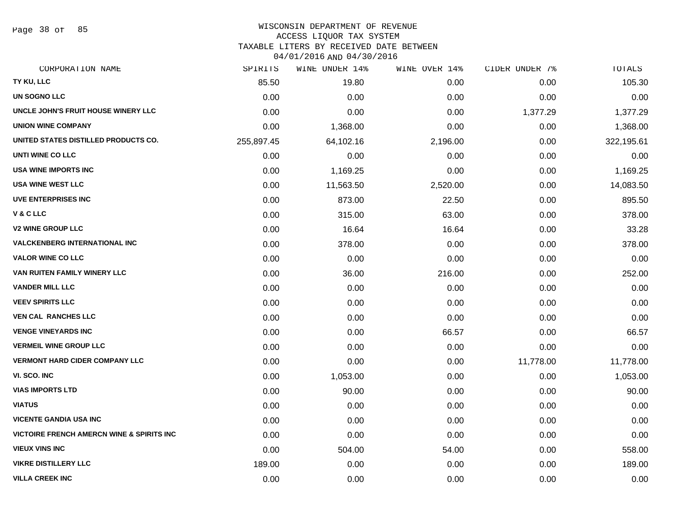Page 38 of 85

### WISCONSIN DEPARTMENT OF REVENUE ACCESS LIQUOR TAX SYSTEM

TAXABLE LITERS BY RECEIVED DATE BETWEEN

04/01/2016 AND 04/30/2016

| CORPORATION NAME                                     | SPIRITS    | WINE UNDER 14% | WINE OVER 14% | CIDER UNDER 7% | TOTALS     |
|------------------------------------------------------|------------|----------------|---------------|----------------|------------|
| TY KU, LLC                                           | 85.50      | 19.80          | 0.00          | 0.00           | 105.30     |
| <b>UN SOGNO LLC</b>                                  | 0.00       | 0.00           | 0.00          | 0.00           | 0.00       |
| UNCLE JOHN'S FRUIT HOUSE WINERY LLC                  | 0.00       | 0.00           | 0.00          | 1,377.29       | 1,377.29   |
| <b>UNION WINE COMPANY</b>                            | 0.00       | 1,368.00       | 0.00          | 0.00           | 1,368.00   |
| UNITED STATES DISTILLED PRODUCTS CO.                 | 255,897.45 | 64,102.16      | 2,196.00      | 0.00           | 322,195.61 |
| UNTI WINE CO LLC                                     | 0.00       | 0.00           | 0.00          | 0.00           | 0.00       |
| <b>USA WINE IMPORTS INC</b>                          | 0.00       | 1,169.25       | 0.00          | 0.00           | 1,169.25   |
| <b>USA WINE WEST LLC</b>                             | 0.00       | 11,563.50      | 2,520.00      | 0.00           | 14,083.50  |
| <b>UVE ENTERPRISES INC</b>                           | 0.00       | 873.00         | 22.50         | 0.00           | 895.50     |
| <b>V&amp;CLLC</b>                                    | 0.00       | 315.00         | 63.00         | 0.00           | 378.00     |
| <b>V2 WINE GROUP LLC</b>                             | 0.00       | 16.64          | 16.64         | 0.00           | 33.28      |
| <b>VALCKENBERG INTERNATIONAL INC</b>                 | 0.00       | 378.00         | 0.00          | 0.00           | 378.00     |
| <b>VALOR WINE CO LLC</b>                             | 0.00       | 0.00           | 0.00          | 0.00           | 0.00       |
| VAN RUITEN FAMILY WINERY LLC                         | 0.00       | 36.00          | 216.00        | 0.00           | 252.00     |
| <b>VANDER MILL LLC</b>                               | 0.00       | 0.00           | 0.00          | 0.00           | 0.00       |
| <b>VEEV SPIRITS LLC</b>                              | 0.00       | 0.00           | 0.00          | 0.00           | 0.00       |
| <b>VEN CAL RANCHES LLC</b>                           | 0.00       | 0.00           | 0.00          | 0.00           | 0.00       |
| <b>VENGE VINEYARDS INC</b>                           | 0.00       | 0.00           | 66.57         | 0.00           | 66.57      |
| <b>VERMEIL WINE GROUP LLC</b>                        | 0.00       | 0.00           | 0.00          | 0.00           | 0.00       |
| <b>VERMONT HARD CIDER COMPANY LLC</b>                | 0.00       | 0.00           | 0.00          | 11,778.00      | 11,778.00  |
| VI. SCO. INC                                         | 0.00       | 1,053.00       | 0.00          | 0.00           | 1,053.00   |
| <b>VIAS IMPORTS LTD</b>                              | 0.00       | 90.00          | 0.00          | 0.00           | 90.00      |
| <b>VIATUS</b>                                        | 0.00       | 0.00           | 0.00          | 0.00           | 0.00       |
| <b>VICENTE GANDIA USA INC</b>                        | 0.00       | 0.00           | 0.00          | 0.00           | 0.00       |
| <b>VICTOIRE FRENCH AMERCN WINE &amp; SPIRITS INC</b> | 0.00       | 0.00           | 0.00          | 0.00           | 0.00       |
| <b>VIEUX VINS INC</b>                                | 0.00       | 504.00         | 54.00         | 0.00           | 558.00     |
| <b>VIKRE DISTILLERY LLC</b>                          | 189.00     | 0.00           | 0.00          | 0.00           | 189.00     |
| <b>VILLA CREEK INC</b>                               | 0.00       | 0.00           | 0.00          | 0.00           | 0.00       |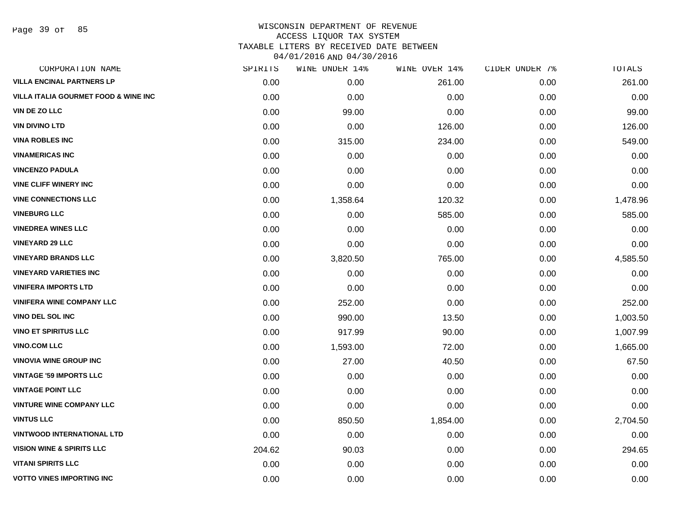Page 39 of 85

| CORPORATION NAME                                | SPIRITS | WINE UNDER 14% | WINE OVER 14% | CIDER UNDER 7% | TOTALS   |
|-------------------------------------------------|---------|----------------|---------------|----------------|----------|
| <b>VILLA ENCINAL PARTNERS LP</b>                | 0.00    | 0.00           | 261.00        | 0.00           | 261.00   |
| <b>VILLA ITALIA GOURMET FOOD &amp; WINE INC</b> | 0.00    | 0.00           | 0.00          | 0.00           | 0.00     |
| VIN DE ZO LLC                                   | 0.00    | 99.00          | 0.00          | 0.00           | 99.00    |
| <b>VIN DIVINO LTD</b>                           | 0.00    | 0.00           | 126.00        | 0.00           | 126.00   |
| <b>VINA ROBLES INC</b>                          | 0.00    | 315.00         | 234.00        | 0.00           | 549.00   |
| <b>VINAMERICAS INC</b>                          | 0.00    | 0.00           | 0.00          | 0.00           | 0.00     |
| <b>VINCENZO PADULA</b>                          | 0.00    | 0.00           | 0.00          | 0.00           | 0.00     |
| <b>VINE CLIFF WINERY INC</b>                    | 0.00    | 0.00           | 0.00          | 0.00           | 0.00     |
| <b>VINE CONNECTIONS LLC</b>                     | 0.00    | 1,358.64       | 120.32        | 0.00           | 1,478.96 |
| <b>VINEBURG LLC</b>                             | 0.00    | 0.00           | 585.00        | 0.00           | 585.00   |
| <b>VINEDREA WINES LLC</b>                       | 0.00    | 0.00           | 0.00          | 0.00           | 0.00     |
| <b>VINEYARD 29 LLC</b>                          | 0.00    | 0.00           | 0.00          | 0.00           | 0.00     |
| <b>VINEYARD BRANDS LLC</b>                      | 0.00    | 3,820.50       | 765.00        | 0.00           | 4,585.50 |
| <b>VINEYARD VARIETIES INC</b>                   | 0.00    | 0.00           | 0.00          | 0.00           | 0.00     |
| <b>VINIFERA IMPORTS LTD</b>                     | 0.00    | 0.00           | 0.00          | 0.00           | 0.00     |
| <b>VINIFERA WINE COMPANY LLC</b>                | 0.00    | 252.00         | 0.00          | 0.00           | 252.00   |
| VINO DEL SOL INC                                | 0.00    | 990.00         | 13.50         | 0.00           | 1,003.50 |
| <b>VINO ET SPIRITUS LLC</b>                     | 0.00    | 917.99         | 90.00         | 0.00           | 1,007.99 |
| <b>VINO.COM LLC</b>                             | 0.00    | 1,593.00       | 72.00         | 0.00           | 1,665.00 |
| <b>VINOVIA WINE GROUP INC</b>                   | 0.00    | 27.00          | 40.50         | 0.00           | 67.50    |
| <b>VINTAGE '59 IMPORTS LLC</b>                  | 0.00    | 0.00           | 0.00          | 0.00           | 0.00     |
| <b>VINTAGE POINT LLC</b>                        | 0.00    | 0.00           | 0.00          | 0.00           | 0.00     |
| <b>VINTURE WINE COMPANY LLC</b>                 | 0.00    | 0.00           | 0.00          | 0.00           | 0.00     |
| <b>VINTUS LLC</b>                               | 0.00    | 850.50         | 1,854.00      | 0.00           | 2,704.50 |
| <b>VINTWOOD INTERNATIONAL LTD</b>               | 0.00    | 0.00           | 0.00          | 0.00           | 0.00     |
| <b>VISION WINE &amp; SPIRITS LLC</b>            | 204.62  | 90.03          | 0.00          | 0.00           | 294.65   |
| <b>VITANI SPIRITS LLC</b>                       | 0.00    | 0.00           | 0.00          | 0.00           | 0.00     |
| <b>VOTTO VINES IMPORTING INC</b>                | 0.00    | 0.00           | 0.00          | 0.00           | 0.00     |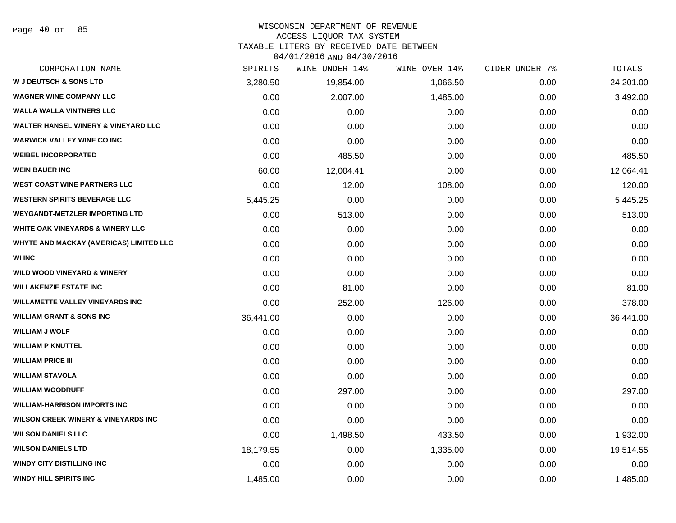# WISCONSIN DEPARTMENT OF REVENUE

#### ACCESS LIQUOR TAX SYSTEM

TAXABLE LITERS BY RECEIVED DATE BETWEEN

04/01/2016 AND 04/30/2016

| CORPORATION NAME                               | SPIRITS   | WINE UNDER 14% | WINE OVER 14% | CIDER UNDER 7% | TOTALS    |
|------------------------------------------------|-----------|----------------|---------------|----------------|-----------|
| <b>W J DEUTSCH &amp; SONS LTD</b>              | 3,280.50  | 19,854.00      | 1,066.50      | 0.00           | 24,201.00 |
| <b>WAGNER WINE COMPANY LLC</b>                 | 0.00      | 2,007.00       | 1,485.00      | 0.00           | 3,492.00  |
| WALLA WALLA VINTNERS LLC                       | 0.00      | 0.00           | 0.00          | 0.00           | 0.00      |
| <b>WALTER HANSEL WINERY &amp; VINEYARD LLC</b> | 0.00      | 0.00           | 0.00          | 0.00           | 0.00      |
| <b>WARWICK VALLEY WINE CO INC</b>              | 0.00      | 0.00           | 0.00          | 0.00           | 0.00      |
| <b>WEIBEL INCORPORATED</b>                     | 0.00      | 485.50         | 0.00          | 0.00           | 485.50    |
| <b>WEIN BAUER INC</b>                          | 60.00     | 12,004.41      | 0.00          | 0.00           | 12,064.41 |
| <b>WEST COAST WINE PARTNERS LLC</b>            | 0.00      | 12.00          | 108.00        | 0.00           | 120.00    |
| <b>WESTERN SPIRITS BEVERAGE LLC</b>            | 5,445.25  | 0.00           | 0.00          | 0.00           | 5,445.25  |
| <b>WEYGANDT-METZLER IMPORTING LTD</b>          | 0.00      | 513.00         | 0.00          | 0.00           | 513.00    |
| WHITE OAK VINEYARDS & WINERY LLC               | 0.00      | 0.00           | 0.00          | 0.00           | 0.00      |
| WHYTE AND MACKAY (AMERICAS) LIMITED LLC        | 0.00      | 0.00           | 0.00          | 0.00           | 0.00      |
| <b>WI INC</b>                                  | 0.00      | 0.00           | 0.00          | 0.00           | 0.00      |
| <b>WILD WOOD VINEYARD &amp; WINERY</b>         | 0.00      | 0.00           | 0.00          | 0.00           | 0.00      |
| <b>WILLAKENZIE ESTATE INC</b>                  | 0.00      | 81.00          | 0.00          | 0.00           | 81.00     |
| <b>WILLAMETTE VALLEY VINEYARDS INC</b>         | 0.00      | 252.00         | 126.00        | 0.00           | 378.00    |
| <b>WILLIAM GRANT &amp; SONS INC</b>            | 36,441.00 | 0.00           | 0.00          | 0.00           | 36,441.00 |
| <b>WILLIAM J WOLF</b>                          | 0.00      | 0.00           | 0.00          | 0.00           | 0.00      |
| <b>WILLIAM P KNUTTEL</b>                       | 0.00      | 0.00           | 0.00          | 0.00           | 0.00      |
| <b>WILLIAM PRICE III</b>                       | 0.00      | 0.00           | 0.00          | 0.00           | 0.00      |
| <b>WILLIAM STAVOLA</b>                         | 0.00      | 0.00           | 0.00          | 0.00           | 0.00      |
| <b>WILLIAM WOODRUFF</b>                        | 0.00      | 297.00         | 0.00          | 0.00           | 297.00    |
| <b>WILLIAM-HARRISON IMPORTS INC</b>            | 0.00      | 0.00           | 0.00          | 0.00           | 0.00      |
| <b>WILSON CREEK WINERY &amp; VINEYARDS INC</b> | 0.00      | 0.00           | 0.00          | 0.00           | 0.00      |
| <b>WILSON DANIELS LLC</b>                      | 0.00      | 1,498.50       | 433.50        | 0.00           | 1,932.00  |
| <b>WILSON DANIELS LTD</b>                      | 18,179.55 | 0.00           | 1,335.00      | 0.00           | 19,514.55 |
| <b>WINDY CITY DISTILLING INC</b>               | 0.00      | 0.00           | 0.00          | 0.00           | 0.00      |
| WINDY HILL SPIRITS INC                         | 1,485.00  | 0.00           | 0.00          | 0.00           | 1,485.00  |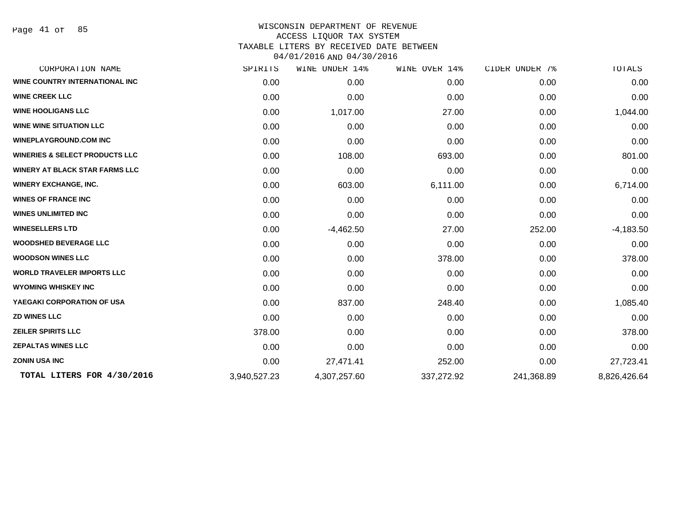Page 41 of 85

| CORPORATION NAME                          | SPIRITS      | WINE UNDER 14% | WINE OVER 14% | CIDER UNDER 7% | TOTALS       |
|-------------------------------------------|--------------|----------------|---------------|----------------|--------------|
| <b>WINE COUNTRY INTERNATIONAL INC.</b>    | 0.00         | 0.00           | 0.00          | 0.00           | 0.00         |
| <b>WINE CREEK LLC</b>                     | 0.00         | 0.00           | 0.00          | 0.00           | 0.00         |
| <b>WINE HOOLIGANS LLC</b>                 | 0.00         | 1,017.00       | 27.00         | 0.00           | 1,044.00     |
| <b>WINE WINE SITUATION LLC</b>            | 0.00         | 0.00           | 0.00          | 0.00           | 0.00         |
| <b>WINEPLAYGROUND.COM INC</b>             | 0.00         | 0.00           | 0.00          | 0.00           | 0.00         |
| <b>WINERIES &amp; SELECT PRODUCTS LLC</b> | 0.00         | 108.00         | 693.00        | 0.00           | 801.00       |
| <b>WINERY AT BLACK STAR FARMS LLC</b>     | 0.00         | 0.00           | 0.00          | 0.00           | 0.00         |
| <b>WINERY EXCHANGE, INC.</b>              | 0.00         | 603.00         | 6,111.00      | 0.00           | 6,714.00     |
| <b>WINES OF FRANCE INC</b>                | 0.00         | 0.00           | 0.00          | 0.00           | 0.00         |
| <b>WINES UNLIMITED INC</b>                | 0.00         | 0.00           | 0.00          | 0.00           | 0.00         |
| <b>WINESELLERS LTD</b>                    | 0.00         | $-4,462.50$    | 27.00         | 252.00         | $-4,183.50$  |
| <b>WOODSHED BEVERAGE LLC</b>              | 0.00         | 0.00           | 0.00          | 0.00           | 0.00         |
| <b>WOODSON WINES LLC</b>                  | 0.00         | 0.00           | 378.00        | 0.00           | 378.00       |
| <b>WORLD TRAVELER IMPORTS LLC</b>         | 0.00         | 0.00           | 0.00          | 0.00           | 0.00         |
| <b>WYOMING WHISKEY INC</b>                | 0.00         | 0.00           | 0.00          | 0.00           | 0.00         |
| YAEGAKI CORPORATION OF USA                | 0.00         | 837.00         | 248.40        | 0.00           | 1,085.40     |
| <b>ZD WINES LLC</b>                       | 0.00         | 0.00           | 0.00          | 0.00           | 0.00         |
| <b>ZEILER SPIRITS LLC</b>                 | 378.00       | 0.00           | 0.00          | 0.00           | 378.00       |
| <b>ZEPALTAS WINES LLC</b>                 | 0.00         | 0.00           | 0.00          | 0.00           | 0.00         |
| <b>ZONIN USA INC</b>                      | 0.00         | 27,471.41      | 252.00        | 0.00           | 27,723.41    |
| TOTAL LITERS FOR 4/30/2016                | 3,940,527.23 | 4,307,257.60   | 337,272.92    | 241,368.89     | 8,826,426.64 |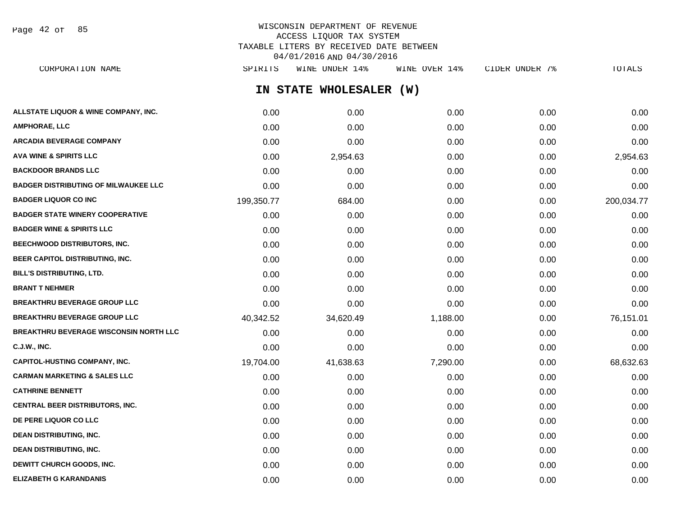Page 42 of 85

# WISCONSIN DEPARTMENT OF REVENUE ACCESS LIQUOR TAX SYSTEM TAXABLE LITERS BY RECEIVED DATE BETWEEN 04/01/2016 AND 04/30/2016

**IN STATE WHOLESALER (W) ALLSTATE LIQUOR & WINE COMPANY, INC.**  $0.00$   $0.00$   $0.00$   $0.00$   $0.00$   $0.00$   $0.00$   $0.00$   $0.00$   $0.00$   $0.00$   $0.00$ **AMPHORAE, LLC** 0.00 0.00 0.00 0.00 0.00 **ARCADIA BEVERAGE COMPANY** 0.00 0.00 0.00 0.00 0.00 **AVA WINE & SPIRITS LLC** 0.00 2,954.63 0.00 0.00 2,954.63 **BACKDOOR BRANDS LLC** 0.00 0.00 0.00 0.00 0.00 **BADGER DISTRIBUTING OF MILWAUKEE LLC** 0.00 0.00 0.00 0.00 0.00 **BADGER LIQUOR CO INC** 199,350.77 684.00 0.00 0.00 200,034.77 **BADGER STATE WINERY COOPERATIVE** 0.00 0.00 0.00 0.00 0.00 **BADGER WINE & SPIRITS LLC**  $\begin{array}{ccc} 0.00 & 0.00 & 0.00 \\ 0.00 & 0.00 & 0.00 \end{array}$ **BEECHWOOD DISTRIBUTORS, INC.** 0.00 0.00 0.00 0.00 0.00 **BEER CAPITOL DISTRIBUTING, INC.** 0.00 0.00 0.00 0.00 0.00 **BILL'S DISTRIBUTING, LTD.** 0.00 0.00 0.00 0.00 0.00 **BRANT T NEHMER** 0.00 0.00 0.00 0.00 0.00 **BREAKTHRU BEVERAGE GROUP LLC** 0.00 0.00 0.00 0.00 0.00 **BREAKTHRU BEVERAGE GROUP LLC** 40,342.52 34,620.49 1,188.00 0.00 76,151.01 **BREAKTHRU BEVERAGE WISCONSIN NORTH LLC** 0.00 0.00 0.00 0.00 0.00 **C.J.W., INC.** 0.00 0.00 0.00 0.00 0.00 **CAPITOL-HUSTING COMPANY, INC.** 19,704.00 41,638.63 7,290.00 0.00 68,632.63 **CARMAN MARKETING & SALES LLC** 0.00 0.00 0.00 0.00 0.00 **CATHRINE BENNETT** 0.00 0.00 0.00 0.00 0.00 **CENTRAL BEER DISTRIBUTORS, INC.** 0.00 0.00 0.00 0.00 0.00 **DE PERE LIQUOR CO LLC** 0.00 0.00 0.00 0.00 0.00 **DEAN DISTRIBUTING, INC.** 0.00 0.00 0.00 0.00 0.00 **DEAN DISTRIBUTING, INC.** 0.00 0.00 0.00 0.00 0.00 **DEWITT CHURCH GOODS, INC.** 0.00 0.00 0.00 0.00 0.00 CORPORATION NAME SPIRITS WINE UNDER 14% WINE OVER 14% CIDER UNDER 7% TOTALS

**ELIZABETH G KARANDANIS** 0.00 0.00 0.00 0.00 0.00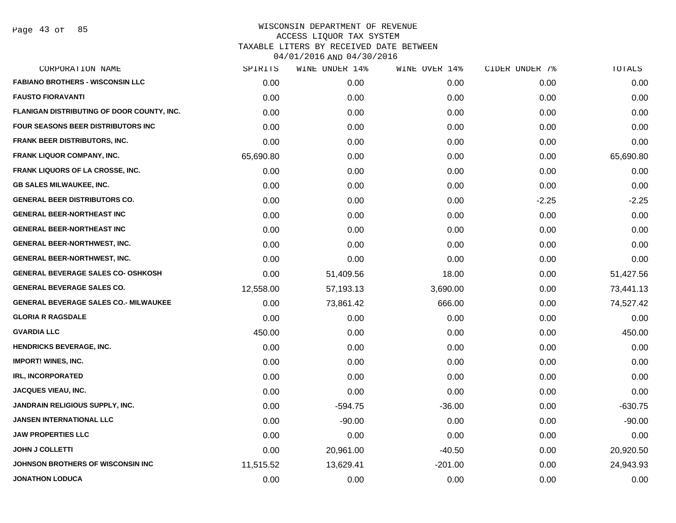| CORPORATION NAME                           | SPIRITS   | WINE UNDER 14% | WINE OVER 14% | CIDER UNDER 7% | TOTALS    |
|--------------------------------------------|-----------|----------------|---------------|----------------|-----------|
| <b>FABIANO BROTHERS - WISCONSIN LLC</b>    | 0.00      | 0.00           | 0.00          | 0.00           | 0.00      |
| <b>FAUSTO FIORAVANTI</b>                   | 0.00      | 0.00           | 0.00          | 0.00           | 0.00      |
| FLANIGAN DISTRIBUTING OF DOOR COUNTY, INC. | 0.00      | 0.00           | 0.00          | 0.00           | 0.00      |
| <b>FOUR SEASONS BEER DISTRIBUTORS INC</b>  | 0.00      | 0.00           | 0.00          | 0.00           | 0.00      |
| <b>FRANK BEER DISTRIBUTORS, INC.</b>       | 0.00      | 0.00           | 0.00          | 0.00           | 0.00      |
| <b>FRANK LIQUOR COMPANY, INC.</b>          | 65,690.80 | 0.00           | 0.00          | 0.00           | 65,690.80 |
| FRANK LIQUORS OF LA CROSSE, INC.           | 0.00      | 0.00           | 0.00          | 0.00           | 0.00      |
| <b>GB SALES MILWAUKEE, INC.</b>            | 0.00      | 0.00           | 0.00          | 0.00           | 0.00      |
| <b>GENERAL BEER DISTRIBUTORS CO.</b>       | 0.00      | 0.00           | 0.00          | $-2.25$        | $-2.25$   |
| <b>GENERAL BEER-NORTHEAST INC</b>          | 0.00      | 0.00           | 0.00          | 0.00           | 0.00      |
| <b>GENERAL BEER-NORTHEAST INC</b>          | 0.00      | 0.00           | 0.00          | 0.00           | 0.00      |
| <b>GENERAL BEER-NORTHWEST, INC.</b>        | 0.00      | 0.00           | 0.00          | 0.00           | 0.00      |
| <b>GENERAL BEER-NORTHWEST, INC.</b>        | 0.00      | 0.00           | 0.00          | 0.00           | 0.00      |
| <b>GENERAL BEVERAGE SALES CO- OSHKOSH</b>  | 0.00      | 51,409.56      | 18.00         | 0.00           | 51,427.56 |
| <b>GENERAL BEVERAGE SALES CO.</b>          | 12,558.00 | 57,193.13      | 3,690.00      | 0.00           | 73,441.13 |
| GENERAL BEVERAGE SALES CO.- MILWAUKEE      | 0.00      | 73,861.42      | 666.00        | 0.00           | 74,527.42 |
| <b>GLORIA R RAGSDALE</b>                   | 0.00      | 0.00           | 0.00          | 0.00           | 0.00      |
| <b>GVARDIA LLC</b>                         | 450.00    | 0.00           | 0.00          | 0.00           | 450.00    |
| <b>HENDRICKS BEVERAGE, INC.</b>            | 0.00      | 0.00           | 0.00          | 0.00           | 0.00      |
| <b>IMPORT! WINES, INC.</b>                 | 0.00      | 0.00           | 0.00          | 0.00           | 0.00      |
| <b>IRL, INCORPORATED</b>                   | 0.00      | 0.00           | 0.00          | 0.00           | 0.00      |
| <b>JACQUES VIEAU, INC.</b>                 | 0.00      | 0.00           | 0.00          | 0.00           | 0.00      |
| <b>JANDRAIN RELIGIOUS SUPPLY, INC.</b>     | 0.00      | $-594.75$      | $-36.00$      | 0.00           | $-630.75$ |
| <b>JANSEN INTERNATIONAL LLC</b>            | 0.00      | $-90.00$       | 0.00          | 0.00           | $-90.00$  |
| <b>JAW PROPERTIES LLC</b>                  | 0.00      | 0.00           | 0.00          | 0.00           | 0.00      |
| <b>JOHN J COLLETTI</b>                     | 0.00      | 20,961.00      | $-40.50$      | 0.00           | 20,920.50 |
| JOHNSON BROTHERS OF WISCONSIN INC          | 11,515.52 | 13,629.41      | $-201.00$     | 0.00           | 24,943.93 |
| <b>JONATHON LODUCA</b>                     | 0.00      | 0.00           | 0.00          | 0.00           | 0.00      |
|                                            |           |                |               |                |           |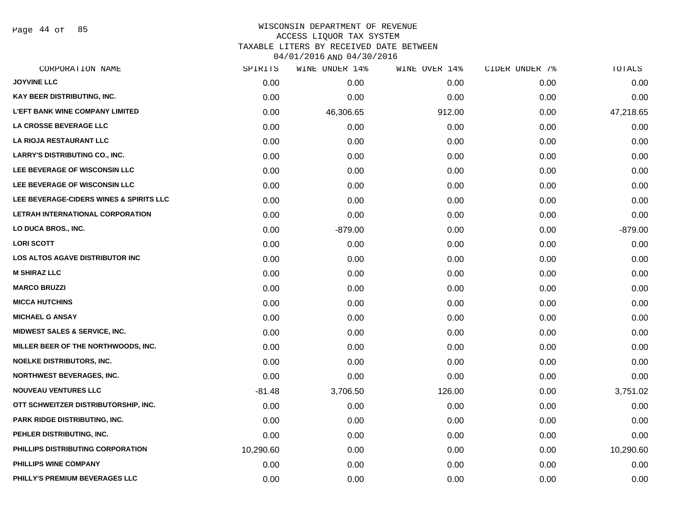Page 44 of 85

| CORPORATION NAME                         | SPIRITS   | WINE UNDER 14% | WINE OVER 14% | CIDER UNDER 7% | TOTALS    |
|------------------------------------------|-----------|----------------|---------------|----------------|-----------|
| <b>JOYVINE LLC</b>                       | 0.00      | 0.00           | 0.00          | 0.00           | 0.00      |
| KAY BEER DISTRIBUTING, INC.              | 0.00      | 0.00           | 0.00          | 0.00           | 0.00      |
| <b>L'EFT BANK WINE COMPANY LIMITED</b>   | 0.00      | 46,306.65      | 912.00        | 0.00           | 47,218.65 |
| <b>LA CROSSE BEVERAGE LLC</b>            | 0.00      | 0.00           | 0.00          | 0.00           | 0.00      |
| LA RIOJA RESTAURANT LLC                  | 0.00      | 0.00           | 0.00          | 0.00           | 0.00      |
| <b>LARRY'S DISTRIBUTING CO., INC.</b>    | 0.00      | 0.00           | 0.00          | 0.00           | 0.00      |
| LEE BEVERAGE OF WISCONSIN LLC            | 0.00      | 0.00           | 0.00          | 0.00           | 0.00      |
| LEE BEVERAGE OF WISCONSIN LLC            | 0.00      | 0.00           | 0.00          | 0.00           | 0.00      |
| LEE BEVERAGE-CIDERS WINES & SPIRITS LLC  | 0.00      | 0.00           | 0.00          | 0.00           | 0.00      |
| LETRAH INTERNATIONAL CORPORATION         | 0.00      | 0.00           | 0.00          | 0.00           | 0.00      |
| LO DUCA BROS., INC.                      | 0.00      | $-879.00$      | 0.00          | 0.00           | $-879.00$ |
| <b>LORI SCOTT</b>                        | 0.00      | 0.00           | 0.00          | 0.00           | 0.00      |
| LOS ALTOS AGAVE DISTRIBUTOR INC          | 0.00      | 0.00           | 0.00          | 0.00           | 0.00      |
| <b>M SHIRAZ LLC</b>                      | 0.00      | 0.00           | 0.00          | 0.00           | 0.00      |
| <b>MARCO BRUZZI</b>                      | 0.00      | 0.00           | 0.00          | 0.00           | 0.00      |
| <b>MICCA HUTCHINS</b>                    | 0.00      | 0.00           | 0.00          | 0.00           | 0.00      |
| <b>MICHAEL G ANSAY</b>                   | 0.00      | 0.00           | 0.00          | 0.00           | 0.00      |
| <b>MIDWEST SALES &amp; SERVICE, INC.</b> | 0.00      | 0.00           | 0.00          | 0.00           | 0.00      |
| MILLER BEER OF THE NORTHWOODS, INC.      | 0.00      | 0.00           | 0.00          | 0.00           | 0.00      |
| <b>NOELKE DISTRIBUTORS, INC.</b>         | 0.00      | 0.00           | 0.00          | 0.00           | 0.00      |
| <b>NORTHWEST BEVERAGES, INC.</b>         | 0.00      | 0.00           | 0.00          | 0.00           | 0.00      |
| <b>NOUVEAU VENTURES LLC</b>              | $-81.48$  | 3,706.50       | 126.00        | 0.00           | 3,751.02  |
| OTT SCHWEITZER DISTRIBUTORSHIP, INC.     | 0.00      | 0.00           | 0.00          | 0.00           | 0.00      |
| PARK RIDGE DISTRIBUTING, INC.            | 0.00      | 0.00           | 0.00          | 0.00           | 0.00      |
| PEHLER DISTRIBUTING, INC.                | 0.00      | 0.00           | 0.00          | 0.00           | 0.00      |
| PHILLIPS DISTRIBUTING CORPORATION        | 10,290.60 | 0.00           | 0.00          | 0.00           | 10,290.60 |
| PHILLIPS WINE COMPANY                    | 0.00      | 0.00           | 0.00          | 0.00           | 0.00      |
| PHILLY'S PREMIUM BEVERAGES LLC           | 0.00      | 0.00           | 0.00          | 0.00           | 0.00      |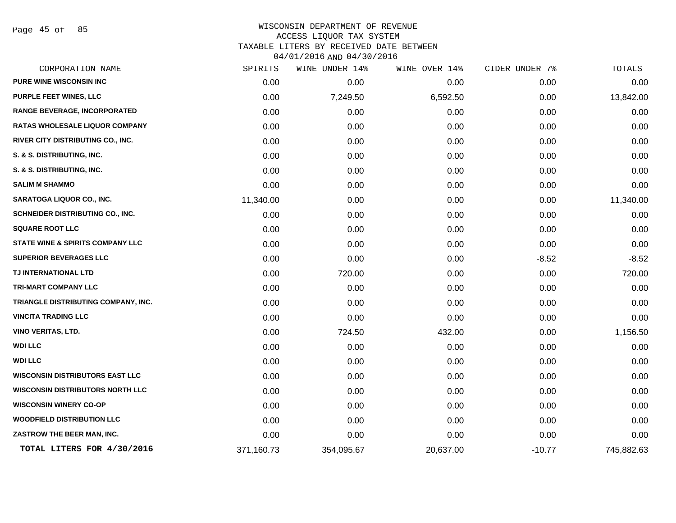Page 45 of 85

| CORPORATION NAME                            | SPIRITS    | WINE UNDER 14% | WINE OVER 14% | CIDER UNDER 7% | TOTALS     |
|---------------------------------------------|------------|----------------|---------------|----------------|------------|
| PURE WINE WISCONSIN INC                     | 0.00       | 0.00           | 0.00          | 0.00           | 0.00       |
| <b>PURPLE FEET WINES, LLC</b>               | 0.00       | 7,249.50       | 6,592.50      | 0.00           | 13,842.00  |
| <b>RANGE BEVERAGE, INCORPORATED</b>         | 0.00       | 0.00           | 0.00          | 0.00           | 0.00       |
| <b>RATAS WHOLESALE LIQUOR COMPANY</b>       | 0.00       | 0.00           | 0.00          | 0.00           | 0.00       |
| RIVER CITY DISTRIBUTING CO., INC.           | 0.00       | 0.00           | 0.00          | 0.00           | 0.00       |
| S. & S. DISTRIBUTING, INC.                  | 0.00       | 0.00           | 0.00          | 0.00           | 0.00       |
| S. & S. DISTRIBUTING, INC.                  | 0.00       | 0.00           | 0.00          | 0.00           | 0.00       |
| <b>SALIM M SHAMMO</b>                       | 0.00       | 0.00           | 0.00          | 0.00           | 0.00       |
| SARATOGA LIQUOR CO., INC.                   | 11,340.00  | 0.00           | 0.00          | 0.00           | 11,340.00  |
| SCHNEIDER DISTRIBUTING CO., INC.            | 0.00       | 0.00           | 0.00          | 0.00           | 0.00       |
| <b>SQUARE ROOT LLC</b>                      | 0.00       | 0.00           | 0.00          | 0.00           | 0.00       |
| <b>STATE WINE &amp; SPIRITS COMPANY LLC</b> | 0.00       | 0.00           | 0.00          | 0.00           | 0.00       |
| <b>SUPERIOR BEVERAGES LLC</b>               | 0.00       | 0.00           | 0.00          | $-8.52$        | $-8.52$    |
| TJ INTERNATIONAL LTD                        | 0.00       | 720.00         | 0.00          | 0.00           | 720.00     |
| TRI-MART COMPANY LLC                        | 0.00       | 0.00           | 0.00          | 0.00           | 0.00       |
| TRIANGLE DISTRIBUTING COMPANY, INC.         | 0.00       | 0.00           | 0.00          | 0.00           | 0.00       |
| <b>VINCITA TRADING LLC</b>                  | 0.00       | 0.00           | 0.00          | 0.00           | 0.00       |
| <b>VINO VERITAS, LTD.</b>                   | 0.00       | 724.50         | 432.00        | 0.00           | 1,156.50   |
| <b>WDI LLC</b>                              | 0.00       | 0.00           | 0.00          | 0.00           | 0.00       |
| <b>WDI LLC</b>                              | 0.00       | 0.00           | 0.00          | 0.00           | 0.00       |
| <b>WISCONSIN DISTRIBUTORS EAST LLC</b>      | 0.00       | 0.00           | 0.00          | 0.00           | 0.00       |
| <b>WISCONSIN DISTRIBUTORS NORTH LLC</b>     | 0.00       | 0.00           | 0.00          | 0.00           | 0.00       |
| <b>WISCONSIN WINERY CO-OP</b>               | 0.00       | 0.00           | 0.00          | 0.00           | 0.00       |
| <b>WOODFIELD DISTRIBUTION LLC</b>           | 0.00       | 0.00           | 0.00          | 0.00           | 0.00       |
| ZASTROW THE BEER MAN, INC.                  | 0.00       | 0.00           | 0.00          | 0.00           | 0.00       |
| TOTAL LITERS FOR 4/30/2016                  | 371,160.73 | 354,095.67     | 20,637.00     | $-10.77$       | 745,882.63 |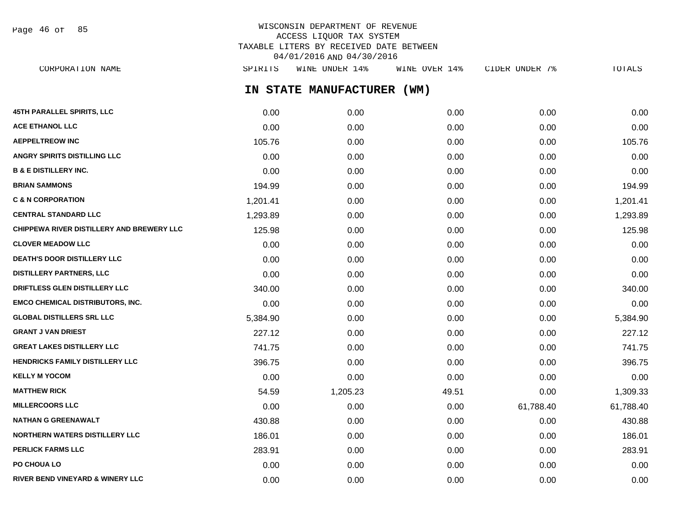| Page 46 of |  |  | 85 |
|------------|--|--|----|
|------------|--|--|----|

# WISCONSIN DEPARTMENT OF REVENUE ACCESS LIQUOR TAX SYSTEM TAXABLE LITERS BY RECEIVED DATE BETWEEN 04/01/2016 AND 04/30/2016

**IN STATE MANUFACTURER (WM) 45TH PARALLEL SPIRITS, LLC** 0.00 0.00 0.00 0.00 0.00 **ACE ETHANOL LLC** 0.00 0.00 0.00 0.00 0.00 **AEPPELTREOW INC** 105.76 0.00 0.00 0.00 105.76 **ANGRY SPIRITS DISTILLING LLC** 0.00 0.00 0.00 0.00 0.00 **B & E DISTILLERY INC.** 0.00 0.00 0.00 0.00 0.00 **BRIAN SAMMONS** 194.99 0.00 0.00 0.00 194.99 **C & N CORPORATION** 1,201.41 0.00 0.00 0.00 1,201.41 **CENTRAL STANDARD LLC** 1,293.89 0.00 0.00 0.00 1,293.89 **CHIPPEWA RIVER DISTILLERY AND BREWERY LLC** 125.98 0.00 0.00 0.00 0.00 0.00 0.00 0.00 125.98 **CLOVER MEADOW LLC** 0.00 0.00 0.00 0.00 0.00 **DEATH'S DOOR DISTILLERY LLC**  $0.00$   $0.00$   $0.00$   $0.00$   $0.00$   $0.00$   $0.00$   $0.00$   $0.00$   $0.00$   $0.00$   $0.00$   $0.00$   $0.00$   $0.00$   $0.00$   $0.00$   $0.00$   $0.00$   $0.00$   $0.00$   $0.00$   $0.00$   $0.00$   $0.00$   $0.00$   $0.00$   $0.$ **DISTILLERY PARTNERS, LLC** 0.00 0.00 0.00 0.00 0.00 **DRIFTLESS GLEN DISTILLERY LLC** 340.00 0.00 0.00 0.00 340.00 **EMCO CHEMICAL DISTRIBUTORS, INC.** 0.00 0.00 0.00 0.00 0.00 **GLOBAL DISTILLERS SRL LLC** 5,384.90 0.00 0.00 0.00 5,384.90 **GRANT J VAN DRIEST** 227.12 0.00 0.00 0.00 227.12 **GREAT LAKES DISTILLERY LLC** 741.75 0.00 0.00 0.00 741.75 **HENDRICKS FAMILY DISTILLERY LLC**  $396.75$   $0.00$   $0.00$   $0.00$   $0.00$   $0.00$   $396.75$ **KELLY M YOCOM** 0.00 0.00 0.00 0.00 0.00 **MATTHEW RICK** 54.59 1,205.23 49.51 0.00 1,309.33 **MILLERCOORS LLC** 0.00 0.00 0.00 61,788.40 61,788.40 **NATHAN G GREENAWALT** 430.88 0.00 0.00 0.00 430.88 **NORTHERN WATERS DISTILLERY LLC** 186.01 0.00 0.00 0.00 186.01 CORPORATION NAME SPIRITS WINE UNDER 14% WINE OVER 14% CIDER UNDER 7% TOTALS

**PERLICK FARMS LLC** 283.91 283.91 283.91 283.91 283.91 283.91 283.91 283.91 283.91 283.91 283.91 283.91 283.91 283.91 **PO CHOUA LO** 0.00 0.00 0.00 0.00 0.00 **RIVER BEND VINEYARD & WINERY LLC** 0.00 0.00 0.00 0.00 0.00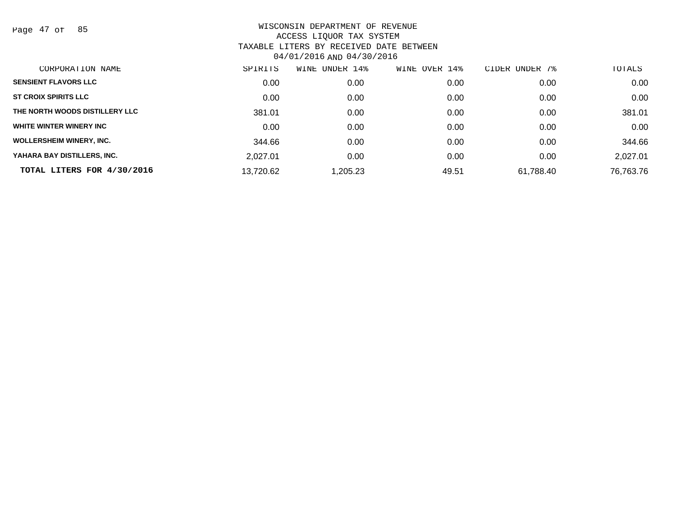Page 47 of 85

| CORPORATION NAME                | SPIRITS   | WINE UNDER 14% | WINE OVER 14% | CIDER UNDER 7% | TOTALS    |
|---------------------------------|-----------|----------------|---------------|----------------|-----------|
| <b>SENSIENT FLAVORS LLC</b>     | 0.00      | 0.00           | 0.00          | 0.00           | 0.00      |
| <b>ST CROIX SPIRITS LLC</b>     | 0.00      | 0.00           | 0.00          | 0.00           | 0.00      |
| THE NORTH WOODS DISTILLERY LLC  | 381.01    | 0.00           | 0.00          | 0.00           | 381.01    |
| WHITE WINTER WINERY INC         | 0.00      | 0.00           | 0.00          | 0.00           | 0.00      |
| <b>WOLLERSHEIM WINERY, INC.</b> | 344.66    | 0.00           | 0.00          | 0.00           | 344.66    |
| YAHARA BAY DISTILLERS, INC.     | 2,027.01  | 0.00           | 0.00          | 0.00           | 2,027.01  |
| TOTAL LITERS FOR 4/30/2016      | 13,720.62 | ,205.23        | 49.51         | 61,788.40      | 76,763.76 |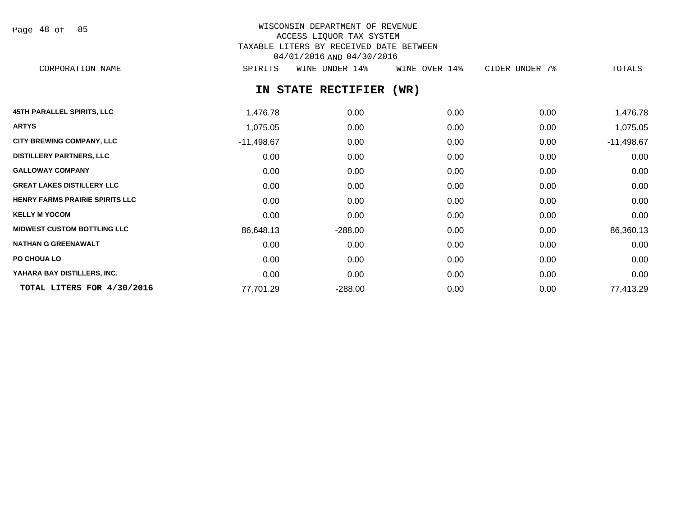| Page | 48 of |  | 85 |
|------|-------|--|----|
|------|-------|--|----|

# WISCONSIN DEPARTMENT OF REVENUE ACCESS LIQUOR TAX SYSTEM TAXABLE LITERS BY RECEIVED DATE BETWEEN 04/01/2016 AND 04/30/2016

CORPORATION NAME SPIRITS WINE UNDER 14% WINE OVER 14% CIDER UNDER 7% TOTALS

# **IN STATE RECTIFIER (WR)**

| <b>45TH PARALLEL SPIRITS, LLC</b>      | 1,476.78     | 0.00      | 0.00 | 0.00 | 1,476.78     |
|----------------------------------------|--------------|-----------|------|------|--------------|
| <b>ARTYS</b>                           | 1,075.05     | 0.00      | 0.00 | 0.00 | 1,075.05     |
| <b>CITY BREWING COMPANY, LLC</b>       | $-11,498.67$ | 0.00      | 0.00 | 0.00 | $-11,498.67$ |
| <b>DISTILLERY PARTNERS, LLC</b>        | 0.00         | 0.00      | 0.00 | 0.00 | 0.00         |
| <b>GALLOWAY COMPANY</b>                | 0.00         | 0.00      | 0.00 | 0.00 | 0.00         |
| <b>GREAT LAKES DISTILLERY LLC</b>      | 0.00         | 0.00      | 0.00 | 0.00 | 0.00         |
| <b>HENRY FARMS PRAIRIE SPIRITS LLC</b> | 0.00         | 0.00      | 0.00 | 0.00 | 0.00         |
| <b>KELLY M YOCOM</b>                   | 0.00         | 0.00      | 0.00 | 0.00 | 0.00         |
| <b>MIDWEST CUSTOM BOTTLING LLC</b>     | 86,648.13    | $-288.00$ | 0.00 | 0.00 | 86,360.13    |
| <b>NATHAN G GREENAWALT</b>             | 0.00         | 0.00      | 0.00 | 0.00 | 0.00         |
| PO CHOUA LO                            | 0.00         | 0.00      | 0.00 | 0.00 | 0.00         |
| YAHARA BAY DISTILLERS, INC.            | 0.00         | 0.00      | 0.00 | 0.00 | 0.00         |
| TOTAL LITERS FOR 4/30/2016             | 77,701.29    | $-288.00$ | 0.00 | 0.00 | 77,413.29    |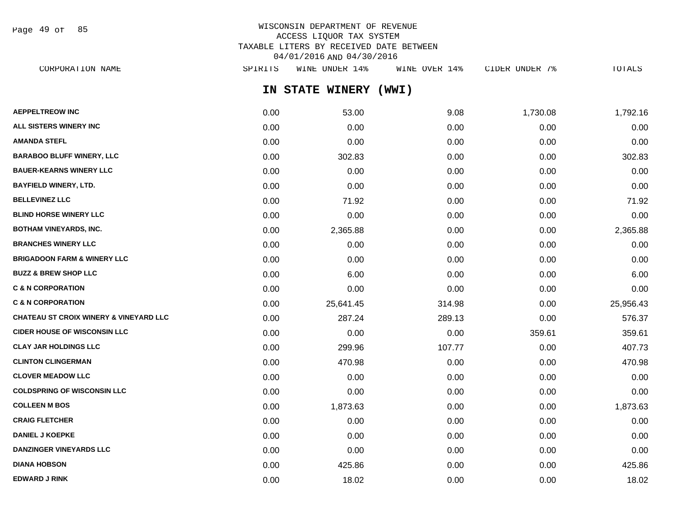Page 49 of 85

# WISCONSIN DEPARTMENT OF REVENUE ACCESS LIQUOR TAX SYSTEM TAXABLE LITERS BY RECEIVED DATE BETWEEN 04/01/2016 AND 04/30/2016

| CORPORATION NAME                                  | SPIRITS | WINE UNDER 14%  | WINE OVER 14% | CIDER UNDER 7% | TOTALS    |
|---------------------------------------------------|---------|-----------------|---------------|----------------|-----------|
|                                                   |         | IN STATE WINERY | (WWI)         |                |           |
| <b>AEPPELTREOW INC</b>                            | 0.00    | 53.00           | 9.08          | 1,730.08       | 1,792.16  |
| <b>ALL SISTERS WINERY INC</b>                     | 0.00    | 0.00            | 0.00          | 0.00           | 0.00      |
| AMANDA STEFL                                      | 0.00    | 0.00            | 0.00          | 0.00           | 0.00      |
| <b>BARABOO BLUFF WINERY, LLC</b>                  | 0.00    | 302.83          | 0.00          | 0.00           | 302.83    |
| <b>BAUER-KEARNS WINERY LLC</b>                    | 0.00    | 0.00            | 0.00          | 0.00           | 0.00      |
| BAYFIELD WINERY, LTD.                             | 0.00    | 0.00            | 0.00          | 0.00           | 0.00      |
| <b>BELLEVINEZ LLC</b>                             | 0.00    | 71.92           | 0.00          | 0.00           | 71.92     |
| <b>BLIND HORSE WINERY LLC</b>                     | 0.00    | 0.00            | 0.00          | 0.00           | 0.00      |
| BOTHAM VINEYARDS, INC.                            | 0.00    | 2,365.88        | 0.00          | 0.00           | 2,365.88  |
| <b>BRANCHES WINERY LLC</b>                        | 0.00    | 0.00            | 0.00          | 0.00           | 0.00      |
| BRIGADOON FARM & WINERY LLC                       | 0.00    | 0.00            | 0.00          | 0.00           | 0.00      |
| <b>BUZZ &amp; BREW SHOP LLC</b>                   | 0.00    | 6.00            | 0.00          | 0.00           | 6.00      |
| <b>C &amp; N CORPORATION</b>                      | 0.00    | 0.00            | 0.00          | 0.00           | 0.00      |
| <b>C &amp; N CORPORATION</b>                      | 0.00    | 25,641.45       | 314.98        | 0.00           | 25,956.43 |
| <b>CHATEAU ST CROIX WINERY &amp; VINEYARD LLC</b> | 0.00    | 287.24          | 289.13        | 0.00           | 576.37    |
| <b>CIDER HOUSE OF WISCONSIN LLC</b>               | 0.00    | 0.00            | 0.00          | 359.61         | 359.61    |
| CLAY JAR HOLDINGS LLC                             | 0.00    | 299.96          | 107.77        | 0.00           | 407.73    |
| <b>CLINTON CLINGERMAN</b>                         | 0.00    | 470.98          | 0.00          | 0.00           | 470.98    |
| <b>CLOVER MEADOW LLC</b>                          | 0.00    | 0.00            | 0.00          | 0.00           | 0.00      |
| <b>COLDSPRING OF WISCONSIN LLC</b>                | 0.00    | 0.00            | 0.00          | 0.00           | 0.00      |
| COLLEEN M BOS                                     | 0.00    | 1,873.63        | 0.00          | 0.00           | 1,873.63  |
| <b>CRAIG FLETCHER</b>                             | 0.00    | 0.00            | 0.00          | 0.00           | 0.00      |
| <b>DANIEL J KOEPKE</b>                            | 0.00    | 0.00            | 0.00          | 0.00           | 0.00      |
| <b>DANZINGER VINEYARDS LLC</b>                    | 0.00    | 0.00            | 0.00          | 0.00           | 0.00      |
|                                                   |         |                 |               |                |           |

**DIANA HOBSON** 0.00 425.86 0.00 0.00 425.86 **EDWARD J RINK** 0.00 18.02 0.00 0.00 18.02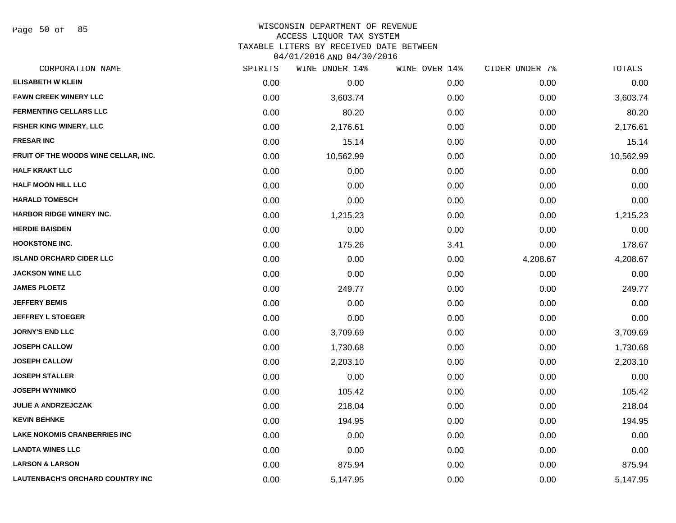Page 50 of 85

# WISCONSIN DEPARTMENT OF REVENUE ACCESS LIQUOR TAX SYSTEM

TAXABLE LITERS BY RECEIVED DATE BETWEEN

04/01/2016 AND 04/30/2016

| CORPORATION NAME                        | SPIRITS | WINE UNDER 14% | WINE OVER 14% | CIDER UNDER 7% | TOTALS    |
|-----------------------------------------|---------|----------------|---------------|----------------|-----------|
| <b>ELISABETH W KLEIN</b>                | 0.00    | 0.00           | 0.00          | 0.00           | 0.00      |
| <b>FAWN CREEK WINERY LLC</b>            | 0.00    | 3,603.74       | 0.00          | 0.00           | 3,603.74  |
| <b>FERMENTING CELLARS LLC</b>           | 0.00    | 80.20          | 0.00          | 0.00           | 80.20     |
| FISHER KING WINERY, LLC                 | 0.00    | 2,176.61       | 0.00          | 0.00           | 2,176.61  |
| <b>FRESAR INC</b>                       | 0.00    | 15.14          | 0.00          | 0.00           | 15.14     |
| FRUIT OF THE WOODS WINE CELLAR, INC.    | 0.00    | 10,562.99      | 0.00          | 0.00           | 10,562.99 |
| <b>HALF KRAKT LLC</b>                   | 0.00    | 0.00           | 0.00          | 0.00           | 0.00      |
| <b>HALF MOON HILL LLC</b>               | 0.00    | 0.00           | 0.00          | 0.00           | 0.00      |
| <b>HARALD TOMESCH</b>                   | 0.00    | 0.00           | 0.00          | 0.00           | 0.00      |
| <b>HARBOR RIDGE WINERY INC.</b>         | 0.00    | 1,215.23       | 0.00          | 0.00           | 1,215.23  |
| <b>HERDIE BAISDEN</b>                   | 0.00    | 0.00           | 0.00          | 0.00           | 0.00      |
| <b>HOOKSTONE INC.</b>                   | 0.00    | 175.26         | 3.41          | 0.00           | 178.67    |
| <b>ISLAND ORCHARD CIDER LLC</b>         | 0.00    | 0.00           | 0.00          | 4,208.67       | 4,208.67  |
| <b>JACKSON WINE LLC</b>                 | 0.00    | 0.00           | 0.00          | 0.00           | 0.00      |
| <b>JAMES PLOETZ</b>                     | 0.00    | 249.77         | 0.00          | 0.00           | 249.77    |
| <b>JEFFERY BEMIS</b>                    | 0.00    | 0.00           | 0.00          | 0.00           | 0.00      |
| <b>JEFFREY L STOEGER</b>                | 0.00    | 0.00           | 0.00          | 0.00           | 0.00      |
| <b>JORNY'S END LLC</b>                  | 0.00    | 3,709.69       | 0.00          | 0.00           | 3,709.69  |
| <b>JOSEPH CALLOW</b>                    | 0.00    | 1,730.68       | 0.00          | 0.00           | 1,730.68  |
| <b>JOSEPH CALLOW</b>                    | 0.00    | 2,203.10       | 0.00          | 0.00           | 2,203.10  |
| <b>JOSEPH STALLER</b>                   | 0.00    | 0.00           | 0.00          | 0.00           | 0.00      |
| <b>JOSEPH WYNIMKO</b>                   | 0.00    | 105.42         | 0.00          | 0.00           | 105.42    |
| <b>JULIE A ANDRZEJCZAK</b>              | 0.00    | 218.04         | 0.00          | 0.00           | 218.04    |
| <b>KEVIN BEHNKE</b>                     | 0.00    | 194.95         | 0.00          | 0.00           | 194.95    |
| <b>LAKE NOKOMIS CRANBERRIES INC</b>     | 0.00    | 0.00           | 0.00          | 0.00           | 0.00      |
| <b>LANDTA WINES LLC</b>                 | 0.00    | 0.00           | 0.00          | 0.00           | 0.00      |
| <b>LARSON &amp; LARSON</b>              | 0.00    | 875.94         | 0.00          | 0.00           | 875.94    |
| <b>LAUTENBACH'S ORCHARD COUNTRY INC</b> | 0.00    | 5,147.95       | 0.00          | 0.00           | 5,147.95  |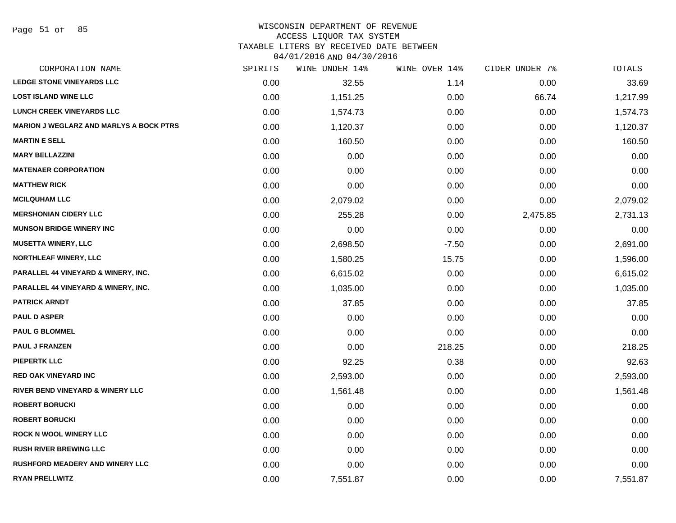#### WISCONSIN DEPARTMENT OF REVENUE ACCESS LIQUOR TAX SYSTEM TAXABLE LITERS BY RECEIVED DATE BETWEEN

04/01/2016 AND 04/30/2016

| CORPORATION NAME                               | SPIRITS | WINE UNDER 14% | WINE OVER 14% | CIDER UNDER 7% | TOTALS   |
|------------------------------------------------|---------|----------------|---------------|----------------|----------|
| <b>LEDGE STONE VINEYARDS LLC</b>               | 0.00    | 32.55          | 1.14          | 0.00           | 33.69    |
| <b>LOST ISLAND WINE LLC</b>                    | 0.00    | 1,151.25       | 0.00          | 66.74          | 1,217.99 |
| <b>LUNCH CREEK VINEYARDS LLC</b>               | 0.00    | 1,574.73       | 0.00          | 0.00           | 1,574.73 |
| <b>MARION J WEGLARZ AND MARLYS A BOCK PTRS</b> | 0.00    | 1,120.37       | 0.00          | 0.00           | 1,120.37 |
| <b>MARTIN E SELL</b>                           | 0.00    | 160.50         | 0.00          | 0.00           | 160.50   |
| <b>MARY BELLAZZINI</b>                         | 0.00    | 0.00           | 0.00          | 0.00           | 0.00     |
| <b>MATENAER CORPORATION</b>                    | 0.00    | 0.00           | 0.00          | 0.00           | 0.00     |
| <b>MATTHEW RICK</b>                            | 0.00    | 0.00           | 0.00          | 0.00           | 0.00     |
| <b>MCILQUHAM LLC</b>                           | 0.00    | 2,079.02       | 0.00          | 0.00           | 2,079.02 |
| <b>MERSHONIAN CIDERY LLC</b>                   | 0.00    | 255.28         | 0.00          | 2,475.85       | 2,731.13 |
| <b>MUNSON BRIDGE WINERY INC</b>                | 0.00    | 0.00           | 0.00          | 0.00           | 0.00     |
| <b>MUSETTA WINERY, LLC</b>                     | 0.00    | 2,698.50       | $-7.50$       | 0.00           | 2,691.00 |
| <b>NORTHLEAF WINERY, LLC</b>                   | 0.00    | 1,580.25       | 15.75         | 0.00           | 1,596.00 |
| PARALLEL 44 VINEYARD & WINERY, INC.            | 0.00    | 6,615.02       | 0.00          | 0.00           | 6,615.02 |
| PARALLEL 44 VINEYARD & WINERY, INC.            | 0.00    | 1,035.00       | 0.00          | 0.00           | 1,035.00 |
| <b>PATRICK ARNDT</b>                           | 0.00    | 37.85          | 0.00          | 0.00           | 37.85    |
| <b>PAUL D ASPER</b>                            | 0.00    | 0.00           | 0.00          | 0.00           | 0.00     |
| <b>PAUL G BLOMMEL</b>                          | 0.00    | 0.00           | 0.00          | 0.00           | 0.00     |
| <b>PAUL J FRANZEN</b>                          | 0.00    | 0.00           | 218.25        | 0.00           | 218.25   |
| <b>PIEPERTK LLC</b>                            | 0.00    | 92.25          | 0.38          | 0.00           | 92.63    |
| <b>RED OAK VINEYARD INC</b>                    | 0.00    | 2,593.00       | 0.00          | 0.00           | 2,593.00 |
| <b>RIVER BEND VINEYARD &amp; WINERY LLC</b>    | 0.00    | 1,561.48       | 0.00          | 0.00           | 1,561.48 |
| <b>ROBERT BORUCKI</b>                          | 0.00    | 0.00           | 0.00          | 0.00           | 0.00     |
| <b>ROBERT BORUCKI</b>                          | 0.00    | 0.00           | 0.00          | 0.00           | 0.00     |
| <b>ROCK N WOOL WINERY LLC</b>                  | 0.00    | 0.00           | 0.00          | 0.00           | 0.00     |
| <b>RUSH RIVER BREWING LLC</b>                  | 0.00    | 0.00           | 0.00          | 0.00           | 0.00     |
| <b>RUSHFORD MEADERY AND WINERY LLC</b>         | 0.00    | 0.00           | 0.00          | 0.00           | 0.00     |
| <b>RYAN PRELLWITZ</b>                          | 0.00    | 7,551.87       | 0.00          | 0.00           | 7,551.87 |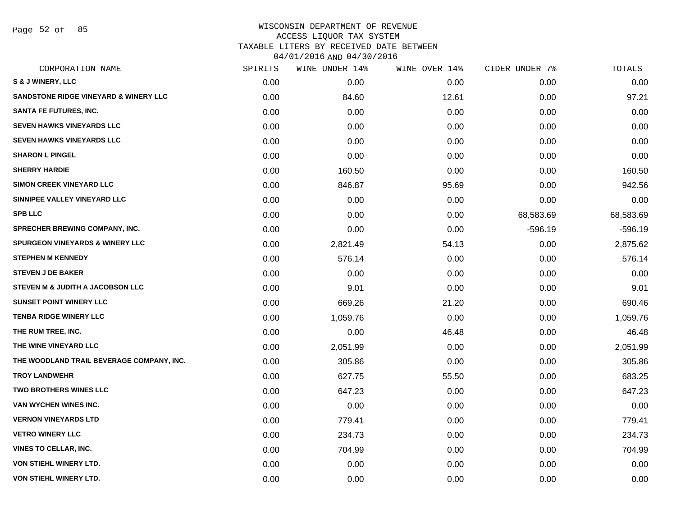Page 52 of 85

| CORPORATION NAME                           | SPIRITS | WINE UNDER 14% | WINE OVER 14% | CIDER UNDER 7% | <b>TOTALS</b> |
|--------------------------------------------|---------|----------------|---------------|----------------|---------------|
| S & J WINERY, LLC                          | 0.00    | 0.00           | 0.00          | 0.00           | 0.00          |
| SANDSTONE RIDGE VINEYARD & WINERY LLC      | 0.00    | 84.60          | 12.61         | 0.00           | 97.21         |
| <b>SANTA FE FUTURES, INC.</b>              | 0.00    | 0.00           | 0.00          | 0.00           | 0.00          |
| <b>SEVEN HAWKS VINEYARDS LLC</b>           | 0.00    | 0.00           | 0.00          | 0.00           | 0.00          |
| <b>SEVEN HAWKS VINEYARDS LLC</b>           | 0.00    | 0.00           | 0.00          | 0.00           | 0.00          |
| <b>SHARON L PINGEL</b>                     | 0.00    | 0.00           | 0.00          | 0.00           | 0.00          |
| <b>SHERRY HARDIE</b>                       | 0.00    | 160.50         | 0.00          | 0.00           | 160.50        |
| <b>SIMON CREEK VINEYARD LLC</b>            | 0.00    | 846.87         | 95.69         | 0.00           | 942.56        |
| SINNIPEE VALLEY VINEYARD LLC               | 0.00    | 0.00           | 0.00          | 0.00           | 0.00          |
| <b>SPB LLC</b>                             | 0.00    | 0.00           | 0.00          | 68,583.69      | 68,583.69     |
| <b>SPRECHER BREWING COMPANY, INC.</b>      | 0.00    | 0.00           | 0.00          | $-596.19$      | $-596.19$     |
| <b>SPURGEON VINEYARDS &amp; WINERY LLC</b> | 0.00    | 2,821.49       | 54.13         | 0.00           | 2,875.62      |
| <b>STEPHEN M KENNEDY</b>                   | 0.00    | 576.14         | 0.00          | 0.00           | 576.14        |
| <b>STEVEN J DE BAKER</b>                   | 0.00    | 0.00           | 0.00          | 0.00           | 0.00          |
| STEVEN M & JUDITH A JACOBSON LLC           | 0.00    | 9.01           | 0.00          | 0.00           | 9.01          |
| <b>SUNSET POINT WINERY LLC</b>             | 0.00    | 669.26         | 21.20         | 0.00           | 690.46        |
| <b>TENBA RIDGE WINERY LLC</b>              | 0.00    | 1,059.76       | 0.00          | 0.00           | 1,059.76      |
| THE RUM TREE, INC.                         | 0.00    | 0.00           | 46.48         | 0.00           | 46.48         |
| THE WINE VINEYARD LLC                      | 0.00    | 2,051.99       | 0.00          | 0.00           | 2,051.99      |
| THE WOODLAND TRAIL BEVERAGE COMPANY, INC.  | 0.00    | 305.86         | 0.00          | 0.00           | 305.86        |
| <b>TROY LANDWEHR</b>                       | 0.00    | 627.75         | 55.50         | 0.00           | 683.25        |
| <b>TWO BROTHERS WINES LLC</b>              | 0.00    | 647.23         | 0.00          | 0.00           | 647.23        |
| VAN WYCHEN WINES INC.                      | 0.00    | 0.00           | 0.00          | 0.00           | 0.00          |
| <b>VERNON VINEYARDS LTD</b>                | 0.00    | 779.41         | 0.00          | 0.00           | 779.41        |
| <b>VETRO WINERY LLC</b>                    | 0.00    | 234.73         | 0.00          | 0.00           | 234.73        |
| <b>VINES TO CELLAR, INC.</b>               | 0.00    | 704.99         | 0.00          | 0.00           | 704.99        |
| VON STIEHL WINERY LTD.                     | 0.00    | 0.00           | 0.00          | 0.00           | 0.00          |
| VON STIEHL WINERY LTD.                     | 0.00    | 0.00           | 0.00          | 0.00           | 0.00          |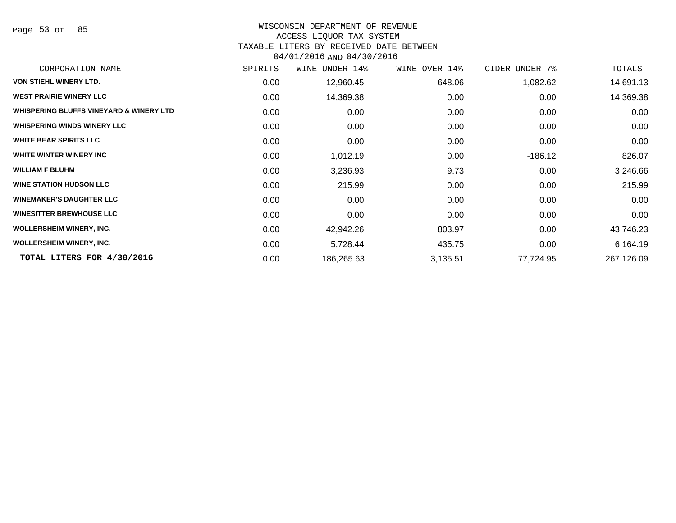Page 53 of 85

# WISCONSIN DEPARTMENT OF REVENUE

## ACCESS LIQUOR TAX SYSTEM

### TAXABLE LITERS BY RECEIVED DATE BETWEEN

04/01/2016 AND 04/30/2016

| CORPORATION NAME                                   | SPIRITS | WINE UNDER 14% | WINE OVER 14% | CIDER UNDER 7% | TOTALS     |
|----------------------------------------------------|---------|----------------|---------------|----------------|------------|
| <b>VON STIEHL WINERY LTD.</b>                      | 0.00    | 12,960.45      | 648.06        | 1,082.62       | 14,691.13  |
| <b>WEST PRAIRIE WINERY LLC</b>                     | 0.00    | 14,369.38      | 0.00          | 0.00           | 14,369.38  |
| <b>WHISPERING BLUFFS VINEYARD &amp; WINERY LTD</b> | 0.00    | 0.00           | 0.00          | 0.00           | 0.00       |
| <b>WHISPERING WINDS WINERY LLC</b>                 | 0.00    | 0.00           | 0.00          | 0.00           | 0.00       |
| <b>WHITE BEAR SPIRITS LLC</b>                      | 0.00    | 0.00           | 0.00          | 0.00           | 0.00       |
| WHITE WINTER WINERY INC                            | 0.00    | 1,012.19       | 0.00          | $-186.12$      | 826.07     |
| <b>WILLIAM F BLUHM</b>                             | 0.00    | 3,236.93       | 9.73          | 0.00           | 3,246.66   |
| <b>WINE STATION HUDSON LLC</b>                     | 0.00    | 215.99         | 0.00          | 0.00           | 215.99     |
| <b>WINEMAKER'S DAUGHTER LLC</b>                    | 0.00    | 0.00           | 0.00          | 0.00           | 0.00       |
| <b>WINESITTER BREWHOUSE LLC</b>                    | 0.00    | 0.00           | 0.00          | 0.00           | 0.00       |
| <b>WOLLERSHEIM WINERY, INC.</b>                    | 0.00    | 42,942.26      | 803.97        | 0.00           | 43,746.23  |
| <b>WOLLERSHEIM WINERY, INC.</b>                    | 0.00    | 5,728.44       | 435.75        | 0.00           | 6,164.19   |
| TOTAL LITERS FOR 4/30/2016                         | 0.00    | 186,265.63     | 3,135.51      | 77,724.95      | 267,126.09 |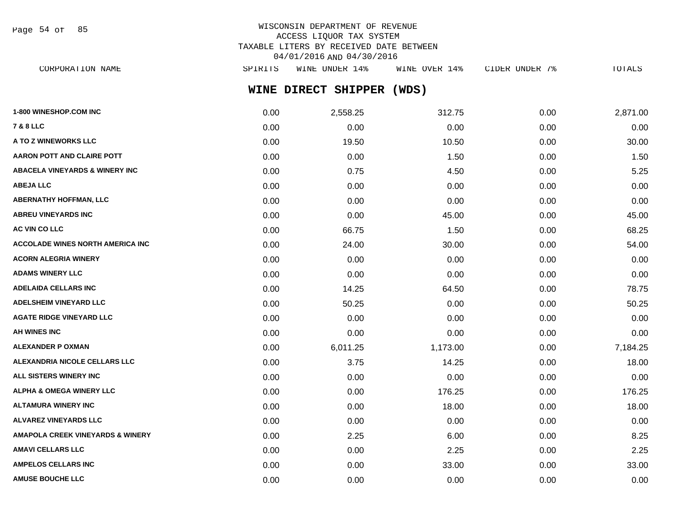Page 54 of 85

# WISCONSIN DEPARTMENT OF REVENUE ACCESS LIQUOR TAX SYSTEM TAXABLE LITERS BY RECEIVED DATE BETWEEN 04/01/2016 AND 04/30/2016

**WINE DIRECT SHIPPER (WDS)** CORPORATION NAME SPIRITS WINE UNDER 14% WINE OVER 14% CIDER UNDER 7% TOTALS

| 1-800 WINESHOP.COM INC                      | 0.00 | 2,558.25 | 312.75   | 0.00 | 2,871.00 |
|---------------------------------------------|------|----------|----------|------|----------|
| <b>7 &amp; 8 LLC</b>                        | 0.00 | 0.00     | 0.00     | 0.00 | 0.00     |
| A TO Z WINEWORKS LLC                        | 0.00 | 19.50    | 10.50    | 0.00 | 30.00    |
| AARON POTT AND CLAIRE POTT                  | 0.00 | 0.00     | 1.50     | 0.00 | 1.50     |
| <b>ABACELA VINEYARDS &amp; WINERY INC</b>   | 0.00 | 0.75     | 4.50     | 0.00 | 5.25     |
| <b>ABEJA LLC</b>                            | 0.00 | 0.00     | 0.00     | 0.00 | 0.00     |
| <b>ABERNATHY HOFFMAN, LLC</b>               | 0.00 | 0.00     | 0.00     | 0.00 | 0.00     |
| <b>ABREU VINEYARDS INC</b>                  | 0.00 | 0.00     | 45.00    | 0.00 | 45.00    |
| AC VIN CO LLC                               | 0.00 | 66.75    | 1.50     | 0.00 | 68.25    |
| <b>ACCOLADE WINES NORTH AMERICA INC.</b>    | 0.00 | 24.00    | 30.00    | 0.00 | 54.00    |
| <b>ACORN ALEGRIA WINERY</b>                 | 0.00 | 0.00     | 0.00     | 0.00 | 0.00     |
| <b>ADAMS WINERY LLC</b>                     | 0.00 | 0.00     | 0.00     | 0.00 | 0.00     |
| <b>ADELAIDA CELLARS INC</b>                 | 0.00 | 14.25    | 64.50    | 0.00 | 78.75    |
| <b>ADELSHEIM VINEYARD LLC</b>               | 0.00 | 50.25    | 0.00     | 0.00 | 50.25    |
| <b>AGATE RIDGE VINEYARD LLC</b>             | 0.00 | 0.00     | 0.00     | 0.00 | 0.00     |
| <b>AH WINES INC</b>                         | 0.00 | 0.00     | 0.00     | 0.00 | 0.00     |
| <b>ALEXANDER P OXMAN</b>                    | 0.00 | 6,011.25 | 1,173.00 | 0.00 | 7,184.25 |
| ALEXANDRIA NICOLE CELLARS LLC               | 0.00 | 3.75     | 14.25    | 0.00 | 18.00    |
| ALL SISTERS WINERY INC                      | 0.00 | 0.00     | 0.00     | 0.00 | 0.00     |
| <b>ALPHA &amp; OMEGA WINERY LLC</b>         | 0.00 | 0.00     | 176.25   | 0.00 | 176.25   |
| <b>ALTAMURA WINERY INC</b>                  | 0.00 | 0.00     | 18.00    | 0.00 | 18.00    |
| <b>ALVAREZ VINEYARDS LLC</b>                | 0.00 | 0.00     | 0.00     | 0.00 | 0.00     |
| <b>AMAPOLA CREEK VINEYARDS &amp; WINERY</b> | 0.00 | 2.25     | 6.00     | 0.00 | 8.25     |
| <b>AMAVI CELLARS LLC</b>                    | 0.00 | 0.00     | 2.25     | 0.00 | 2.25     |
| <b>AMPELOS CELLARS INC</b>                  | 0.00 | 0.00     | 33.00    | 0.00 | 33.00    |
| <b>AMUSE BOUCHE LLC</b>                     | 0.00 | 0.00     | 0.00     | 0.00 | 0.00     |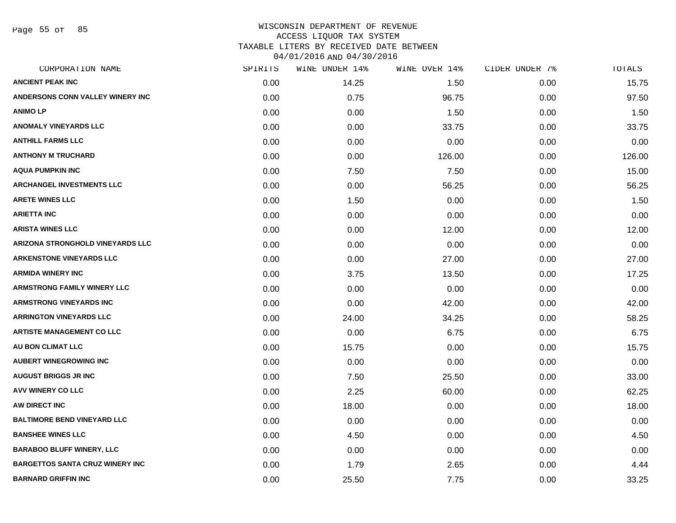Page 55 of 85

| CORPORATION NAME                        | SPIRITS | WINE UNDER 14% | WINE OVER 14% | CIDER UNDER 7% | TOTALS |
|-----------------------------------------|---------|----------------|---------------|----------------|--------|
| <b>ANCIENT PEAK INC</b>                 | 0.00    | 14.25          | 1.50          | 0.00           | 15.75  |
| ANDERSONS CONN VALLEY WINERY INC        | 0.00    | 0.75           | 96.75         | 0.00           | 97.50  |
| <b>ANIMOLP</b>                          | 0.00    | 0.00           | 1.50          | 0.00           | 1.50   |
| <b>ANOMALY VINEYARDS LLC</b>            | 0.00    | 0.00           | 33.75         | 0.00           | 33.75  |
| <b>ANTHILL FARMS LLC</b>                | 0.00    | 0.00           | 0.00          | 0.00           | 0.00   |
| <b>ANTHONY M TRUCHARD</b>               | 0.00    | 0.00           | 126.00        | 0.00           | 126.00 |
| <b>AQUA PUMPKIN INC</b>                 | 0.00    | 7.50           | 7.50          | 0.00           | 15.00  |
| <b>ARCHANGEL INVESTMENTS LLC</b>        | 0.00    | 0.00           | 56.25         | 0.00           | 56.25  |
| <b>ARETE WINES LLC</b>                  | 0.00    | 1.50           | 0.00          | 0.00           | 1.50   |
| <b>ARIETTA INC</b>                      | 0.00    | 0.00           | 0.00          | 0.00           | 0.00   |
| <b>ARISTA WINES LLC</b>                 | 0.00    | 0.00           | 12.00         | 0.00           | 12.00  |
| <b>ARIZONA STRONGHOLD VINEYARDS LLC</b> | 0.00    | 0.00           | 0.00          | 0.00           | 0.00   |
| <b>ARKENSTONE VINEYARDS LLC</b>         | 0.00    | 0.00           | 27.00         | 0.00           | 27.00  |
| <b>ARMIDA WINERY INC</b>                | 0.00    | 3.75           | 13.50         | 0.00           | 17.25  |
| <b>ARMSTRONG FAMILY WINERY LLC</b>      | 0.00    | 0.00           | 0.00          | 0.00           | 0.00   |
| <b>ARMSTRONG VINEYARDS INC</b>          | 0.00    | 0.00           | 42.00         | 0.00           | 42.00  |
| <b>ARRINGTON VINEYARDS LLC</b>          | 0.00    | 24.00          | 34.25         | 0.00           | 58.25  |
| <b>ARTISTE MANAGEMENT CO LLC</b>        | 0.00    | 0.00           | 6.75          | 0.00           | 6.75   |
| AU BON CLIMAT LLC                       | 0.00    | 15.75          | 0.00          | 0.00           | 15.75  |
| <b>AUBERT WINEGROWING INC</b>           | 0.00    | 0.00           | 0.00          | 0.00           | 0.00   |
| <b>AUGUST BRIGGS JR INC</b>             | 0.00    | 7.50           | 25.50         | 0.00           | 33.00  |
| <b>AVV WINERY CO LLC</b>                | 0.00    | 2.25           | 60.00         | 0.00           | 62.25  |
| AW DIRECT INC                           | 0.00    | 18.00          | 0.00          | 0.00           | 18.00  |
| <b>BALTIMORE BEND VINEYARD LLC</b>      | 0.00    | 0.00           | 0.00          | 0.00           | 0.00   |
| <b>BANSHEE WINES LLC</b>                | 0.00    | 4.50           | 0.00          | 0.00           | 4.50   |
| <b>BARABOO BLUFF WINERY, LLC</b>        | 0.00    | 0.00           | 0.00          | 0.00           | 0.00   |
| <b>BARGETTOS SANTA CRUZ WINERY INC</b>  | 0.00    | 1.79           | 2.65          | 0.00           | 4.44   |
| <b>BARNARD GRIFFIN INC</b>              | 0.00    | 25.50          | 7.75          | 0.00           | 33.25  |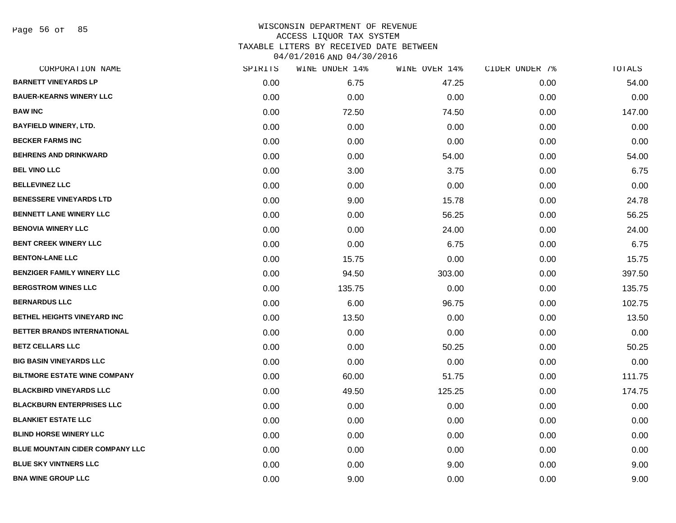Page 56 of 85

| CORPORATION NAME                    | SPIRITS | WINE UNDER 14% | WINE OVER 14% | CIDER UNDER 7% | TOTALS |
|-------------------------------------|---------|----------------|---------------|----------------|--------|
| <b>BARNETT VINEYARDS LP</b>         | 0.00    | 6.75           | 47.25         | 0.00           | 54.00  |
| <b>BAUER-KEARNS WINERY LLC</b>      | 0.00    | 0.00           | 0.00          | 0.00           | 0.00   |
| <b>BAW INC</b>                      | 0.00    | 72.50          | 74.50         | 0.00           | 147.00 |
| <b>BAYFIELD WINERY, LTD.</b>        | 0.00    | 0.00           | 0.00          | 0.00           | 0.00   |
| <b>BECKER FARMS INC</b>             | 0.00    | 0.00           | 0.00          | 0.00           | 0.00   |
| <b>BEHRENS AND DRINKWARD</b>        | 0.00    | 0.00           | 54.00         | 0.00           | 54.00  |
| <b>BEL VINO LLC</b>                 | 0.00    | 3.00           | 3.75          | 0.00           | 6.75   |
| <b>BELLEVINEZ LLC</b>               | 0.00    | 0.00           | 0.00          | 0.00           | 0.00   |
| <b>BENESSERE VINEYARDS LTD</b>      | 0.00    | 9.00           | 15.78         | 0.00           | 24.78  |
| <b>BENNETT LANE WINERY LLC</b>      | 0.00    | 0.00           | 56.25         | 0.00           | 56.25  |
| <b>BENOVIA WINERY LLC</b>           | 0.00    | 0.00           | 24.00         | 0.00           | 24.00  |
| <b>BENT CREEK WINERY LLC</b>        | 0.00    | 0.00           | 6.75          | 0.00           | 6.75   |
| <b>BENTON-LANE LLC</b>              | 0.00    | 15.75          | 0.00          | 0.00           | 15.75  |
| <b>BENZIGER FAMILY WINERY LLC</b>   | 0.00    | 94.50          | 303.00        | 0.00           | 397.50 |
| <b>BERGSTROM WINES LLC</b>          | 0.00    | 135.75         | 0.00          | 0.00           | 135.75 |
| <b>BERNARDUS LLC</b>                | 0.00    | 6.00           | 96.75         | 0.00           | 102.75 |
| <b>BETHEL HEIGHTS VINEYARD INC</b>  | 0.00    | 13.50          | 0.00          | 0.00           | 13.50  |
| BETTER BRANDS INTERNATIONAL         | 0.00    | 0.00           | 0.00          | 0.00           | 0.00   |
| <b>BETZ CELLARS LLC</b>             | 0.00    | 0.00           | 50.25         | 0.00           | 50.25  |
| <b>BIG BASIN VINEYARDS LLC</b>      | 0.00    | 0.00           | 0.00          | 0.00           | 0.00   |
| <b>BILTMORE ESTATE WINE COMPANY</b> | 0.00    | 60.00          | 51.75         | 0.00           | 111.75 |
| <b>BLACKBIRD VINEYARDS LLC</b>      | 0.00    | 49.50          | 125.25        | 0.00           | 174.75 |
| <b>BLACKBURN ENTERPRISES LLC</b>    | 0.00    | 0.00           | 0.00          | 0.00           | 0.00   |
| <b>BLANKIET ESTATE LLC</b>          | 0.00    | 0.00           | 0.00          | 0.00           | 0.00   |
| <b>BLIND HORSE WINERY LLC</b>       | 0.00    | 0.00           | 0.00          | 0.00           | 0.00   |
| BLUE MOUNTAIN CIDER COMPANY LLC     | 0.00    | 0.00           | 0.00          | 0.00           | 0.00   |
| <b>BLUE SKY VINTNERS LLC</b>        | 0.00    | 0.00           | 9.00          | 0.00           | 9.00   |
| <b>BNA WINE GROUP LLC</b>           | 0.00    | 9.00           | 0.00          | 0.00           | 9.00   |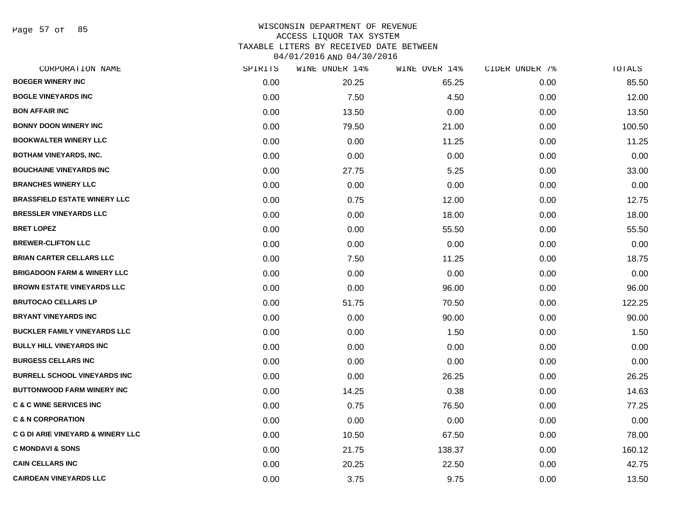Page 57 of 85

| CORPORATION NAME                             | SPIRITS | WINE UNDER 14% | WINE OVER 14% | CIDER UNDER 7% | TOTALS |
|----------------------------------------------|---------|----------------|---------------|----------------|--------|
| <b>BOEGER WINERY INC</b>                     | 0.00    | 20.25          | 65.25         | 0.00           | 85.50  |
| <b>BOGLE VINEYARDS INC</b>                   | 0.00    | 7.50           | 4.50          | 0.00           | 12.00  |
| <b>BON AFFAIR INC</b>                        | 0.00    | 13.50          | 0.00          | 0.00           | 13.50  |
| <b>BONNY DOON WINERY INC</b>                 | 0.00    | 79.50          | 21.00         | 0.00           | 100.50 |
| <b>BOOKWALTER WINERY LLC</b>                 | 0.00    | 0.00           | 11.25         | 0.00           | 11.25  |
| <b>BOTHAM VINEYARDS, INC.</b>                | 0.00    | 0.00           | 0.00          | 0.00           | 0.00   |
| <b>BOUCHAINE VINEYARDS INC</b>               | 0.00    | 27.75          | 5.25          | 0.00           | 33.00  |
| <b>BRANCHES WINERY LLC</b>                   | 0.00    | 0.00           | 0.00          | 0.00           | 0.00   |
| <b>BRASSFIELD ESTATE WINERY LLC</b>          | 0.00    | 0.75           | 12.00         | 0.00           | 12.75  |
| <b>BRESSLER VINEYARDS LLC</b>                | 0.00    | 0.00           | 18.00         | 0.00           | 18.00  |
| <b>BRET LOPEZ</b>                            | 0.00    | 0.00           | 55.50         | 0.00           | 55.50  |
| <b>BREWER-CLIFTON LLC</b>                    | 0.00    | 0.00           | 0.00          | 0.00           | 0.00   |
| <b>BRIAN CARTER CELLARS LLC</b>              | 0.00    | 7.50           | 11.25         | 0.00           | 18.75  |
| <b>BRIGADOON FARM &amp; WINERY LLC</b>       | 0.00    | 0.00           | 0.00          | 0.00           | 0.00   |
| <b>BROWN ESTATE VINEYARDS LLC</b>            | 0.00    | 0.00           | 96.00         | 0.00           | 96.00  |
| <b>BRUTOCAO CELLARS LP</b>                   | 0.00    | 51.75          | 70.50         | 0.00           | 122.25 |
| <b>BRYANT VINEYARDS INC</b>                  | 0.00    | 0.00           | 90.00         | 0.00           | 90.00  |
| <b>BUCKLER FAMILY VINEYARDS LLC</b>          | 0.00    | 0.00           | 1.50          | 0.00           | 1.50   |
| <b>BULLY HILL VINEYARDS INC</b>              | 0.00    | 0.00           | 0.00          | 0.00           | 0.00   |
| <b>BURGESS CELLARS INC</b>                   | 0.00    | 0.00           | 0.00          | 0.00           | 0.00   |
| <b>BURRELL SCHOOL VINEYARDS INC</b>          | 0.00    | 0.00           | 26.25         | 0.00           | 26.25  |
| <b>BUTTONWOOD FARM WINERY INC</b>            | 0.00    | 14.25          | 0.38          | 0.00           | 14.63  |
| <b>C &amp; C WINE SERVICES INC</b>           | 0.00    | 0.75           | 76.50         | 0.00           | 77.25  |
| <b>C &amp; N CORPORATION</b>                 | 0.00    | 0.00           | 0.00          | 0.00           | 0.00   |
| <b>C G DI ARIE VINEYARD &amp; WINERY LLC</b> | 0.00    | 10.50          | 67.50         | 0.00           | 78.00  |
| <b>C MONDAVI &amp; SONS</b>                  | 0.00    | 21.75          | 138.37        | 0.00           | 160.12 |
| <b>CAIN CELLARS INC</b>                      | 0.00    | 20.25          | 22.50         | 0.00           | 42.75  |
| <b>CAIRDEAN VINEYARDS LLC</b>                | 0.00    | 3.75           | 9.75          | 0.00           | 13.50  |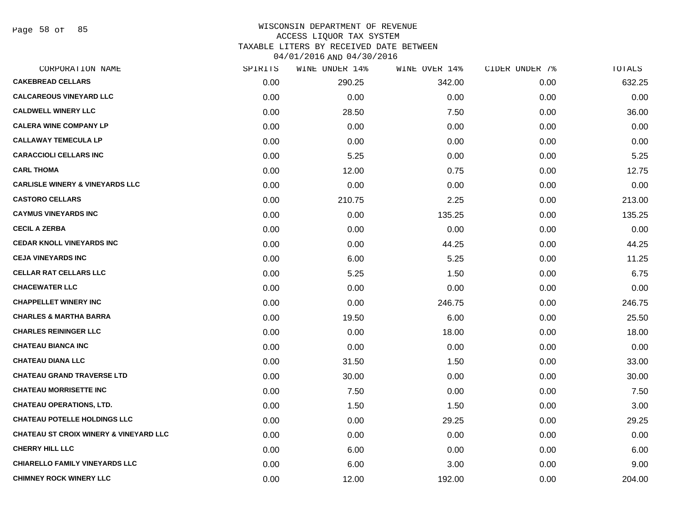Page 58 of 85

#### WISCONSIN DEPARTMENT OF REVENUE ACCESS LIQUOR TAX SYSTEM TAXABLE LITERS BY RECEIVED DATE BETWEEN

04/01/2016 AND 04/30/2016

| CORPORATION NAME                                  | SPIRITS | WINE UNDER 14% | WINE OVER 14% | CIDER UNDER 7% | TOTALS |
|---------------------------------------------------|---------|----------------|---------------|----------------|--------|
| <b>CAKEBREAD CELLARS</b>                          | 0.00    | 290.25         | 342.00        | 0.00           | 632.25 |
| <b>CALCAREOUS VINEYARD LLC</b>                    | 0.00    | 0.00           | 0.00          | 0.00           | 0.00   |
| <b>CALDWELL WINERY LLC</b>                        | 0.00    | 28.50          | 7.50          | 0.00           | 36.00  |
| <b>CALERA WINE COMPANY LP</b>                     | 0.00    | 0.00           | 0.00          | 0.00           | 0.00   |
| <b>CALLAWAY TEMECULA LP</b>                       | 0.00    | 0.00           | 0.00          | 0.00           | 0.00   |
| <b>CARACCIOLI CELLARS INC</b>                     | 0.00    | 5.25           | 0.00          | 0.00           | 5.25   |
| <b>CARL THOMA</b>                                 | 0.00    | 12.00          | 0.75          | 0.00           | 12.75  |
| <b>CARLISLE WINERY &amp; VINEYARDS LLC</b>        | 0.00    | 0.00           | 0.00          | 0.00           | 0.00   |
| <b>CASTORO CELLARS</b>                            | 0.00    | 210.75         | 2.25          | 0.00           | 213.00 |
| <b>CAYMUS VINEYARDS INC</b>                       | 0.00    | 0.00           | 135.25        | 0.00           | 135.25 |
| <b>CECIL A ZERBA</b>                              | 0.00    | 0.00           | 0.00          | 0.00           | 0.00   |
| <b>CEDAR KNOLL VINEYARDS INC</b>                  | 0.00    | 0.00           | 44.25         | 0.00           | 44.25  |
| <b>CEJA VINEYARDS INC</b>                         | 0.00    | 6.00           | 5.25          | 0.00           | 11.25  |
| <b>CELLAR RAT CELLARS LLC</b>                     | 0.00    | 5.25           | 1.50          | 0.00           | 6.75   |
| <b>CHACEWATER LLC</b>                             | 0.00    | 0.00           | 0.00          | 0.00           | 0.00   |
| <b>CHAPPELLET WINERY INC</b>                      | 0.00    | 0.00           | 246.75        | 0.00           | 246.75 |
| <b>CHARLES &amp; MARTHA BARRA</b>                 | 0.00    | 19.50          | 6.00          | 0.00           | 25.50  |
| <b>CHARLES REININGER LLC</b>                      | 0.00    | 0.00           | 18.00         | 0.00           | 18.00  |
| <b>CHATEAU BIANCA INC</b>                         | 0.00    | 0.00           | 0.00          | 0.00           | 0.00   |
| <b>CHATEAU DIANA LLC</b>                          | 0.00    | 31.50          | 1.50          | 0.00           | 33.00  |
| <b>CHATEAU GRAND TRAVERSE LTD</b>                 | 0.00    | 30.00          | 0.00          | 0.00           | 30.00  |
| <b>CHATEAU MORRISETTE INC</b>                     | 0.00    | 7.50           | 0.00          | 0.00           | 7.50   |
| <b>CHATEAU OPERATIONS, LTD.</b>                   | 0.00    | 1.50           | 1.50          | 0.00           | 3.00   |
| <b>CHATEAU POTELLE HOLDINGS LLC</b>               | 0.00    | 0.00           | 29.25         | 0.00           | 29.25  |
| <b>CHATEAU ST CROIX WINERY &amp; VINEYARD LLC</b> | 0.00    | 0.00           | 0.00          | 0.00           | 0.00   |
| <b>CHERRY HILL LLC</b>                            | 0.00    | 6.00           | 0.00          | 0.00           | 6.00   |
| <b>CHIARELLO FAMILY VINEYARDS LLC</b>             | 0.00    | 6.00           | 3.00          | 0.00           | 9.00   |
| <b>CHIMNEY ROCK WINERY LLC</b>                    | 0.00    | 12.00          | 192.00        | 0.00           | 204.00 |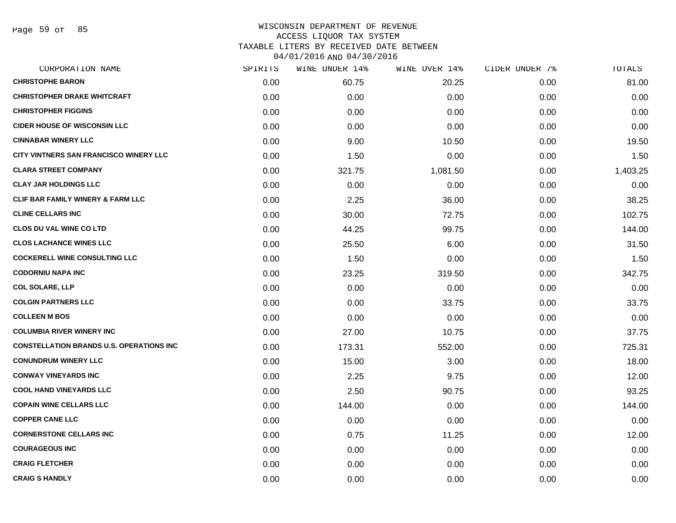Page 59 of 85

| CORPORATION NAME                                | SPIRITS | WINE UNDER 14% | WINE OVER 14% | CIDER UNDER 7% | TOTALS   |
|-------------------------------------------------|---------|----------------|---------------|----------------|----------|
| <b>CHRISTOPHE BARON</b>                         | 0.00    | 60.75          | 20.25         | 0.00           | 81.00    |
| <b>CHRISTOPHER DRAKE WHITCRAFT</b>              | 0.00    | 0.00           | 0.00          | 0.00           | 0.00     |
| <b>CHRISTOPHER FIGGINS</b>                      | 0.00    | 0.00           | 0.00          | 0.00           | 0.00     |
| <b>CIDER HOUSE OF WISCONSIN LLC</b>             | 0.00    | 0.00           | 0.00          | 0.00           | 0.00     |
| <b>CINNABAR WINERY LLC</b>                      | 0.00    | 9.00           | 10.50         | 0.00           | 19.50    |
| CITY VINTNERS SAN FRANCISCO WINERY LLC          | 0.00    | 1.50           | 0.00          | 0.00           | 1.50     |
| <b>CLARA STREET COMPANY</b>                     | 0.00    | 321.75         | 1,081.50      | 0.00           | 1,403.25 |
| <b>CLAY JAR HOLDINGS LLC</b>                    | 0.00    | 0.00           | 0.00          | 0.00           | 0.00     |
| CLIF BAR FAMILY WINERY & FARM LLC               | 0.00    | 2.25           | 36.00         | 0.00           | 38.25    |
| <b>CLINE CELLARS INC</b>                        | 0.00    | 30.00          | 72.75         | 0.00           | 102.75   |
| <b>CLOS DU VAL WINE CO LTD</b>                  | 0.00    | 44.25          | 99.75         | 0.00           | 144.00   |
| <b>CLOS LACHANCE WINES LLC</b>                  | 0.00    | 25.50          | 6.00          | 0.00           | 31.50    |
| <b>COCKERELL WINE CONSULTING LLC</b>            | 0.00    | 1.50           | 0.00          | 0.00           | 1.50     |
| <b>CODORNIU NAPA INC</b>                        | 0.00    | 23.25          | 319.50        | 0.00           | 342.75   |
| <b>COL SOLARE, LLP</b>                          | 0.00    | 0.00           | 0.00          | 0.00           | 0.00     |
| <b>COLGIN PARTNERS LLC</b>                      | 0.00    | 0.00           | 33.75         | 0.00           | 33.75    |
| <b>COLLEEN M BOS</b>                            | 0.00    | 0.00           | 0.00          | 0.00           | 0.00     |
| <b>COLUMBIA RIVER WINERY INC</b>                | 0.00    | 27.00          | 10.75         | 0.00           | 37.75    |
| <b>CONSTELLATION BRANDS U.S. OPERATIONS INC</b> | 0.00    | 173.31         | 552.00        | 0.00           | 725.31   |
| <b>CONUNDRUM WINERY LLC</b>                     | 0.00    | 15.00          | 3.00          | 0.00           | 18.00    |
| <b>CONWAY VINEYARDS INC</b>                     | 0.00    | 2.25           | 9.75          | 0.00           | 12.00    |
| <b>COOL HAND VINEYARDS LLC</b>                  | 0.00    | 2.50           | 90.75         | 0.00           | 93.25    |
| <b>COPAIN WINE CELLARS LLC</b>                  | 0.00    | 144.00         | 0.00          | 0.00           | 144.00   |
| <b>COPPER CANE LLC</b>                          | 0.00    | 0.00           | 0.00          | 0.00           | 0.00     |
| <b>CORNERSTONE CELLARS INC</b>                  | 0.00    | 0.75           | 11.25         | 0.00           | 12.00    |
| <b>COURAGEOUS INC</b>                           | 0.00    | 0.00           | 0.00          | 0.00           | 0.00     |
| <b>CRAIG FLETCHER</b>                           | 0.00    | 0.00           | 0.00          | 0.00           | 0.00     |
| <b>CRAIG S HANDLY</b>                           | 0.00    | 0.00           | 0.00          | 0.00           | 0.00     |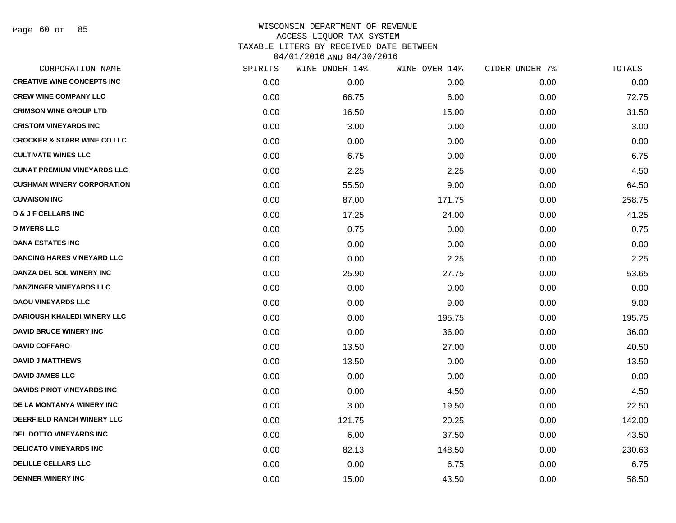Page 60 of 85

| CORPORATION NAME                       | SPIRITS | WINE UNDER 14% | WINE OVER 14% | CIDER UNDER 7% | TOTALS |
|----------------------------------------|---------|----------------|---------------|----------------|--------|
| <b>CREATIVE WINE CONCEPTS INC</b>      | 0.00    | 0.00           | 0.00          | 0.00           | 0.00   |
| <b>CREW WINE COMPANY LLC</b>           | 0.00    | 66.75          | 6.00          | 0.00           | 72.75  |
| <b>CRIMSON WINE GROUP LTD</b>          | 0.00    | 16.50          | 15.00         | 0.00           | 31.50  |
| <b>CRISTOM VINEYARDS INC</b>           | 0.00    | 3.00           | 0.00          | 0.00           | 3.00   |
| <b>CROCKER &amp; STARR WINE CO LLC</b> | 0.00    | 0.00           | 0.00          | 0.00           | 0.00   |
| <b>CULTIVATE WINES LLC</b>             | 0.00    | 6.75           | 0.00          | 0.00           | 6.75   |
| <b>CUNAT PREMIUM VINEYARDS LLC</b>     | 0.00    | 2.25           | 2.25          | 0.00           | 4.50   |
| <b>CUSHMAN WINERY CORPORATION</b>      | 0.00    | 55.50          | 9.00          | 0.00           | 64.50  |
| <b>CUVAISON INC</b>                    | 0.00    | 87.00          | 171.75        | 0.00           | 258.75 |
| <b>D &amp; J F CELLARS INC</b>         | 0.00    | 17.25          | 24.00         | 0.00           | 41.25  |
| <b>D MYERS LLC</b>                     | 0.00    | 0.75           | 0.00          | 0.00           | 0.75   |
| <b>DANA ESTATES INC</b>                | 0.00    | 0.00           | 0.00          | 0.00           | 0.00   |
| <b>DANCING HARES VINEYARD LLC</b>      | 0.00    | 0.00           | 2.25          | 0.00           | 2.25   |
| DANZA DEL SOL WINERY INC               | 0.00    | 25.90          | 27.75         | 0.00           | 53.65  |
| <b>DANZINGER VINEYARDS LLC</b>         | 0.00    | 0.00           | 0.00          | 0.00           | 0.00   |
| <b>DAOU VINEYARDS LLC</b>              | 0.00    | 0.00           | 9.00          | 0.00           | 9.00   |
| <b>DARIOUSH KHALEDI WINERY LLC</b>     | 0.00    | 0.00           | 195.75        | 0.00           | 195.75 |
| <b>DAVID BRUCE WINERY INC</b>          | 0.00    | 0.00           | 36.00         | 0.00           | 36.00  |
| <b>DAVID COFFARO</b>                   | 0.00    | 13.50          | 27.00         | 0.00           | 40.50  |
| <b>DAVID J MATTHEWS</b>                | 0.00    | 13.50          | 0.00          | 0.00           | 13.50  |
| <b>DAVID JAMES LLC</b>                 | 0.00    | 0.00           | 0.00          | 0.00           | 0.00   |
| <b>DAVIDS PINOT VINEYARDS INC</b>      | 0.00    | 0.00           | 4.50          | 0.00           | 4.50   |
| DE LA MONTANYA WINERY INC              | 0.00    | 3.00           | 19.50         | 0.00           | 22.50  |
| DEERFIELD RANCH WINERY LLC             | 0.00    | 121.75         | 20.25         | 0.00           | 142.00 |
| <b>DEL DOTTO VINEYARDS INC</b>         | 0.00    | 6.00           | 37.50         | 0.00           | 43.50  |
| <b>DELICATO VINEYARDS INC</b>          | 0.00    | 82.13          | 148.50        | 0.00           | 230.63 |
| <b>DELILLE CELLARS LLC</b>             | 0.00    | 0.00           | 6.75          | 0.00           | 6.75   |
| <b>DENNER WINERY INC</b>               | 0.00    | 15.00          | 43.50         | 0.00           | 58.50  |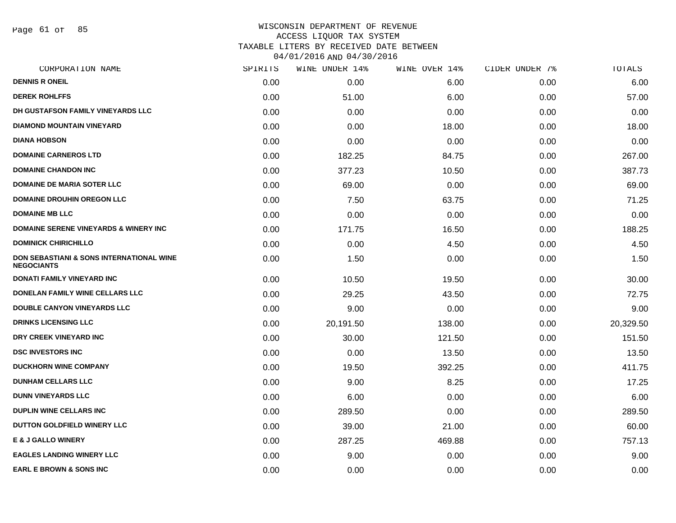Page 61 of 85

| CORPORATION NAME                                                         | SPIRITS | WINE UNDER 14% | WINE OVER 14% | CIDER UNDER 7% | TOTALS    |
|--------------------------------------------------------------------------|---------|----------------|---------------|----------------|-----------|
| <b>DENNIS R ONEIL</b>                                                    | 0.00    | 0.00           | 6.00          | 0.00           | 6.00      |
| <b>DEREK ROHLFFS</b>                                                     | 0.00    | 51.00          | 6.00          | 0.00           | 57.00     |
| DH GUSTAFSON FAMILY VINEYARDS LLC                                        | 0.00    | 0.00           | 0.00          | 0.00           | 0.00      |
| <b>DIAMOND MOUNTAIN VINEYARD</b>                                         | 0.00    | 0.00           | 18.00         | 0.00           | 18.00     |
| <b>DIANA HOBSON</b>                                                      | 0.00    | 0.00           | 0.00          | 0.00           | 0.00      |
| <b>DOMAINE CARNEROS LTD</b>                                              | 0.00    | 182.25         | 84.75         | 0.00           | 267.00    |
| <b>DOMAINE CHANDON INC</b>                                               | 0.00    | 377.23         | 10.50         | 0.00           | 387.73    |
| <b>DOMAINE DE MARIA SOTER LLC</b>                                        | 0.00    | 69.00          | 0.00          | 0.00           | 69.00     |
| <b>DOMAINE DROUHIN OREGON LLC</b>                                        | 0.00    | 7.50           | 63.75         | 0.00           | 71.25     |
| <b>DOMAINE MB LLC</b>                                                    | 0.00    | 0.00           | 0.00          | 0.00           | 0.00      |
| <b>DOMAINE SERENE VINEYARDS &amp; WINERY INC</b>                         | 0.00    | 171.75         | 16.50         | 0.00           | 188.25    |
| <b>DOMINICK CHIRICHILLO</b>                                              | 0.00    | 0.00           | 4.50          | 0.00           | 4.50      |
| <b>DON SEBASTIANI &amp; SONS INTERNATIONAL WINE</b><br><b>NEGOCIANTS</b> | 0.00    | 1.50           | 0.00          | 0.00           | 1.50      |
| DONATI FAMILY VINEYARD INC                                               | 0.00    | 10.50          | 19.50         | 0.00           | 30.00     |
| DONELAN FAMILY WINE CELLARS LLC                                          | 0.00    | 29.25          | 43.50         | 0.00           | 72.75     |
| <b>DOUBLE CANYON VINEYARDS LLC</b>                                       | 0.00    | 9.00           | 0.00          | 0.00           | 9.00      |
| <b>DRINKS LICENSING LLC</b>                                              | 0.00    | 20,191.50      | 138.00        | 0.00           | 20,329.50 |
| DRY CREEK VINEYARD INC                                                   | 0.00    | 30.00          | 121.50        | 0.00           | 151.50    |
| <b>DSC INVESTORS INC</b>                                                 | 0.00    | 0.00           | 13.50         | 0.00           | 13.50     |
| <b>DUCKHORN WINE COMPANY</b>                                             | 0.00    | 19.50          | 392.25        | 0.00           | 411.75    |
| <b>DUNHAM CELLARS LLC</b>                                                | 0.00    | 9.00           | 8.25          | 0.00           | 17.25     |
| <b>DUNN VINEYARDS LLC</b>                                                | 0.00    | 6.00           | 0.00          | 0.00           | 6.00      |
| <b>DUPLIN WINE CELLARS INC.</b>                                          | 0.00    | 289.50         | 0.00          | 0.00           | 289.50    |
| DUTTON GOLDFIELD WINERY LLC                                              | 0.00    | 39.00          | 21.00         | 0.00           | 60.00     |
| <b>E &amp; J GALLO WINERY</b>                                            | 0.00    | 287.25         | 469.88        | 0.00           | 757.13    |
| <b>EAGLES LANDING WINERY LLC</b>                                         | 0.00    | 9.00           | 0.00          | 0.00           | 9.00      |
| <b>EARL E BROWN &amp; SONS INC</b>                                       | 0.00    | 0.00           | 0.00          | 0.00           | 0.00      |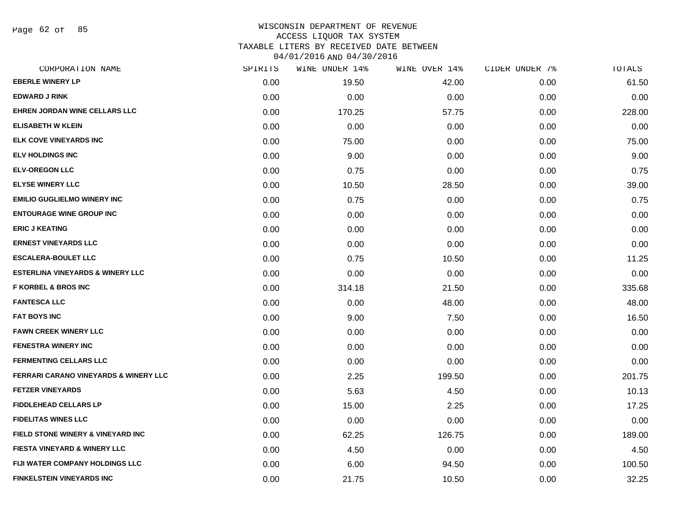Page 62 of 85

| CORPORATION NAME                                 | SPIRITS | WINE UNDER 14% | WINE OVER 14% | CIDER UNDER 7% | TOTALS |
|--------------------------------------------------|---------|----------------|---------------|----------------|--------|
| <b>EBERLE WINERY LP</b>                          | 0.00    | 19.50          | 42.00         | 0.00           | 61.50  |
| <b>EDWARD J RINK</b>                             | 0.00    | 0.00           | 0.00          | 0.00           | 0.00   |
| EHREN JORDAN WINE CELLARS LLC                    | 0.00    | 170.25         | 57.75         | 0.00           | 228.00 |
| <b>ELISABETH W KLEIN</b>                         | 0.00    | 0.00           | 0.00          | 0.00           | 0.00   |
| <b>ELK COVE VINEYARDS INC</b>                    | 0.00    | 75.00          | 0.00          | 0.00           | 75.00  |
| <b>ELV HOLDINGS INC</b>                          | 0.00    | 9.00           | 0.00          | 0.00           | 9.00   |
| <b>ELV-OREGON LLC</b>                            | 0.00    | 0.75           | 0.00          | 0.00           | 0.75   |
| <b>ELYSE WINERY LLC</b>                          | 0.00    | 10.50          | 28.50         | 0.00           | 39.00  |
| <b>EMILIO GUGLIELMO WINERY INC</b>               | 0.00    | 0.75           | 0.00          | 0.00           | 0.75   |
| <b>ENTOURAGE WINE GROUP INC</b>                  | 0.00    | 0.00           | 0.00          | 0.00           | 0.00   |
| <b>ERIC J KEATING</b>                            | 0.00    | 0.00           | 0.00          | 0.00           | 0.00   |
| <b>ERNEST VINEYARDS LLC</b>                      | 0.00    | 0.00           | 0.00          | 0.00           | 0.00   |
| <b>ESCALERA-BOULET LLC</b>                       | 0.00    | 0.75           | 10.50         | 0.00           | 11.25  |
| <b>ESTERLINA VINEYARDS &amp; WINERY LLC</b>      | 0.00    | 0.00           | 0.00          | 0.00           | 0.00   |
| <b>F KORBEL &amp; BROS INC</b>                   | 0.00    | 314.18         | 21.50         | 0.00           | 335.68 |
| <b>FANTESCA LLC</b>                              | 0.00    | 0.00           | 48.00         | 0.00           | 48.00  |
| <b>FAT BOYS INC</b>                              | 0.00    | 9.00           | 7.50          | 0.00           | 16.50  |
| <b>FAWN CREEK WINERY LLC</b>                     | 0.00    | 0.00           | 0.00          | 0.00           | 0.00   |
| <b>FENESTRA WINERY INC</b>                       | 0.00    | 0.00           | 0.00          | 0.00           | 0.00   |
| <b>FERMENTING CELLARS LLC</b>                    | 0.00    | 0.00           | 0.00          | 0.00           | 0.00   |
| <b>FERRARI CARANO VINEYARDS &amp; WINERY LLC</b> | 0.00    | 2.25           | 199.50        | 0.00           | 201.75 |
| <b>FETZER VINEYARDS</b>                          | 0.00    | 5.63           | 4.50          | 0.00           | 10.13  |
| <b>FIDDLEHEAD CELLARS LP</b>                     | 0.00    | 15.00          | 2.25          | 0.00           | 17.25  |
| <b>FIDELITAS WINES LLC</b>                       | 0.00    | 0.00           | 0.00          | 0.00           | 0.00   |
| FIELD STONE WINERY & VINEYARD INC                | 0.00    | 62.25          | 126.75        | 0.00           | 189.00 |
| FIESTA VINEYARD & WINERY LLC                     | 0.00    | 4.50           | 0.00          | 0.00           | 4.50   |
| FIJI WATER COMPANY HOLDINGS LLC                  | 0.00    | 6.00           | 94.50         | 0.00           | 100.50 |
| <b>FINKELSTEIN VINEYARDS INC</b>                 | 0.00    | 21.75          | 10.50         | 0.00           | 32.25  |
|                                                  |         |                |               |                |        |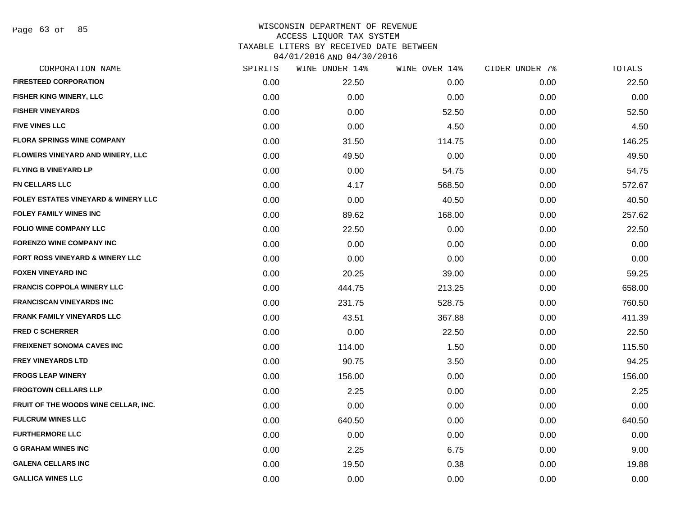| SPIRITS | WINE UNDER 14% | WINE OVER 14% | CIDER UNDER 7% | TOTALS |
|---------|----------------|---------------|----------------|--------|
| 0.00    | 22.50          | 0.00          | 0.00           | 22.50  |
| 0.00    | 0.00           | 0.00          | 0.00           | 0.00   |
| 0.00    | 0.00           | 52.50         | 0.00           | 52.50  |
| 0.00    | 0.00           | 4.50          | 0.00           | 4.50   |
| 0.00    | 31.50          | 114.75        | 0.00           | 146.25 |
| 0.00    | 49.50          | 0.00          | 0.00           | 49.50  |
| 0.00    | 0.00           | 54.75         | 0.00           | 54.75  |
| 0.00    | 4.17           | 568.50        | 0.00           | 572.67 |
| 0.00    | 0.00           | 40.50         | 0.00           | 40.50  |
| 0.00    | 89.62          | 168.00        | 0.00           | 257.62 |
| 0.00    | 22.50          | 0.00          | 0.00           | 22.50  |
| 0.00    | 0.00           | 0.00          | 0.00           | 0.00   |
| 0.00    | 0.00           | 0.00          | 0.00           | 0.00   |
| 0.00    | 20.25          | 39.00         | 0.00           | 59.25  |
| 0.00    | 444.75         | 213.25        | 0.00           | 658.00 |
| 0.00    | 231.75         | 528.75        | 0.00           | 760.50 |
| 0.00    | 43.51          | 367.88        | 0.00           | 411.39 |
| 0.00    | 0.00           | 22.50         | 0.00           | 22.50  |
| 0.00    | 114.00         | 1.50          | 0.00           | 115.50 |
| 0.00    | 90.75          | 3.50          | 0.00           | 94.25  |
| 0.00    | 156.00         | 0.00          | 0.00           | 156.00 |
| 0.00    | 2.25           | 0.00          | 0.00           | 2.25   |
| 0.00    | 0.00           | 0.00          | 0.00           | 0.00   |
| 0.00    | 640.50         | 0.00          | 0.00           | 640.50 |
| 0.00    | 0.00           | 0.00          | 0.00           | 0.00   |
| 0.00    | 2.25           | 6.75          | 0.00           | 9.00   |
| 0.00    | 19.50          | 0.38          | 0.00           | 19.88  |
| 0.00    | 0.00           | 0.00          | 0.00           | 0.00   |
|         |                |               |                |        |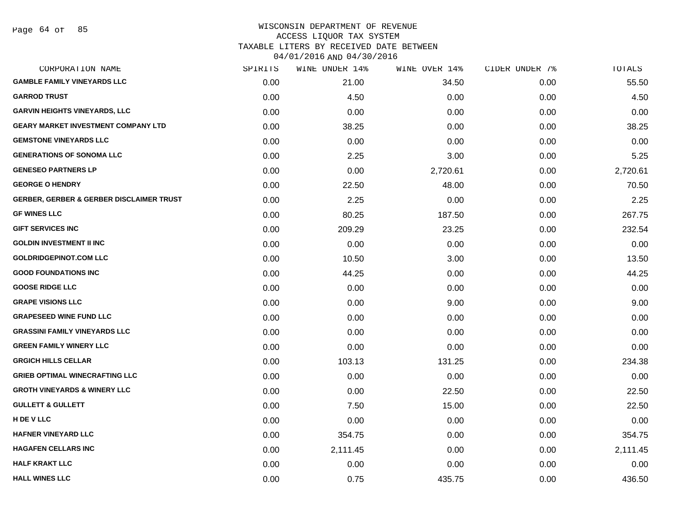|      | WINE UNDER 14% |          |               | TOTALS         |
|------|----------------|----------|---------------|----------------|
| 0.00 | 21.00          | 34.50    | 0.00          | 55.50          |
| 0.00 | 4.50           | 0.00     | 0.00          | 4.50           |
| 0.00 | 0.00           | 0.00     | 0.00          | 0.00           |
| 0.00 | 38.25          | 0.00     | 0.00          | 38.25          |
| 0.00 | 0.00           | 0.00     | 0.00          | 0.00           |
| 0.00 | 2.25           | 3.00     | 0.00          | 5.25           |
| 0.00 | 0.00           | 2,720.61 | 0.00          | 2,720.61       |
| 0.00 | 22.50          | 48.00    | 0.00          | 70.50          |
| 0.00 | 2.25           | 0.00     | 0.00          | 2.25           |
| 0.00 | 80.25          | 187.50   | 0.00          | 267.75         |
| 0.00 | 209.29         | 23.25    | 0.00          | 232.54         |
| 0.00 | 0.00           | 0.00     | 0.00          | 0.00           |
| 0.00 | 10.50          | 3.00     | 0.00          | 13.50          |
| 0.00 | 44.25          | 0.00     | 0.00          | 44.25          |
| 0.00 | 0.00           | 0.00     | 0.00          | 0.00           |
| 0.00 | 0.00           | 9.00     | 0.00          | 9.00           |
| 0.00 | 0.00           | 0.00     | 0.00          | 0.00           |
| 0.00 | 0.00           | 0.00     | 0.00          | 0.00           |
| 0.00 | 0.00           | 0.00     | 0.00          | 0.00           |
| 0.00 | 103.13         | 131.25   | 0.00          | 234.38         |
| 0.00 | 0.00           | 0.00     | 0.00          | 0.00           |
| 0.00 | 0.00           | 22.50    | 0.00          | 22.50          |
| 0.00 | 7.50           | 15.00    | 0.00          | 22.50          |
| 0.00 | 0.00           | 0.00     | 0.00          | 0.00           |
| 0.00 | 354.75         | 0.00     | 0.00          | 354.75         |
| 0.00 | 2,111.45       | 0.00     | 0.00          | 2,111.45       |
| 0.00 | 0.00           | 0.00     | 0.00          | 0.00           |
| 0.00 | 0.75           | 435.75   | 0.00          | 436.50         |
|      | SPIRITS        |          | WINE OVER 14% | CIDER UNDER 7% |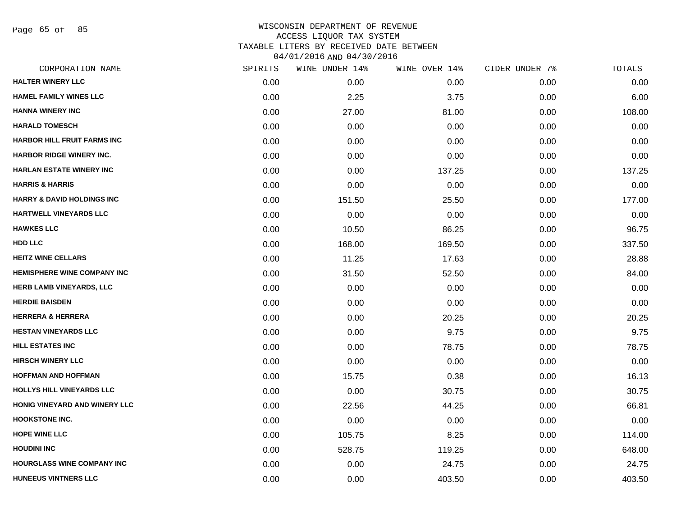Page 65 of 85

| CORPORATION NAME                      | SPIRITS | WINE UNDER 14% | WINE OVER 14% | CIDER UNDER 7% | TOTALS |
|---------------------------------------|---------|----------------|---------------|----------------|--------|
| <b>HALTER WINERY LLC</b>              | 0.00    | 0.00           | 0.00          | 0.00           | 0.00   |
| <b>HAMEL FAMILY WINES LLC</b>         | 0.00    | 2.25           | 3.75          | 0.00           | 6.00   |
| <b>HANNA WINERY INC</b>               | 0.00    | 27.00          | 81.00         | 0.00           | 108.00 |
| <b>HARALD TOMESCH</b>                 | 0.00    | 0.00           | 0.00          | 0.00           | 0.00   |
| <b>HARBOR HILL FRUIT FARMS INC</b>    | 0.00    | 0.00           | 0.00          | 0.00           | 0.00   |
| <b>HARBOR RIDGE WINERY INC.</b>       | 0.00    | 0.00           | 0.00          | 0.00           | 0.00   |
| <b>HARLAN ESTATE WINERY INC</b>       | 0.00    | 0.00           | 137.25        | 0.00           | 137.25 |
| <b>HARRIS &amp; HARRIS</b>            | 0.00    | 0.00           | 0.00          | 0.00           | 0.00   |
| <b>HARRY &amp; DAVID HOLDINGS INC</b> | 0.00    | 151.50         | 25.50         | 0.00           | 177.00 |
| <b>HARTWELL VINEYARDS LLC</b>         | 0.00    | 0.00           | 0.00          | 0.00           | 0.00   |
| <b>HAWKES LLC</b>                     | 0.00    | 10.50          | 86.25         | 0.00           | 96.75  |
| <b>HDD LLC</b>                        | 0.00    | 168.00         | 169.50        | 0.00           | 337.50 |
| <b>HEITZ WINE CELLARS</b>             | 0.00    | 11.25          | 17.63         | 0.00           | 28.88  |
| <b>HEMISPHERE WINE COMPANY INC</b>    | 0.00    | 31.50          | 52.50         | 0.00           | 84.00  |
| HERB LAMB VINEYARDS, LLC              | 0.00    | 0.00           | 0.00          | 0.00           | 0.00   |
| <b>HERDIE BAISDEN</b>                 | 0.00    | 0.00           | 0.00          | 0.00           | 0.00   |
| <b>HERRERA &amp; HERRERA</b>          | 0.00    | 0.00           | 20.25         | 0.00           | 20.25  |
| <b>HESTAN VINEYARDS LLC</b>           | 0.00    | 0.00           | 9.75          | 0.00           | 9.75   |
| <b>HILL ESTATES INC</b>               | 0.00    | 0.00           | 78.75         | 0.00           | 78.75  |
| <b>HIRSCH WINERY LLC</b>              | 0.00    | 0.00           | 0.00          | 0.00           | 0.00   |
| <b>HOFFMAN AND HOFFMAN</b>            | 0.00    | 15.75          | 0.38          | 0.00           | 16.13  |
| HOLLYS HILL VINEYARDS LLC             | 0.00    | 0.00           | 30.75         | 0.00           | 30.75  |
| HONIG VINEYARD AND WINERY LLC         | 0.00    | 22.56          | 44.25         | 0.00           | 66.81  |
| <b>HOOKSTONE INC.</b>                 | 0.00    | 0.00           | 0.00          | 0.00           | 0.00   |
| <b>HOPE WINE LLC</b>                  | 0.00    | 105.75         | 8.25          | 0.00           | 114.00 |
| <b>HOUDINI INC</b>                    | 0.00    | 528.75         | 119.25        | 0.00           | 648.00 |
| <b>HOURGLASS WINE COMPANY INC</b>     | 0.00    | 0.00           | 24.75         | 0.00           | 24.75  |
| <b>HUNEEUS VINTNERS LLC</b>           | 0.00    | 0.00           | 403.50        | 0.00           | 403.50 |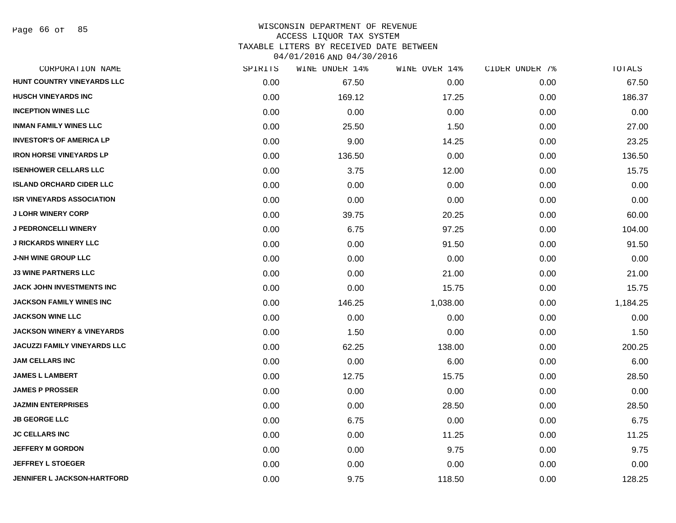Page 66 of 85

| CORPORATION NAME                      | SPIRITS | WINE UNDER 14% | WINE OVER 14% | CIDER UNDER 7% | TOTALS   |
|---------------------------------------|---------|----------------|---------------|----------------|----------|
| HUNT COUNTRY VINEYARDS LLC            | 0.00    | 67.50          | 0.00          | 0.00           | 67.50    |
| <b>HUSCH VINEYARDS INC</b>            | 0.00    | 169.12         | 17.25         | 0.00           | 186.37   |
| <b>INCEPTION WINES LLC</b>            | 0.00    | 0.00           | 0.00          | 0.00           | 0.00     |
| <b>INMAN FAMILY WINES LLC</b>         | 0.00    | 25.50          | 1.50          | 0.00           | 27.00    |
| <b>INVESTOR'S OF AMERICA LP</b>       | 0.00    | 9.00           | 14.25         | 0.00           | 23.25    |
| <b>IRON HORSE VINEYARDS LP</b>        | 0.00    | 136.50         | 0.00          | 0.00           | 136.50   |
| <b>ISENHOWER CELLARS LLC</b>          | 0.00    | 3.75           | 12.00         | 0.00           | 15.75    |
| <b>ISLAND ORCHARD CIDER LLC</b>       | 0.00    | 0.00           | 0.00          | 0.00           | 0.00     |
| <b>ISR VINEYARDS ASSOCIATION</b>      | 0.00    | 0.00           | 0.00          | 0.00           | 0.00     |
| <b>J LOHR WINERY CORP</b>             | 0.00    | 39.75          | 20.25         | 0.00           | 60.00    |
| <b>J PEDRONCELLI WINERY</b>           | 0.00    | 6.75           | 97.25         | 0.00           | 104.00   |
| <b>J RICKARDS WINERY LLC</b>          | 0.00    | 0.00           | 91.50         | 0.00           | 91.50    |
| <b>J-NH WINE GROUP LLC</b>            | 0.00    | 0.00           | 0.00          | 0.00           | 0.00     |
| <b>J3 WINE PARTNERS LLC</b>           | 0.00    | 0.00           | 21.00         | 0.00           | 21.00    |
| JACK JOHN INVESTMENTS INC             | 0.00    | 0.00           | 15.75         | 0.00           | 15.75    |
| <b>JACKSON FAMILY WINES INC</b>       | 0.00    | 146.25         | 1,038.00      | 0.00           | 1,184.25 |
| <b>JACKSON WINE LLC</b>               | 0.00    | 0.00           | 0.00          | 0.00           | 0.00     |
| <b>JACKSON WINERY &amp; VINEYARDS</b> | 0.00    | 1.50           | 0.00          | 0.00           | 1.50     |
| <b>JACUZZI FAMILY VINEYARDS LLC</b>   | 0.00    | 62.25          | 138.00        | 0.00           | 200.25   |
| <b>JAM CELLARS INC</b>                | 0.00    | 0.00           | 6.00          | 0.00           | 6.00     |
| <b>JAMES L LAMBERT</b>                | 0.00    | 12.75          | 15.75         | 0.00           | 28.50    |
| <b>JAMES P PROSSER</b>                | 0.00    | 0.00           | 0.00          | 0.00           | 0.00     |
| <b>JAZMIN ENTERPRISES</b>             | 0.00    | 0.00           | 28.50         | 0.00           | 28.50    |
| <b>JB GEORGE LLC</b>                  | 0.00    | 6.75           | 0.00          | 0.00           | 6.75     |
| <b>JC CELLARS INC</b>                 | 0.00    | 0.00           | 11.25         | 0.00           | 11.25    |
| <b>JEFFERY M GORDON</b>               | 0.00    | 0.00           | 9.75          | 0.00           | 9.75     |
| <b>JEFFREY L STOEGER</b>              | 0.00    | 0.00           | 0.00          | 0.00           | 0.00     |
| <b>JENNIFER L JACKSON-HARTFORD</b>    | 0.00    | 9.75           | 118.50        | 0.00           | 128.25   |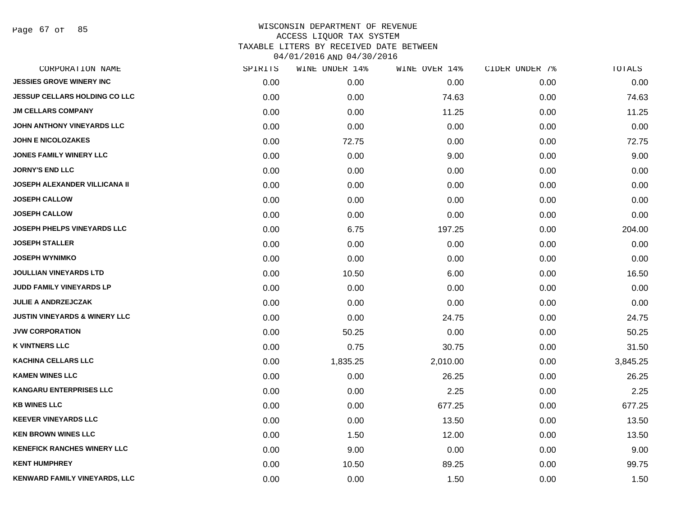Page 67 of 85

|      | WINE UNDER 14% |          |               | TOTALS         |
|------|----------------|----------|---------------|----------------|
| 0.00 | 0.00           | 0.00     | 0.00          | 0.00           |
| 0.00 | 0.00           | 74.63    | 0.00          | 74.63          |
| 0.00 | 0.00           | 11.25    | 0.00          | 11.25          |
| 0.00 | 0.00           | 0.00     | 0.00          | 0.00           |
| 0.00 | 72.75          | 0.00     | 0.00          | 72.75          |
| 0.00 | 0.00           | 9.00     | 0.00          | 9.00           |
| 0.00 | 0.00           | 0.00     | 0.00          | 0.00           |
| 0.00 | 0.00           | 0.00     | 0.00          | 0.00           |
| 0.00 | 0.00           | 0.00     | 0.00          | 0.00           |
| 0.00 | 0.00           | 0.00     | 0.00          | 0.00           |
| 0.00 | 6.75           | 197.25   | 0.00          | 204.00         |
| 0.00 | 0.00           | 0.00     | 0.00          | 0.00           |
| 0.00 | 0.00           | 0.00     | 0.00          | 0.00           |
| 0.00 | 10.50          | 6.00     | 0.00          | 16.50          |
| 0.00 | 0.00           | 0.00     | 0.00          | 0.00           |
| 0.00 | 0.00           | 0.00     | 0.00          | 0.00           |
| 0.00 | 0.00           | 24.75    | 0.00          | 24.75          |
| 0.00 | 50.25          | 0.00     | 0.00          | 50.25          |
| 0.00 | 0.75           | 30.75    | 0.00          | 31.50          |
| 0.00 | 1,835.25       | 2,010.00 | 0.00          | 3,845.25       |
| 0.00 | 0.00           | 26.25    | 0.00          | 26.25          |
| 0.00 | 0.00           | 2.25     | 0.00          | 2.25           |
| 0.00 | 0.00           | 677.25   | 0.00          | 677.25         |
| 0.00 | 0.00           | 13.50    | 0.00          | 13.50          |
| 0.00 | 1.50           | 12.00    | 0.00          | 13.50          |
| 0.00 | 9.00           | 0.00     | 0.00          | 9.00           |
| 0.00 | 10.50          | 89.25    | 0.00          | 99.75          |
| 0.00 | 0.00           | 1.50     | 0.00          | 1.50           |
|      | SPIRITS        |          | WINE OVER 14% | CIDER UNDER 7% |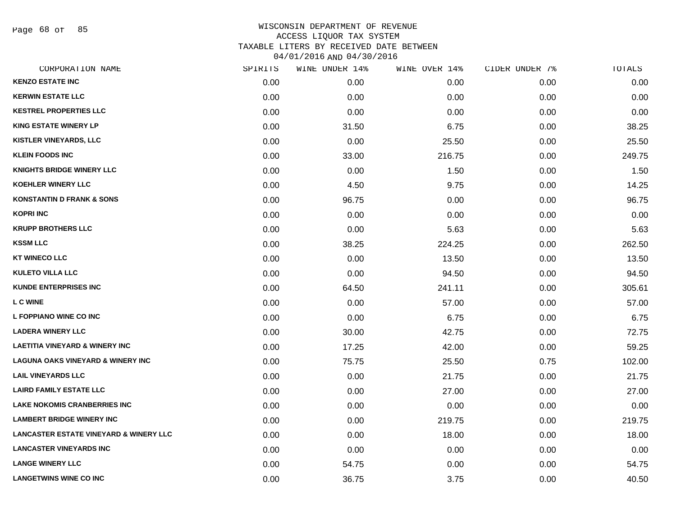Page 68 of 85

| CORPORATION NAME                                  | SPIRITS | WINE UNDER 14% | WINE OVER 14% | CIDER UNDER 7% | TOTALS |
|---------------------------------------------------|---------|----------------|---------------|----------------|--------|
| <b>KENZO ESTATE INC</b>                           | 0.00    | 0.00           | 0.00          | 0.00           | 0.00   |
| <b>KERWIN ESTATE LLC</b>                          | 0.00    | 0.00           | 0.00          | 0.00           | 0.00   |
| <b>KESTREL PROPERTIES LLC</b>                     | 0.00    | 0.00           | 0.00          | 0.00           | 0.00   |
| <b>KING ESTATE WINERY LP</b>                      | 0.00    | 31.50          | 6.75          | 0.00           | 38.25  |
| <b>KISTLER VINEYARDS, LLC</b>                     | 0.00    | 0.00           | 25.50         | 0.00           | 25.50  |
| <b>KLEIN FOODS INC</b>                            | 0.00    | 33.00          | 216.75        | 0.00           | 249.75 |
| <b>KNIGHTS BRIDGE WINERY LLC</b>                  | 0.00    | 0.00           | 1.50          | 0.00           | 1.50   |
| <b>KOEHLER WINERY LLC</b>                         | 0.00    | 4.50           | 9.75          | 0.00           | 14.25  |
| <b>KONSTANTIN D FRANK &amp; SONS</b>              | 0.00    | 96.75          | 0.00          | 0.00           | 96.75  |
| <b>KOPRI INC</b>                                  | 0.00    | 0.00           | 0.00          | 0.00           | 0.00   |
| <b>KRUPP BROTHERS LLC</b>                         | 0.00    | 0.00           | 5.63          | 0.00           | 5.63   |
| <b>KSSM LLC</b>                                   | 0.00    | 38.25          | 224.25        | 0.00           | 262.50 |
| <b>KT WINECO LLC</b>                              | 0.00    | 0.00           | 13.50         | 0.00           | 13.50  |
| <b>KULETO VILLA LLC</b>                           | 0.00    | 0.00           | 94.50         | 0.00           | 94.50  |
| <b>KUNDE ENTERPRISES INC</b>                      | 0.00    | 64.50          | 241.11        | 0.00           | 305.61 |
| <b>LC WINE</b>                                    | 0.00    | 0.00           | 57.00         | 0.00           | 57.00  |
| <b>L FOPPIANO WINE CO INC</b>                     | 0.00    | 0.00           | 6.75          | 0.00           | 6.75   |
| <b>LADERA WINERY LLC</b>                          | 0.00    | 30.00          | 42.75         | 0.00           | 72.75  |
| <b>LAETITIA VINEYARD &amp; WINERY INC</b>         | 0.00    | 17.25          | 42.00         | 0.00           | 59.25  |
| <b>LAGUNA OAKS VINEYARD &amp; WINERY INC</b>      | 0.00    | 75.75          | 25.50         | 0.75           | 102.00 |
| <b>LAIL VINEYARDS LLC</b>                         | 0.00    | 0.00           | 21.75         | 0.00           | 21.75  |
| <b>LAIRD FAMILY ESTATE LLC</b>                    | 0.00    | 0.00           | 27.00         | 0.00           | 27.00  |
| <b>LAKE NOKOMIS CRANBERRIES INC</b>               | 0.00    | 0.00           | 0.00          | 0.00           | 0.00   |
| <b>LAMBERT BRIDGE WINERY INC</b>                  | 0.00    | 0.00           | 219.75        | 0.00           | 219.75 |
| <b>LANCASTER ESTATE VINEYARD &amp; WINERY LLC</b> | 0.00    | 0.00           | 18.00         | 0.00           | 18.00  |
| <b>LANCASTER VINEYARDS INC</b>                    | 0.00    | 0.00           | 0.00          | 0.00           | 0.00   |
| <b>LANGE WINERY LLC</b>                           | 0.00    | 54.75          | 0.00          | 0.00           | 54.75  |
| <b>LANGETWINS WINE CO INC</b>                     | 0.00    | 36.75          | 3.75          | 0.00           | 40.50  |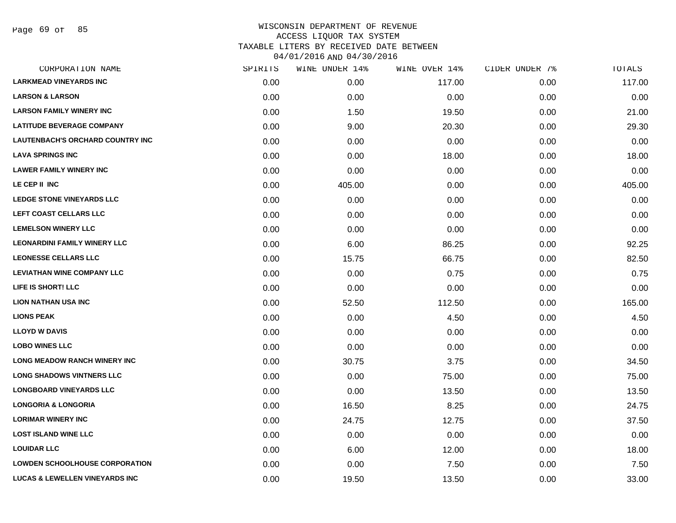| CORPORATION NAME                          | SPIRITS | WINE UNDER 14% | WINE OVER 14% | CIDER UNDER 7% | TOTALS |
|-------------------------------------------|---------|----------------|---------------|----------------|--------|
| <b>LARKMEAD VINEYARDS INC</b>             | 0.00    | 0.00           | 117.00        | 0.00           | 117.00 |
| <b>LARSON &amp; LARSON</b>                | 0.00    | 0.00           | 0.00          | 0.00           | 0.00   |
| <b>LARSON FAMILY WINERY INC</b>           | 0.00    | 1.50           | 19.50         | 0.00           | 21.00  |
| <b>LATITUDE BEVERAGE COMPANY</b>          | 0.00    | 9.00           | 20.30         | 0.00           | 29.30  |
| <b>LAUTENBACH'S ORCHARD COUNTRY INC</b>   | 0.00    | 0.00           | 0.00          | 0.00           | 0.00   |
| <b>LAVA SPRINGS INC</b>                   | 0.00    | 0.00           | 18.00         | 0.00           | 18.00  |
| <b>LAWER FAMILY WINERY INC</b>            | 0.00    | 0.00           | 0.00          | 0.00           | 0.00   |
| LE CEP II INC                             | 0.00    | 405.00         | 0.00          | 0.00           | 405.00 |
| LEDGE STONE VINEYARDS LLC                 | 0.00    | 0.00           | 0.00          | 0.00           | 0.00   |
| LEFT COAST CELLARS LLC                    | 0.00    | 0.00           | 0.00          | 0.00           | 0.00   |
| <b>LEMELSON WINERY LLC</b>                | 0.00    | 0.00           | 0.00          | 0.00           | 0.00   |
| <b>LEONARDINI FAMILY WINERY LLC</b>       | 0.00    | 6.00           | 86.25         | 0.00           | 92.25  |
| <b>LEONESSE CELLARS LLC</b>               | 0.00    | 15.75          | 66.75         | 0.00           | 82.50  |
| <b>LEVIATHAN WINE COMPANY LLC</b>         | 0.00    | 0.00           | 0.75          | 0.00           | 0.75   |
| LIFE IS SHORT! LLC                        | 0.00    | 0.00           | 0.00          | 0.00           | 0.00   |
| <b>LION NATHAN USA INC</b>                | 0.00    | 52.50          | 112.50        | 0.00           | 165.00 |
| <b>LIONS PEAK</b>                         | 0.00    | 0.00           | 4.50          | 0.00           | 4.50   |
| <b>LLOYD W DAVIS</b>                      | 0.00    | 0.00           | 0.00          | 0.00           | 0.00   |
| <b>LOBO WINES LLC</b>                     | 0.00    | 0.00           | 0.00          | 0.00           | 0.00   |
| LONG MEADOW RANCH WINERY INC              | 0.00    | 30.75          | 3.75          | 0.00           | 34.50  |
| <b>LONG SHADOWS VINTNERS LLC</b>          | 0.00    | 0.00           | 75.00         | 0.00           | 75.00  |
| <b>LONGBOARD VINEYARDS LLC</b>            | 0.00    | 0.00           | 13.50         | 0.00           | 13.50  |
| <b>LONGORIA &amp; LONGORIA</b>            | 0.00    | 16.50          | 8.25          | 0.00           | 24.75  |
| <b>LORIMAR WINERY INC</b>                 | 0.00    | 24.75          | 12.75         | 0.00           | 37.50  |
| <b>LOST ISLAND WINE LLC</b>               | 0.00    | 0.00           | 0.00          | 0.00           | 0.00   |
| <b>LOUIDAR LLC</b>                        | 0.00    | 6.00           | 12.00         | 0.00           | 18.00  |
| <b>LOWDEN SCHOOLHOUSE CORPORATION</b>     | 0.00    | 0.00           | 7.50          | 0.00           | 7.50   |
| <b>LUCAS &amp; LEWELLEN VINEYARDS INC</b> | 0.00    | 19.50          | 13.50         | 0.00           | 33.00  |
|                                           |         |                |               |                |        |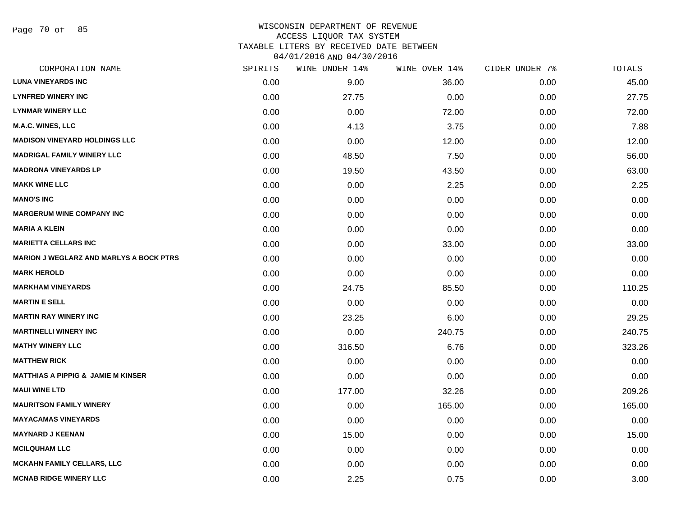Page 70 of 85

| CORPORATION NAME                               | SPIRITS | WINE UNDER 14% | WINE OVER 14% | CIDER UNDER 7% | TOTALS |
|------------------------------------------------|---------|----------------|---------------|----------------|--------|
| <b>LUNA VINEYARDS INC</b>                      | 0.00    | 9.00           | 36.00         | 0.00           | 45.00  |
| <b>LYNFRED WINERY INC</b>                      | 0.00    | 27.75          | 0.00          | 0.00           | 27.75  |
| <b>LYNMAR WINERY LLC</b>                       | 0.00    | 0.00           | 72.00         | 0.00           | 72.00  |
| <b>M.A.C. WINES, LLC</b>                       | 0.00    | 4.13           | 3.75          | 0.00           | 7.88   |
| <b>MADISON VINEYARD HOLDINGS LLC</b>           | 0.00    | 0.00           | 12.00         | 0.00           | 12.00  |
| <b>MADRIGAL FAMILY WINERY LLC</b>              | 0.00    | 48.50          | 7.50          | 0.00           | 56.00  |
| <b>MADRONA VINEYARDS LP</b>                    | 0.00    | 19.50          | 43.50         | 0.00           | 63.00  |
| <b>MAKK WINE LLC</b>                           | 0.00    | 0.00           | 2.25          | 0.00           | 2.25   |
| <b>MANO'S INC</b>                              | 0.00    | 0.00           | 0.00          | 0.00           | 0.00   |
| <b>MARGERUM WINE COMPANY INC</b>               | 0.00    | 0.00           | 0.00          | 0.00           | 0.00   |
| <b>MARIA A KLEIN</b>                           | 0.00    | 0.00           | 0.00          | 0.00           | 0.00   |
| <b>MARIETTA CELLARS INC</b>                    | 0.00    | 0.00           | 33.00         | 0.00           | 33.00  |
| <b>MARION J WEGLARZ AND MARLYS A BOCK PTRS</b> | 0.00    | 0.00           | 0.00          | 0.00           | 0.00   |
| <b>MARK HEROLD</b>                             | 0.00    | 0.00           | 0.00          | 0.00           | 0.00   |
| <b>MARKHAM VINEYARDS</b>                       | 0.00    | 24.75          | 85.50         | 0.00           | 110.25 |
| <b>MARTIN E SELL</b>                           | 0.00    | 0.00           | 0.00          | 0.00           | 0.00   |
| <b>MARTIN RAY WINERY INC</b>                   | 0.00    | 23.25          | 6.00          | 0.00           | 29.25  |
| <b>MARTINELLI WINERY INC</b>                   | 0.00    | 0.00           | 240.75        | 0.00           | 240.75 |
| <b>MATHY WINERY LLC</b>                        | 0.00    | 316.50         | 6.76          | 0.00           | 323.26 |
| <b>MATTHEW RICK</b>                            | 0.00    | 0.00           | 0.00          | 0.00           | 0.00   |
| <b>MATTHIAS A PIPPIG &amp; JAMIE M KINSER</b>  | 0.00    | 0.00           | 0.00          | 0.00           | 0.00   |
| <b>MAUI WINE LTD</b>                           | 0.00    | 177.00         | 32.26         | 0.00           | 209.26 |
| <b>MAURITSON FAMILY WINERY</b>                 | 0.00    | 0.00           | 165.00        | 0.00           | 165.00 |
| <b>MAYACAMAS VINEYARDS</b>                     | 0.00    | 0.00           | 0.00          | 0.00           | 0.00   |
| <b>MAYNARD J KEENAN</b>                        | 0.00    | 15.00          | 0.00          | 0.00           | 15.00  |
| <b>MCILQUHAM LLC</b>                           | 0.00    | 0.00           | 0.00          | 0.00           | 0.00   |
| <b>MCKAHN FAMILY CELLARS, LLC</b>              | 0.00    | 0.00           | 0.00          | 0.00           | 0.00   |
| <b>MCNAB RIDGE WINERY LLC</b>                  | 0.00    | 2.25           | 0.75          | 0.00           | 3.00   |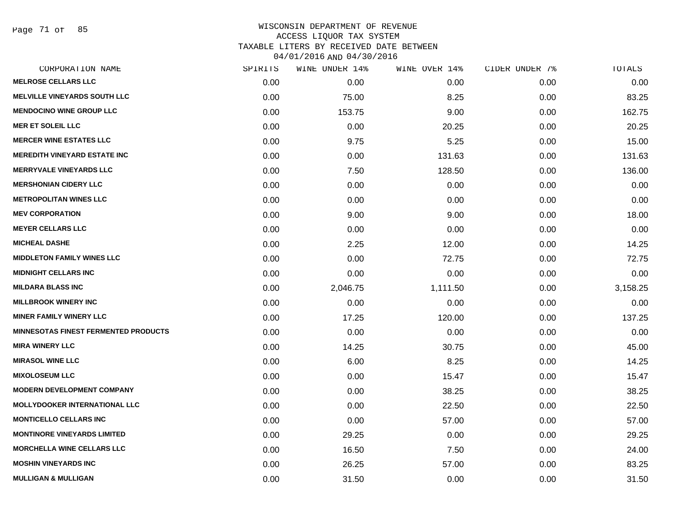Page 71 of 85

| CORPORATION NAME                            | SPIRITS | WINE UNDER 14% | WINE OVER 14% | CIDER UNDER 7% | TOTALS   |
|---------------------------------------------|---------|----------------|---------------|----------------|----------|
| <b>MELROSE CELLARS LLC</b>                  | 0.00    | 0.00           | 0.00          | 0.00           | 0.00     |
| <b>MELVILLE VINEYARDS SOUTH LLC</b>         | 0.00    | 75.00          | 8.25          | 0.00           | 83.25    |
| <b>MENDOCINO WINE GROUP LLC</b>             | 0.00    | 153.75         | 9.00          | 0.00           | 162.75   |
| <b>MER ET SOLEIL LLC</b>                    | 0.00    | 0.00           | 20.25         | 0.00           | 20.25    |
| <b>MERCER WINE ESTATES LLC</b>              | 0.00    | 9.75           | 5.25          | 0.00           | 15.00    |
| <b>MEREDITH VINEYARD ESTATE INC</b>         | 0.00    | 0.00           | 131.63        | 0.00           | 131.63   |
| <b>MERRYVALE VINEYARDS LLC</b>              | 0.00    | 7.50           | 128.50        | 0.00           | 136.00   |
| <b>MERSHONIAN CIDERY LLC</b>                | 0.00    | 0.00           | 0.00          | 0.00           | 0.00     |
| <b>METROPOLITAN WINES LLC</b>               | 0.00    | 0.00           | 0.00          | 0.00           | 0.00     |
| <b>MEV CORPORATION</b>                      | 0.00    | 9.00           | 9.00          | 0.00           | 18.00    |
| <b>MEYER CELLARS LLC</b>                    | 0.00    | 0.00           | 0.00          | 0.00           | 0.00     |
| <b>MICHEAL DASHE</b>                        | 0.00    | 2.25           | 12.00         | 0.00           | 14.25    |
| <b>MIDDLETON FAMILY WINES LLC</b>           | 0.00    | 0.00           | 72.75         | 0.00           | 72.75    |
| <b>MIDNIGHT CELLARS INC</b>                 | 0.00    | 0.00           | 0.00          | 0.00           | 0.00     |
| <b>MILDARA BLASS INC</b>                    | 0.00    | 2,046.75       | 1,111.50      | 0.00           | 3,158.25 |
| <b>MILLBROOK WINERY INC</b>                 | 0.00    | 0.00           | 0.00          | 0.00           | 0.00     |
| <b>MINER FAMILY WINERY LLC</b>              | 0.00    | 17.25          | 120.00        | 0.00           | 137.25   |
| <b>MINNESOTAS FINEST FERMENTED PRODUCTS</b> | 0.00    | 0.00           | 0.00          | 0.00           | 0.00     |
| <b>MIRA WINERY LLC</b>                      | 0.00    | 14.25          | 30.75         | 0.00           | 45.00    |
| <b>MIRASOL WINE LLC</b>                     | 0.00    | 6.00           | 8.25          | 0.00           | 14.25    |
| <b>MIXOLOSEUM LLC</b>                       | 0.00    | 0.00           | 15.47         | 0.00           | 15.47    |
| <b>MODERN DEVELOPMENT COMPANY</b>           | 0.00    | 0.00           | 38.25         | 0.00           | 38.25    |
| <b>MOLLYDOOKER INTERNATIONAL LLC</b>        | 0.00    | 0.00           | 22.50         | 0.00           | 22.50    |
| <b>MONTICELLO CELLARS INC</b>               | 0.00    | 0.00           | 57.00         | 0.00           | 57.00    |
| <b>MONTINORE VINEYARDS LIMITED</b>          | 0.00    | 29.25          | 0.00          | 0.00           | 29.25    |
| <b>MORCHELLA WINE CELLARS LLC</b>           | 0.00    | 16.50          | 7.50          | 0.00           | 24.00    |
| <b>MOSHIN VINEYARDS INC</b>                 | 0.00    | 26.25          | 57.00         | 0.00           | 83.25    |
| <b>MULLIGAN &amp; MULLIGAN</b>              | 0.00    | 31.50          | 0.00          | 0.00           | 31.50    |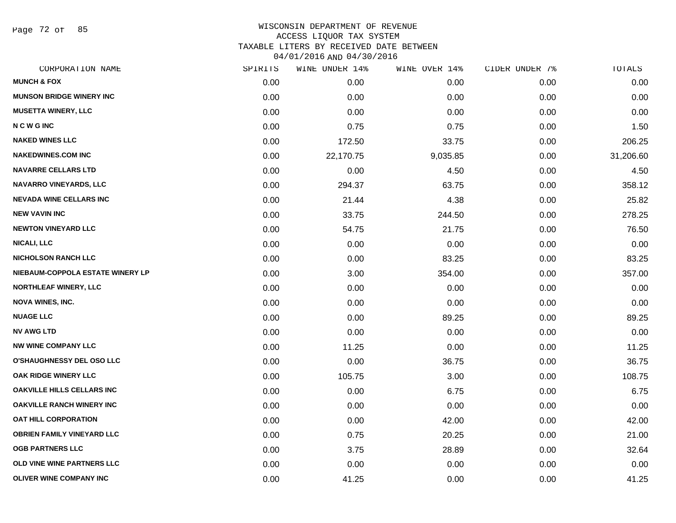Page 72 of 85

| CORPORATION NAME                  | SPIRITS | WINE UNDER 14% | WINE OVER 14% | CIDER UNDER 7% | TOTALS    |
|-----------------------------------|---------|----------------|---------------|----------------|-----------|
| <b>MUNCH &amp; FOX</b>            | 0.00    | 0.00           | 0.00          | 0.00           | 0.00      |
| <b>MUNSON BRIDGE WINERY INC</b>   | 0.00    | 0.00           | 0.00          | 0.00           | 0.00      |
| <b>MUSETTA WINERY, LLC</b>        | 0.00    | 0.00           | 0.00          | 0.00           | 0.00      |
| <b>NCWGINC</b>                    | 0.00    | 0.75           | 0.75          | 0.00           | 1.50      |
| <b>NAKED WINES LLC</b>            | 0.00    | 172.50         | 33.75         | 0.00           | 206.25    |
| <b>NAKEDWINES.COM INC</b>         | 0.00    | 22,170.75      | 9,035.85      | 0.00           | 31,206.60 |
| <b>NAVARRE CELLARS LTD</b>        | 0.00    | 0.00           | 4.50          | 0.00           | 4.50      |
| NAVARRO VINEYARDS, LLC            | 0.00    | 294.37         | 63.75         | 0.00           | 358.12    |
| <b>NEVADA WINE CELLARS INC</b>    | 0.00    | 21.44          | 4.38          | 0.00           | 25.82     |
| <b>NEW VAVIN INC</b>              | 0.00    | 33.75          | 244.50        | 0.00           | 278.25    |
| <b>NEWTON VINEYARD LLC</b>        | 0.00    | 54.75          | 21.75         | 0.00           | 76.50     |
| <b>NICALI, LLC</b>                | 0.00    | 0.00           | 0.00          | 0.00           | 0.00      |
| <b>NICHOLSON RANCH LLC</b>        | 0.00    | 0.00           | 83.25         | 0.00           | 83.25     |
| NIEBAUM-COPPOLA ESTATE WINERY LP  | 0.00    | 3.00           | 354.00        | 0.00           | 357.00    |
| <b>NORTHLEAF WINERY, LLC</b>      | 0.00    | 0.00           | 0.00          | 0.00           | 0.00      |
| <b>NOVA WINES, INC.</b>           | 0.00    | 0.00           | 0.00          | 0.00           | 0.00      |
| <b>NUAGE LLC</b>                  | 0.00    | 0.00           | 89.25         | 0.00           | 89.25     |
| <b>NV AWG LTD</b>                 | 0.00    | 0.00           | 0.00          | 0.00           | 0.00      |
| <b>NW WINE COMPANY LLC</b>        | 0.00    | 11.25          | 0.00          | 0.00           | 11.25     |
| <b>O'SHAUGHNESSY DEL OSO LLC</b>  | 0.00    | 0.00           | 36.75         | 0.00           | 36.75     |
| OAK RIDGE WINERY LLC              | 0.00    | 105.75         | 3.00          | 0.00           | 108.75    |
| <b>OAKVILLE HILLS CELLARS INC</b> | 0.00    | 0.00           | 6.75          | 0.00           | 6.75      |
| OAKVILLE RANCH WINERY INC         | 0.00    | 0.00           | 0.00          | 0.00           | 0.00      |
| OAT HILL CORPORATION              | 0.00    | 0.00           | 42.00         | 0.00           | 42.00     |
| <b>OBRIEN FAMILY VINEYARD LLC</b> | 0.00    | 0.75           | 20.25         | 0.00           | 21.00     |
| <b>OGB PARTNERS LLC</b>           | 0.00    | 3.75           | 28.89         | 0.00           | 32.64     |
| OLD VINE WINE PARTNERS LLC        | 0.00    | 0.00           | 0.00          | 0.00           | 0.00      |
| <b>OLIVER WINE COMPANY INC</b>    | 0.00    | 41.25          | 0.00          | 0.00           | 41.25     |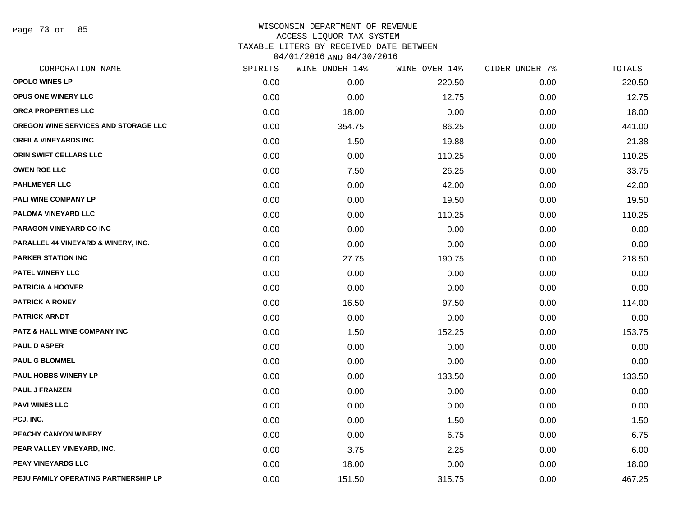Page 73 of 85

| CORPORATION NAME                        | SPIRITS | WINE UNDER 14% | WINE OVER 14% | CIDER UNDER 7% | TOTALS |
|-----------------------------------------|---------|----------------|---------------|----------------|--------|
| <b>OPOLO WINES LP</b>                   | 0.00    | 0.00           | 220.50        | 0.00           | 220.50 |
| OPUS ONE WINERY LLC                     | 0.00    | 0.00           | 12.75         | 0.00           | 12.75  |
| ORCA PROPERTIES LLC                     | 0.00    | 18.00          | 0.00          | 0.00           | 18.00  |
| OREGON WINE SERVICES AND STORAGE LLC    | 0.00    | 354.75         | 86.25         | 0.00           | 441.00 |
| <b>ORFILA VINEYARDS INC</b>             | 0.00    | 1.50           | 19.88         | 0.00           | 21.38  |
| ORIN SWIFT CELLARS LLC                  | 0.00    | 0.00           | 110.25        | 0.00           | 110.25 |
| <b>OWEN ROE LLC</b>                     | 0.00    | 7.50           | 26.25         | 0.00           | 33.75  |
| <b>PAHLMEYER LLC</b>                    | 0.00    | 0.00           | 42.00         | 0.00           | 42.00  |
| PALI WINE COMPANY LP                    | 0.00    | 0.00           | 19.50         | 0.00           | 19.50  |
| PALOMA VINEYARD LLC                     | 0.00    | 0.00           | 110.25        | 0.00           | 110.25 |
| PARAGON VINEYARD CO INC                 | 0.00    | 0.00           | 0.00          | 0.00           | 0.00   |
| PARALLEL 44 VINEYARD & WINERY, INC.     | 0.00    | 0.00           | 0.00          | 0.00           | 0.00   |
| <b>PARKER STATION INC</b>               | 0.00    | 27.75          | 190.75        | 0.00           | 218.50 |
| <b>PATEL WINERY LLC</b>                 | 0.00    | 0.00           | 0.00          | 0.00           | 0.00   |
| <b>PATRICIA A HOOVER</b>                | 0.00    | 0.00           | 0.00          | 0.00           | 0.00   |
| <b>PATRICK A RONEY</b>                  | 0.00    | 16.50          | 97.50         | 0.00           | 114.00 |
| <b>PATRICK ARNDT</b>                    | 0.00    | 0.00           | 0.00          | 0.00           | 0.00   |
| <b>PATZ &amp; HALL WINE COMPANY INC</b> | 0.00    | 1.50           | 152.25        | 0.00           | 153.75 |
| <b>PAUL D ASPER</b>                     | 0.00    | 0.00           | 0.00          | 0.00           | 0.00   |
| <b>PAUL G BLOMMEL</b>                   | 0.00    | 0.00           | 0.00          | 0.00           | 0.00   |
| <b>PAUL HOBBS WINERY LP</b>             | 0.00    | 0.00           | 133.50        | 0.00           | 133.50 |
| <b>PAUL J FRANZEN</b>                   | 0.00    | 0.00           | 0.00          | 0.00           | 0.00   |
| <b>PAVI WINES LLC</b>                   | 0.00    | 0.00           | 0.00          | 0.00           | 0.00   |
| PCJ, INC.                               | 0.00    | 0.00           | 1.50          | 0.00           | 1.50   |
| PEACHY CANYON WINERY                    | 0.00    | 0.00           | 6.75          | 0.00           | 6.75   |
| PEAR VALLEY VINEYARD, INC.              | 0.00    | 3.75           | 2.25          | 0.00           | 6.00   |
| PEAY VINEYARDS LLC                      | 0.00    | 18.00          | 0.00          | 0.00           | 18.00  |
| PEJU FAMILY OPERATING PARTNERSHIP LP    | 0.00    | 151.50         | 315.75        | 0.00           | 467.25 |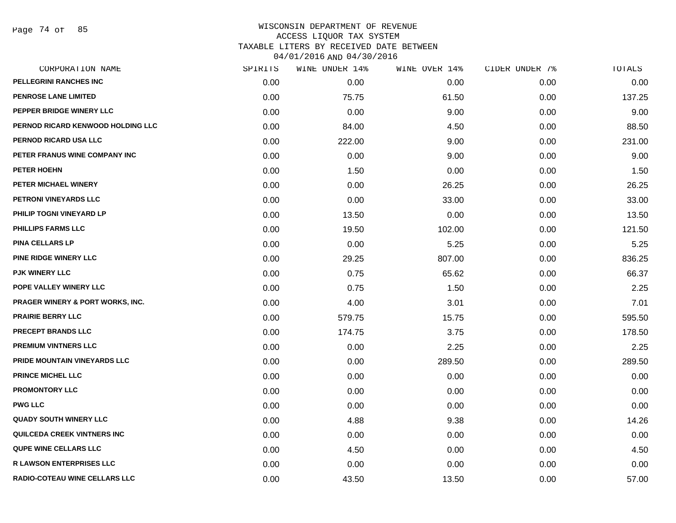| CORPORATION NAME                            | SPIRITS | WINE UNDER 14% | WINE OVER 14% | CIDER UNDER 7% | TOTALS |
|---------------------------------------------|---------|----------------|---------------|----------------|--------|
| PELLEGRINI RANCHES INC                      | 0.00    | 0.00           | 0.00          | 0.00           | 0.00   |
| <b>PENROSE LANE LIMITED</b>                 | 0.00    | 75.75          | 61.50         | 0.00           | 137.25 |
| PEPPER BRIDGE WINERY LLC                    | 0.00    | 0.00           | 9.00          | 0.00           | 9.00   |
| PERNOD RICARD KENWOOD HOLDING LLC           | 0.00    | 84.00          | 4.50          | 0.00           | 88.50  |
| PERNOD RICARD USA LLC                       | 0.00    | 222.00         | 9.00          | 0.00           | 231.00 |
| PETER FRANUS WINE COMPANY INC               | 0.00    | 0.00           | 9.00          | 0.00           | 9.00   |
| PETER HOEHN                                 | 0.00    | 1.50           | 0.00          | 0.00           | 1.50   |
| PETER MICHAEL WINERY                        | 0.00    | 0.00           | 26.25         | 0.00           | 26.25  |
| PETRONI VINEYARDS LLC                       | 0.00    | 0.00           | 33.00         | 0.00           | 33.00  |
| PHILIP TOGNI VINEYARD LP                    | 0.00    | 13.50          | 0.00          | 0.00           | 13.50  |
| <b>PHILLIPS FARMS LLC</b>                   | 0.00    | 19.50          | 102.00        | 0.00           | 121.50 |
| <b>PINA CELLARS LP</b>                      | 0.00    | 0.00           | 5.25          | 0.00           | 5.25   |
| <b>PINE RIDGE WINERY LLC</b>                | 0.00    | 29.25          | 807.00        | 0.00           | 836.25 |
| <b>PJK WINERY LLC</b>                       | 0.00    | 0.75           | 65.62         | 0.00           | 66.37  |
| POPE VALLEY WINERY LLC                      | 0.00    | 0.75           | 1.50          | 0.00           | 2.25   |
| <b>PRAGER WINERY &amp; PORT WORKS, INC.</b> | 0.00    | 4.00           | 3.01          | 0.00           | 7.01   |
| <b>PRAIRIE BERRY LLC</b>                    | 0.00    | 579.75         | 15.75         | 0.00           | 595.50 |
| PRECEPT BRANDS LLC                          | 0.00    | 174.75         | 3.75          | 0.00           | 178.50 |
| <b>PREMIUM VINTNERS LLC</b>                 | 0.00    | 0.00           | 2.25          | 0.00           | 2.25   |
| PRIDE MOUNTAIN VINEYARDS LLC                | 0.00    | 0.00           | 289.50        | 0.00           | 289.50 |
| <b>PRINCE MICHEL LLC</b>                    | 0.00    | 0.00           | 0.00          | 0.00           | 0.00   |
| <b>PROMONTORY LLC</b>                       | 0.00    | 0.00           | 0.00          | 0.00           | 0.00   |
| <b>PWG LLC</b>                              | 0.00    | 0.00           | 0.00          | 0.00           | 0.00   |
| <b>QUADY SOUTH WINERY LLC</b>               | 0.00    | 4.88           | 9.38          | 0.00           | 14.26  |
| <b>QUILCEDA CREEK VINTNERS INC</b>          | 0.00    | 0.00           | 0.00          | 0.00           | 0.00   |
| <b>QUPE WINE CELLARS LLC</b>                | 0.00    | 4.50           | 0.00          | 0.00           | 4.50   |
| <b>R LAWSON ENTERPRISES LLC</b>             | 0.00    | 0.00           | 0.00          | 0.00           | 0.00   |
| <b>RADIO-COTEAU WINE CELLARS LLC</b>        | 0.00    | 43.50          | 13.50         | 0.00           | 57.00  |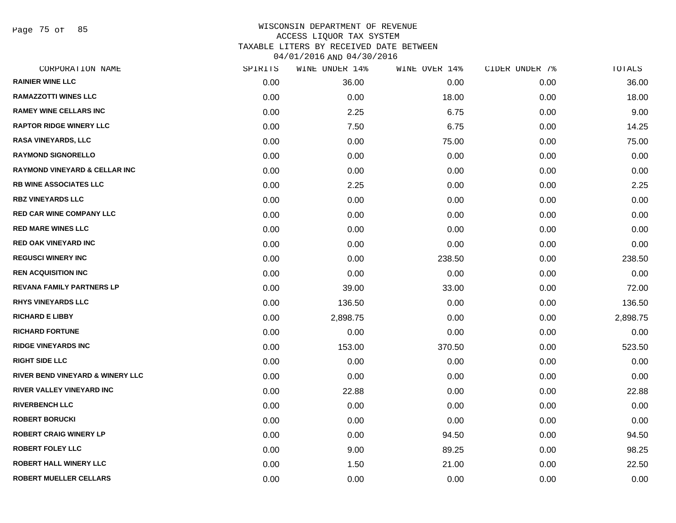Page 75 of 85

| CORPORATION NAME                            | SPIRITS | WINE UNDER 14% | WINE OVER 14% | CIDER UNDER 7% | TOTALS   |
|---------------------------------------------|---------|----------------|---------------|----------------|----------|
| <b>RAINIER WINE LLC</b>                     | 0.00    | 36.00          | 0.00          | 0.00           | 36.00    |
| <b>RAMAZZOTTI WINES LLC</b>                 | 0.00    | 0.00           | 18.00         | 0.00           | 18.00    |
| <b>RAMEY WINE CELLARS INC</b>               | 0.00    | 2.25           | 6.75          | 0.00           | 9.00     |
| <b>RAPTOR RIDGE WINERY LLC</b>              | 0.00    | 7.50           | 6.75          | 0.00           | 14.25    |
| <b>RASA VINEYARDS, LLC</b>                  | 0.00    | 0.00           | 75.00         | 0.00           | 75.00    |
| <b>RAYMOND SIGNORELLO</b>                   | 0.00    | 0.00           | 0.00          | 0.00           | 0.00     |
| <b>RAYMOND VINEYARD &amp; CELLAR INC</b>    | 0.00    | 0.00           | 0.00          | 0.00           | 0.00     |
| <b>RB WINE ASSOCIATES LLC</b>               | 0.00    | 2.25           | 0.00          | 0.00           | 2.25     |
| <b>RBZ VINEYARDS LLC</b>                    | 0.00    | 0.00           | 0.00          | 0.00           | 0.00     |
| <b>RED CAR WINE COMPANY LLC</b>             | 0.00    | 0.00           | 0.00          | 0.00           | 0.00     |
| <b>RED MARE WINES LLC</b>                   | 0.00    | 0.00           | 0.00          | 0.00           | 0.00     |
| <b>RED OAK VINEYARD INC</b>                 | 0.00    | 0.00           | 0.00          | 0.00           | 0.00     |
| <b>REGUSCI WINERY INC</b>                   | 0.00    | 0.00           | 238.50        | 0.00           | 238.50   |
| <b>REN ACQUISITION INC</b>                  | 0.00    | 0.00           | 0.00          | 0.00           | 0.00     |
| <b>REVANA FAMILY PARTNERS LP</b>            | 0.00    | 39.00          | 33.00         | 0.00           | 72.00    |
| <b>RHYS VINEYARDS LLC</b>                   | 0.00    | 136.50         | 0.00          | 0.00           | 136.50   |
| <b>RICHARD E LIBBY</b>                      | 0.00    | 2,898.75       | 0.00          | 0.00           | 2,898.75 |
| <b>RICHARD FORTUNE</b>                      | 0.00    | 0.00           | 0.00          | 0.00           | 0.00     |
| <b>RIDGE VINEYARDS INC</b>                  | 0.00    | 153.00         | 370.50        | 0.00           | 523.50   |
| <b>RIGHT SIDE LLC</b>                       | 0.00    | 0.00           | 0.00          | 0.00           | 0.00     |
| <b>RIVER BEND VINEYARD &amp; WINERY LLC</b> | 0.00    | 0.00           | 0.00          | 0.00           | 0.00     |
| RIVER VALLEY VINEYARD INC                   | 0.00    | 22.88          | 0.00          | 0.00           | 22.88    |
| <b>RIVERBENCH LLC</b>                       | 0.00    | 0.00           | 0.00          | 0.00           | 0.00     |
| <b>ROBERT BORUCKI</b>                       | 0.00    | 0.00           | 0.00          | 0.00           | 0.00     |
| <b>ROBERT CRAIG WINERY LP</b>               | 0.00    | 0.00           | 94.50         | 0.00           | 94.50    |
| <b>ROBERT FOLEY LLC</b>                     | 0.00    | 9.00           | 89.25         | 0.00           | 98.25    |
| <b>ROBERT HALL WINERY LLC</b>               | 0.00    | 1.50           | 21.00         | 0.00           | 22.50    |
| <b>ROBERT MUELLER CELLARS</b>               | 0.00    | 0.00           | 0.00          | 0.00           | 0.00     |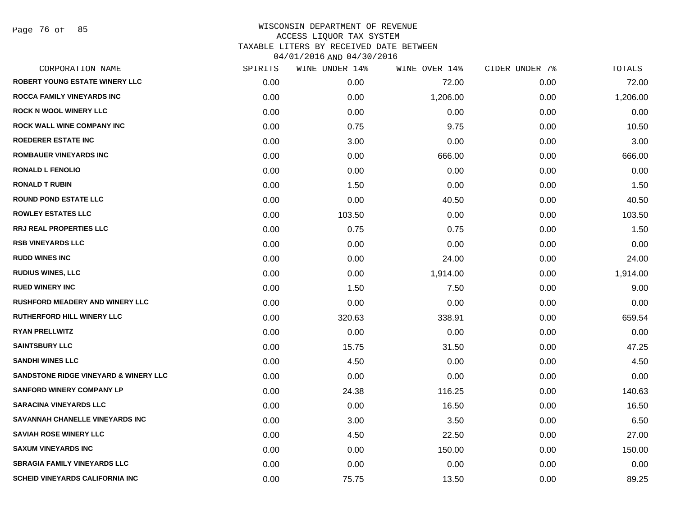Page 76 of 85

| CORPORATION NAME                                 | SPIRITS | WINE UNDER 14% | WINE OVER 14% | CIDER UNDER 7% | TOTALS   |
|--------------------------------------------------|---------|----------------|---------------|----------------|----------|
| ROBERT YOUNG ESTATE WINERY LLC                   | 0.00    | 0.00           | 72.00         | 0.00           | 72.00    |
| <b>ROCCA FAMILY VINEYARDS INC</b>                | 0.00    | 0.00           | 1,206.00      | 0.00           | 1,206.00 |
| <b>ROCK N WOOL WINERY LLC</b>                    | 0.00    | 0.00           | 0.00          | 0.00           | 0.00     |
| <b>ROCK WALL WINE COMPANY INC</b>                | 0.00    | 0.75           | 9.75          | 0.00           | 10.50    |
| <b>ROEDERER ESTATE INC</b>                       | 0.00    | 3.00           | 0.00          | 0.00           | 3.00     |
| <b>ROMBAUER VINEYARDS INC</b>                    | 0.00    | 0.00           | 666.00        | 0.00           | 666.00   |
| <b>RONALD L FENOLIO</b>                          | 0.00    | 0.00           | 0.00          | 0.00           | 0.00     |
| <b>RONALD T RUBIN</b>                            | 0.00    | 1.50           | 0.00          | 0.00           | 1.50     |
| <b>ROUND POND ESTATE LLC</b>                     | 0.00    | 0.00           | 40.50         | 0.00           | 40.50    |
| <b>ROWLEY ESTATES LLC</b>                        | 0.00    | 103.50         | 0.00          | 0.00           | 103.50   |
| <b>RRJ REAL PROPERTIES LLC</b>                   | 0.00    | 0.75           | 0.75          | 0.00           | 1.50     |
| <b>RSB VINEYARDS LLC</b>                         | 0.00    | 0.00           | 0.00          | 0.00           | 0.00     |
| <b>RUDD WINES INC</b>                            | 0.00    | 0.00           | 24.00         | 0.00           | 24.00    |
| <b>RUDIUS WINES, LLC</b>                         | 0.00    | 0.00           | 1,914.00      | 0.00           | 1,914.00 |
| <b>RUED WINERY INC</b>                           | 0.00    | 1.50           | 7.50          | 0.00           | 9.00     |
| RUSHFORD MEADERY AND WINERY LLC                  | 0.00    | 0.00           | 0.00          | 0.00           | 0.00     |
| RUTHERFORD HILL WINERY LLC                       | 0.00    | 320.63         | 338.91        | 0.00           | 659.54   |
| <b>RYAN PRELLWITZ</b>                            | 0.00    | 0.00           | 0.00          | 0.00           | 0.00     |
| <b>SAINTSBURY LLC</b>                            | 0.00    | 15.75          | 31.50         | 0.00           | 47.25    |
| <b>SANDHI WINES LLC</b>                          | 0.00    | 4.50           | 0.00          | 0.00           | 4.50     |
| <b>SANDSTONE RIDGE VINEYARD &amp; WINERY LLC</b> | 0.00    | 0.00           | 0.00          | 0.00           | 0.00     |
| <b>SANFORD WINERY COMPANY LP</b>                 | 0.00    | 24.38          | 116.25        | 0.00           | 140.63   |
| <b>SARACINA VINEYARDS LLC</b>                    | 0.00    | 0.00           | 16.50         | 0.00           | 16.50    |
| <b>SAVANNAH CHANELLE VINEYARDS INC</b>           | 0.00    | 3.00           | 3.50          | 0.00           | 6.50     |
| <b>SAVIAH ROSE WINERY LLC</b>                    | 0.00    | 4.50           | 22.50         | 0.00           | 27.00    |
| <b>SAXUM VINEYARDS INC</b>                       | 0.00    | 0.00           | 150.00        | 0.00           | 150.00   |
| <b>SBRAGIA FAMILY VINEYARDS LLC</b>              | 0.00    | 0.00           | 0.00          | 0.00           | 0.00     |
| SCHEID VINEYARDS CALIFORNIA INC                  | 0.00    | 75.75          | 13.50         | 0.00           | 89.25    |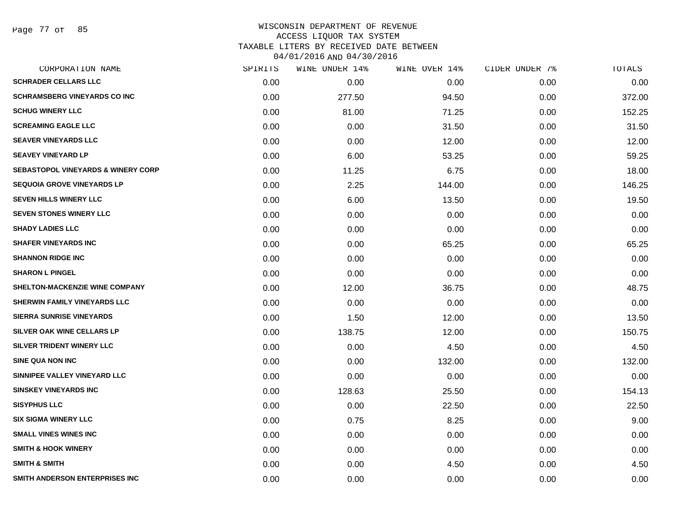Page 77 of 85

| SPIRITS | WINE UNDER 14% | WINE OVER 14% | CIDER UNDER 7% | TOTALS |
|---------|----------------|---------------|----------------|--------|
| 0.00    | 0.00           | 0.00          | 0.00           | 0.00   |
| 0.00    | 277.50         | 94.50         | 0.00           | 372.00 |
| 0.00    | 81.00          | 71.25         | 0.00           | 152.25 |
| 0.00    | 0.00           | 31.50         | 0.00           | 31.50  |
| 0.00    | 0.00           | 12.00         | 0.00           | 12.00  |
| 0.00    | 6.00           | 53.25         | 0.00           | 59.25  |
| 0.00    | 11.25          | 6.75          | 0.00           | 18.00  |
| 0.00    | 2.25           | 144.00        | 0.00           | 146.25 |
| 0.00    | 6.00           | 13.50         | 0.00           | 19.50  |
| 0.00    | 0.00           | 0.00          | 0.00           | 0.00   |
| 0.00    | 0.00           | 0.00          | 0.00           | 0.00   |
| 0.00    | 0.00           | 65.25         | 0.00           | 65.25  |
| 0.00    | 0.00           | 0.00          | 0.00           | 0.00   |
| 0.00    | 0.00           | 0.00          | 0.00           | 0.00   |
| 0.00    | 12.00          | 36.75         | 0.00           | 48.75  |
| 0.00    | 0.00           | 0.00          | 0.00           | 0.00   |
| 0.00    | 1.50           | 12.00         | 0.00           | 13.50  |
| 0.00    | 138.75         | 12.00         | 0.00           | 150.75 |
| 0.00    | 0.00           | 4.50          | 0.00           | 4.50   |
| 0.00    | 0.00           | 132.00        | 0.00           | 132.00 |
| 0.00    | 0.00           | 0.00          | 0.00           | 0.00   |
| 0.00    | 128.63         | 25.50         | 0.00           | 154.13 |
| 0.00    | 0.00           | 22.50         | 0.00           | 22.50  |
| 0.00    | 0.75           | 8.25          | 0.00           | 9.00   |
| 0.00    | 0.00           | 0.00          | 0.00           | 0.00   |
| 0.00    | 0.00           | 0.00          | 0.00           | 0.00   |
| 0.00    | 0.00           | 4.50          | 0.00           | 4.50   |
| 0.00    | 0.00           | 0.00          | 0.00           | 0.00   |
|         |                |               |                |        |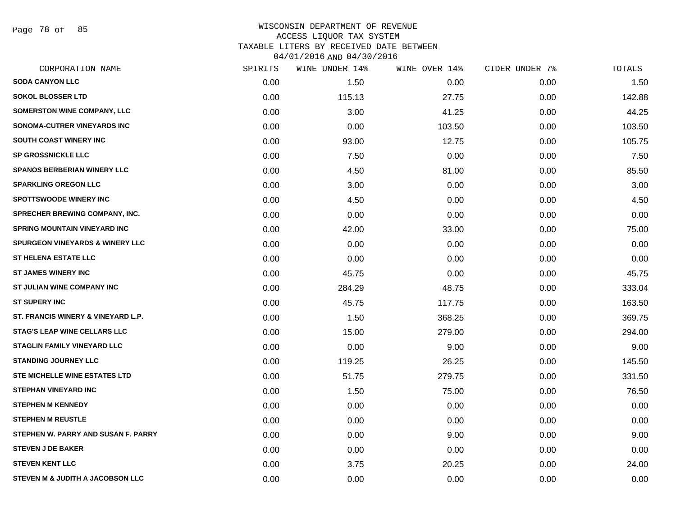Page 78 of 85

| <b>SODA CANYON LLC</b><br><b>SOKOL BLOSSER LTD</b><br>SOMERSTON WINE COMPANY, LLC<br>SONOMA-CUTRER VINEYARDS INC<br>SOUTH COAST WINERY INC | 0.00<br>0.00<br>0.00<br>0.00<br>0.00<br>0.00<br>0.00<br>0.00<br>0.00 | 1.50<br>115.13<br>3.00<br>0.00<br>93.00<br>7.50<br>4.50<br>3.00 | 0.00<br>27.75<br>41.25<br>103.50<br>12.75<br>0.00<br>81.00<br>0.00 | 0.00<br>0.00<br>0.00<br>0.00<br>0.00<br>0.00<br>0.00<br>0.00 | 1.50<br>142.88<br>44.25<br>103.50<br>105.75<br>7.50<br>85.50 |
|--------------------------------------------------------------------------------------------------------------------------------------------|----------------------------------------------------------------------|-----------------------------------------------------------------|--------------------------------------------------------------------|--------------------------------------------------------------|--------------------------------------------------------------|
|                                                                                                                                            |                                                                      |                                                                 |                                                                    |                                                              |                                                              |
|                                                                                                                                            |                                                                      |                                                                 |                                                                    |                                                              |                                                              |
|                                                                                                                                            |                                                                      |                                                                 |                                                                    |                                                              |                                                              |
|                                                                                                                                            |                                                                      |                                                                 |                                                                    |                                                              |                                                              |
|                                                                                                                                            |                                                                      |                                                                 |                                                                    |                                                              |                                                              |
| <b>SP GROSSNICKLE LLC</b>                                                                                                                  |                                                                      |                                                                 |                                                                    |                                                              |                                                              |
| <b>SPANOS BERBERIAN WINERY LLC</b>                                                                                                         |                                                                      |                                                                 |                                                                    |                                                              |                                                              |
| <b>SPARKLING OREGON LLC</b>                                                                                                                |                                                                      |                                                                 |                                                                    |                                                              | 3.00                                                         |
| <b>SPOTTSWOODE WINERY INC</b>                                                                                                              |                                                                      | 4.50                                                            | 0.00                                                               | 0.00                                                         | 4.50                                                         |
| <b>SPRECHER BREWING COMPANY, INC.</b>                                                                                                      | 0.00                                                                 | 0.00                                                            | 0.00                                                               | 0.00                                                         | 0.00                                                         |
| <b>SPRING MOUNTAIN VINEYARD INC</b>                                                                                                        | 0.00                                                                 | 42.00                                                           | 33.00                                                              | 0.00                                                         | 75.00                                                        |
| <b>SPURGEON VINEYARDS &amp; WINERY LLC</b>                                                                                                 | 0.00                                                                 | 0.00                                                            | 0.00                                                               | 0.00                                                         | 0.00                                                         |
| <b>ST HELENA ESTATE LLC</b>                                                                                                                | 0.00                                                                 | 0.00                                                            | 0.00                                                               | 0.00                                                         | 0.00                                                         |
| <b>ST JAMES WINERY INC</b>                                                                                                                 | 0.00                                                                 | 45.75                                                           | 0.00                                                               | 0.00                                                         | 45.75                                                        |
| <b>ST JULIAN WINE COMPANY INC</b>                                                                                                          | 0.00                                                                 | 284.29                                                          | 48.75                                                              | 0.00                                                         | 333.04                                                       |
| <b>ST SUPERY INC</b>                                                                                                                       | 0.00                                                                 | 45.75                                                           | 117.75                                                             | 0.00                                                         | 163.50                                                       |
| ST. FRANCIS WINERY & VINEYARD L.P.                                                                                                         | 0.00                                                                 | 1.50                                                            | 368.25                                                             | 0.00                                                         | 369.75                                                       |
| <b>STAG'S LEAP WINE CELLARS LLC</b>                                                                                                        | 0.00                                                                 | 15.00                                                           | 279.00                                                             | 0.00                                                         | 294.00                                                       |
| <b>STAGLIN FAMILY VINEYARD LLC</b>                                                                                                         | 0.00                                                                 | 0.00                                                            | 9.00                                                               | 0.00                                                         | 9.00                                                         |
| <b>STANDING JOURNEY LLC</b>                                                                                                                | 0.00                                                                 | 119.25                                                          | 26.25                                                              | 0.00                                                         | 145.50                                                       |
| STE MICHELLE WINE ESTATES LTD                                                                                                              | 0.00                                                                 | 51.75                                                           | 279.75                                                             | 0.00                                                         | 331.50                                                       |
| <b>STEPHAN VINEYARD INC</b>                                                                                                                | 0.00                                                                 | 1.50                                                            | 75.00                                                              | 0.00                                                         | 76.50                                                        |
| <b>STEPHEN M KENNEDY</b>                                                                                                                   | 0.00                                                                 | 0.00                                                            | 0.00                                                               | 0.00                                                         | 0.00                                                         |
| <b>STEPHEN M REUSTLE</b>                                                                                                                   | 0.00                                                                 | 0.00                                                            | 0.00                                                               | 0.00                                                         | 0.00                                                         |
| STEPHEN W. PARRY AND SUSAN F. PARRY                                                                                                        | 0.00                                                                 | 0.00                                                            | 9.00                                                               | 0.00                                                         | 9.00                                                         |
| <b>STEVEN J DE BAKER</b>                                                                                                                   | 0.00                                                                 | 0.00                                                            | 0.00                                                               | 0.00                                                         | 0.00                                                         |
| <b>STEVEN KENT LLC</b>                                                                                                                     | 0.00                                                                 | 3.75                                                            | 20.25                                                              | 0.00                                                         | 24.00                                                        |
| STEVEN M & JUDITH A JACOBSON LLC                                                                                                           | 0.00                                                                 | 0.00                                                            | 0.00                                                               | 0.00                                                         | 0.00                                                         |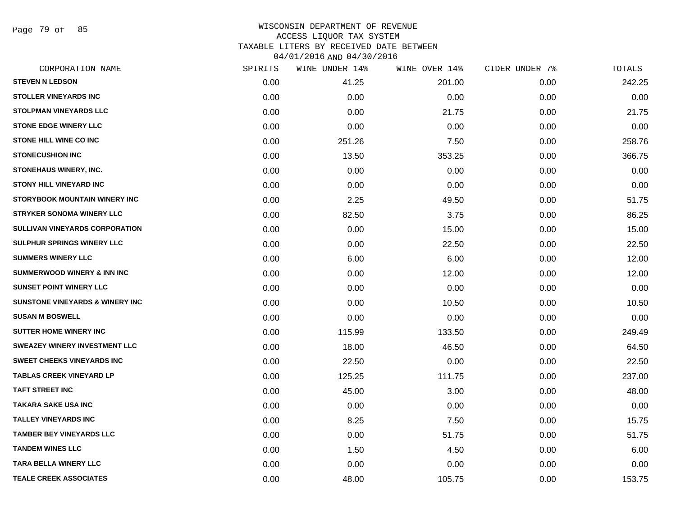Page 79 of 85

| CORPORATION NAME                           | SPIRITS | WINE UNDER 14% | WINE OVER 14% | CIDER UNDER 7% | TOTALS |
|--------------------------------------------|---------|----------------|---------------|----------------|--------|
| <b>STEVEN N LEDSON</b>                     | 0.00    | 41.25          | 201.00        | 0.00           | 242.25 |
| <b>STOLLER VINEYARDS INC</b>               | 0.00    | 0.00           | 0.00          | 0.00           | 0.00   |
| <b>STOLPMAN VINEYARDS LLC</b>              | 0.00    | 0.00           | 21.75         | 0.00           | 21.75  |
| <b>STONE EDGE WINERY LLC</b>               | 0.00    | 0.00           | 0.00          | 0.00           | 0.00   |
| STONE HILL WINE CO INC                     | 0.00    | 251.26         | 7.50          | 0.00           | 258.76 |
| <b>STONECUSHION INC</b>                    | 0.00    | 13.50          | 353.25        | 0.00           | 366.75 |
| STONEHAUS WINERY, INC.                     | 0.00    | 0.00           | 0.00          | 0.00           | 0.00   |
| <b>STONY HILL VINEYARD INC</b>             | 0.00    | 0.00           | 0.00          | 0.00           | 0.00   |
| <b>STORYBOOK MOUNTAIN WINERY INC</b>       | 0.00    | 2.25           | 49.50         | 0.00           | 51.75  |
| <b>STRYKER SONOMA WINERY LLC</b>           | 0.00    | 82.50          | 3.75          | 0.00           | 86.25  |
| <b>SULLIVAN VINEYARDS CORPORATION</b>      | 0.00    | 0.00           | 15.00         | 0.00           | 15.00  |
| SULPHUR SPRINGS WINERY LLC                 | 0.00    | 0.00           | 22.50         | 0.00           | 22.50  |
| <b>SUMMERS WINERY LLC</b>                  | 0.00    | 6.00           | 6.00          | 0.00           | 12.00  |
| <b>SUMMERWOOD WINERY &amp; INN INC</b>     | 0.00    | 0.00           | 12.00         | 0.00           | 12.00  |
| <b>SUNSET POINT WINERY LLC</b>             | 0.00    | 0.00           | 0.00          | 0.00           | 0.00   |
| <b>SUNSTONE VINEYARDS &amp; WINERY INC</b> | 0.00    | 0.00           | 10.50         | 0.00           | 10.50  |
| <b>SUSAN M BOSWELL</b>                     | 0.00    | 0.00           | 0.00          | 0.00           | 0.00   |
| <b>SUTTER HOME WINERY INC</b>              | 0.00    | 115.99         | 133.50        | 0.00           | 249.49 |
| <b>SWEAZEY WINERY INVESTMENT LLC</b>       | 0.00    | 18.00          | 46.50         | 0.00           | 64.50  |
| <b>SWEET CHEEKS VINEYARDS INC</b>          | 0.00    | 22.50          | 0.00          | 0.00           | 22.50  |
| <b>TABLAS CREEK VINEYARD LP</b>            | 0.00    | 125.25         | 111.75        | 0.00           | 237.00 |
| <b>TAFT STREET INC</b>                     | 0.00    | 45.00          | 3.00          | 0.00           | 48.00  |
| <b>TAKARA SAKE USA INC</b>                 | 0.00    | 0.00           | 0.00          | 0.00           | 0.00   |
| <b>TALLEY VINEYARDS INC</b>                | 0.00    | 8.25           | 7.50          | 0.00           | 15.75  |
| <b>TAMBER BEY VINEYARDS LLC</b>            | 0.00    | 0.00           | 51.75         | 0.00           | 51.75  |
| <b>TANDEM WINES LLC</b>                    | 0.00    | 1.50           | 4.50          | 0.00           | 6.00   |
| TARA BELLA WINERY LLC                      | 0.00    | 0.00           | 0.00          | 0.00           | 0.00   |
| <b>TEALE CREEK ASSOCIATES</b>              | 0.00    | 48.00          | 105.75        | 0.00           | 153.75 |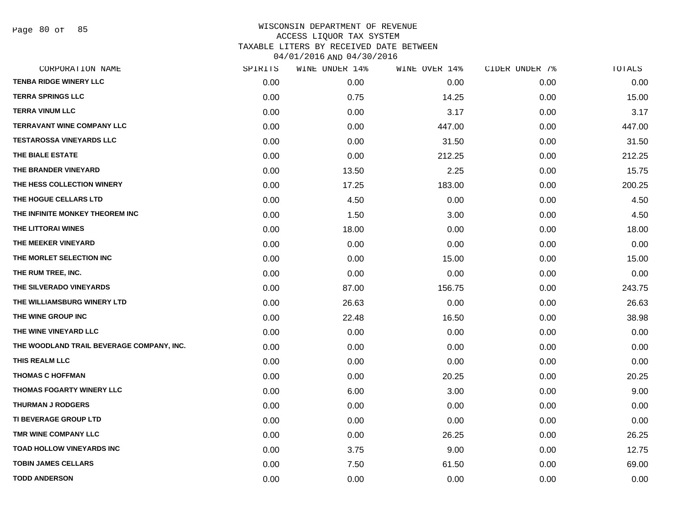Page 80 of 85

|      | WINE UNDER 14% | WINE OVER 14% |      | TOTALS         |
|------|----------------|---------------|------|----------------|
| 0.00 | 0.00           | 0.00          | 0.00 | 0.00           |
| 0.00 | 0.75           | 14.25         | 0.00 | 15.00          |
| 0.00 | 0.00           | 3.17          | 0.00 | 3.17           |
| 0.00 | 0.00           | 447.00        | 0.00 | 447.00         |
| 0.00 | 0.00           | 31.50         | 0.00 | 31.50          |
| 0.00 | 0.00           | 212.25        | 0.00 | 212.25         |
| 0.00 | 13.50          | 2.25          | 0.00 | 15.75          |
| 0.00 | 17.25          | 183.00        | 0.00 | 200.25         |
| 0.00 | 4.50           | 0.00          | 0.00 | 4.50           |
| 0.00 | 1.50           | 3.00          | 0.00 | 4.50           |
| 0.00 | 18.00          | 0.00          | 0.00 | 18.00          |
| 0.00 | 0.00           | 0.00          | 0.00 | 0.00           |
| 0.00 | 0.00           | 15.00         | 0.00 | 15.00          |
| 0.00 | 0.00           | 0.00          | 0.00 | 0.00           |
| 0.00 | 87.00          | 156.75        | 0.00 | 243.75         |
| 0.00 | 26.63          | 0.00          | 0.00 | 26.63          |
| 0.00 | 22.48          | 16.50         | 0.00 | 38.98          |
| 0.00 | 0.00           | 0.00          | 0.00 | 0.00           |
| 0.00 | 0.00           | 0.00          | 0.00 | 0.00           |
| 0.00 | 0.00           | 0.00          | 0.00 | 0.00           |
| 0.00 | 0.00           | 20.25         | 0.00 | 20.25          |
| 0.00 | 6.00           | 3.00          | 0.00 | 9.00           |
| 0.00 | 0.00           | 0.00          | 0.00 | 0.00           |
| 0.00 | 0.00           | 0.00          | 0.00 | 0.00           |
| 0.00 | 0.00           | 26.25         | 0.00 | 26.25          |
| 0.00 | 3.75           | 9.00          | 0.00 | 12.75          |
| 0.00 | 7.50           | 61.50         | 0.00 | 69.00          |
| 0.00 | 0.00           | 0.00          | 0.00 | 0.00           |
|      | SPIRITS        |               |      | CIDER UNDER 7% |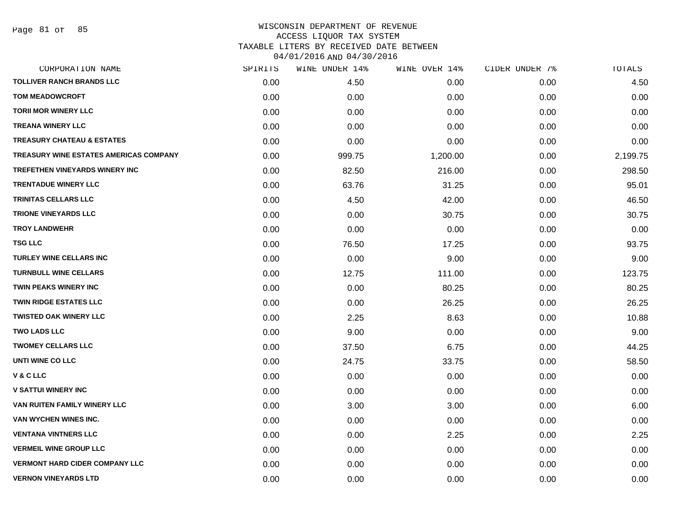| CORPORATION NAME                       | SPIRITS | WINE UNDER 14% | WINE OVER 14% | CIDER UNDER 7% | TOTALS   |
|----------------------------------------|---------|----------------|---------------|----------------|----------|
| <b>TOLLIVER RANCH BRANDS LLC</b>       | 0.00    | 4.50           | 0.00          | 0.00           | 4.50     |
| <b>TOM MEADOWCROFT</b>                 | 0.00    | 0.00           | 0.00          | 0.00           | 0.00     |
| <b>TORII MOR WINERY LLC</b>            | 0.00    | 0.00           | 0.00          | 0.00           | 0.00     |
| <b>TREANA WINERY LLC</b>               | 0.00    | 0.00           | 0.00          | 0.00           | 0.00     |
| <b>TREASURY CHATEAU &amp; ESTATES</b>  | 0.00    | 0.00           | 0.00          | 0.00           | 0.00     |
| TREASURY WINE ESTATES AMERICAS COMPANY | 0.00    | 999.75         | 1,200.00      | 0.00           | 2,199.75 |
| <b>TREFETHEN VINEYARDS WINERY INC</b>  | 0.00    | 82.50          | 216.00        | 0.00           | 298.50   |
| <b>TRENTADUE WINERY LLC</b>            | 0.00    | 63.76          | 31.25         | 0.00           | 95.01    |
| <b>TRINITAS CELLARS LLC</b>            | 0.00    | 4.50           | 42.00         | 0.00           | 46.50    |
| <b>TRIONE VINEYARDS LLC</b>            | 0.00    | 0.00           | 30.75         | 0.00           | 30.75    |
| <b>TROY LANDWEHR</b>                   | 0.00    | 0.00           | 0.00          | 0.00           | 0.00     |
| <b>TSG LLC</b>                         | 0.00    | 76.50          | 17.25         | 0.00           | 93.75    |
| <b>TURLEY WINE CELLARS INC</b>         | 0.00    | 0.00           | 9.00          | 0.00           | 9.00     |
| <b>TURNBULL WINE CELLARS</b>           | 0.00    | 12.75          | 111.00        | 0.00           | 123.75   |
| <b>TWIN PEAKS WINERY INC</b>           | 0.00    | 0.00           | 80.25         | 0.00           | 80.25    |
| <b>TWIN RIDGE ESTATES LLC</b>          | 0.00    | 0.00           | 26.25         | 0.00           | 26.25    |
| <b>TWISTED OAK WINERY LLC</b>          | 0.00    | 2.25           | 8.63          | 0.00           | 10.88    |
| <b>TWO LADS LLC</b>                    | 0.00    | 9.00           | 0.00          | 0.00           | 9.00     |
| <b>TWOMEY CELLARS LLC</b>              | 0.00    | 37.50          | 6.75          | 0.00           | 44.25    |
| UNTI WINE CO LLC                       | 0.00    | 24.75          | 33.75         | 0.00           | 58.50    |
| V & C LLC                              | 0.00    | 0.00           | 0.00          | 0.00           | 0.00     |
| <b>V SATTUI WINERY INC</b>             | 0.00    | 0.00           | 0.00          | 0.00           | 0.00     |
| VAN RUITEN FAMILY WINERY LLC           | 0.00    | 3.00           | 3.00          | 0.00           | 6.00     |
| VAN WYCHEN WINES INC.                  | 0.00    | 0.00           | 0.00          | 0.00           | 0.00     |
| <b>VENTANA VINTNERS LLC</b>            | 0.00    | 0.00           | 2.25          | 0.00           | 2.25     |
| <b>VERMEIL WINE GROUP LLC</b>          | 0.00    | 0.00           | 0.00          | 0.00           | 0.00     |
| <b>VERMONT HARD CIDER COMPANY LLC</b>  | 0.00    | 0.00           | 0.00          | 0.00           | 0.00     |
| <b>VERNON VINEYARDS LTD</b>            | 0.00    | 0.00           | 0.00          | 0.00           | 0.00     |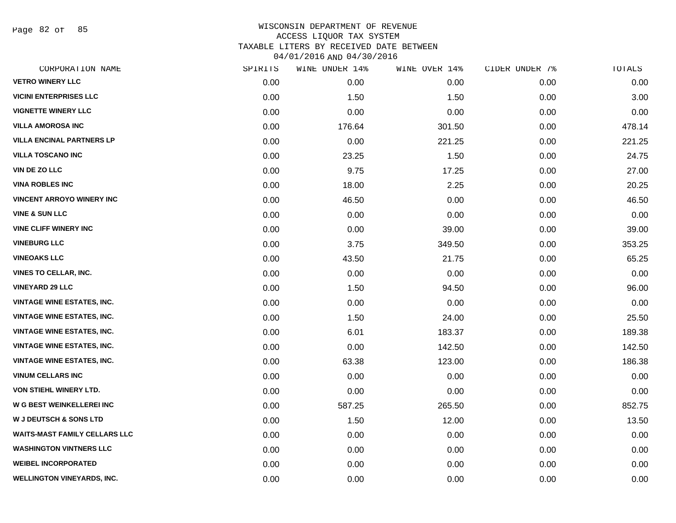Page 82 of 85

| CORPORATION NAME                     | SPIRITS | WINE UNDER 14% | WINE OVER 14% | CIDER UNDER 7% | TOTALS |
|--------------------------------------|---------|----------------|---------------|----------------|--------|
| <b>VETRO WINERY LLC</b>              | 0.00    | 0.00           | 0.00          | 0.00           | 0.00   |
| <b>VICINI ENTERPRISES LLC</b>        | 0.00    | 1.50           | 1.50          | 0.00           | 3.00   |
| <b>VIGNETTE WINERY LLC</b>           | 0.00    | 0.00           | 0.00          | 0.00           | 0.00   |
| <b>VILLA AMOROSA INC</b>             | 0.00    | 176.64         | 301.50        | 0.00           | 478.14 |
| <b>VILLA ENCINAL PARTNERS LP</b>     | 0.00    | 0.00           | 221.25        | 0.00           | 221.25 |
| <b>VILLA TOSCANO INC</b>             | 0.00    | 23.25          | 1.50          | 0.00           | 24.75  |
| <b>VIN DE ZO LLC</b>                 | 0.00    | 9.75           | 17.25         | 0.00           | 27.00  |
| <b>VINA ROBLES INC</b>               | 0.00    | 18.00          | 2.25          | 0.00           | 20.25  |
| <b>VINCENT ARROYO WINERY INC</b>     | 0.00    | 46.50          | 0.00          | 0.00           | 46.50  |
| <b>VINE &amp; SUN LLC</b>            | 0.00    | 0.00           | 0.00          | 0.00           | 0.00   |
| <b>VINE CLIFF WINERY INC</b>         | 0.00    | 0.00           | 39.00         | 0.00           | 39.00  |
| <b>VINEBURG LLC</b>                  | 0.00    | 3.75           | 349.50        | 0.00           | 353.25 |
| <b>VINEOAKS LLC</b>                  | 0.00    | 43.50          | 21.75         | 0.00           | 65.25  |
| <b>VINES TO CELLAR, INC.</b>         | 0.00    | 0.00           | 0.00          | 0.00           | 0.00   |
| <b>VINEYARD 29 LLC</b>               | 0.00    | 1.50           | 94.50         | 0.00           | 96.00  |
| <b>VINTAGE WINE ESTATES, INC.</b>    | 0.00    | 0.00           | 0.00          | 0.00           | 0.00   |
| <b>VINTAGE WINE ESTATES, INC.</b>    | 0.00    | 1.50           | 24.00         | 0.00           | 25.50  |
| <b>VINTAGE WINE ESTATES, INC.</b>    | 0.00    | 6.01           | 183.37        | 0.00           | 189.38 |
| <b>VINTAGE WINE ESTATES, INC.</b>    | 0.00    | 0.00           | 142.50        | 0.00           | 142.50 |
| <b>VINTAGE WINE ESTATES, INC.</b>    | 0.00    | 63.38          | 123.00        | 0.00           | 186.38 |
| <b>VINUM CELLARS INC</b>             | 0.00    | 0.00           | 0.00          | 0.00           | 0.00   |
| VON STIEHL WINERY LTD.               | 0.00    | 0.00           | 0.00          | 0.00           | 0.00   |
| W G BEST WEINKELLEREI INC            | 0.00    | 587.25         | 265.50        | 0.00           | 852.75 |
| <b>W J DEUTSCH &amp; SONS LTD</b>    | 0.00    | 1.50           | 12.00         | 0.00           | 13.50  |
| <b>WAITS-MAST FAMILY CELLARS LLC</b> | 0.00    | 0.00           | 0.00          | 0.00           | 0.00   |
| <b>WASHINGTON VINTNERS LLC</b>       | 0.00    | 0.00           | 0.00          | 0.00           | 0.00   |
| <b>WEIBEL INCORPORATED</b>           | 0.00    | 0.00           | 0.00          | 0.00           | 0.00   |
| <b>WELLINGTON VINEYARDS, INC.</b>    | 0.00    | 0.00           | 0.00          | 0.00           | 0.00   |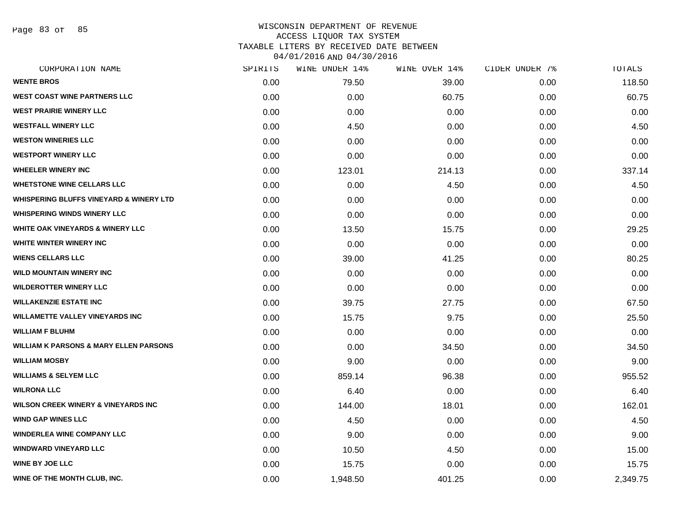Page 83 of 85

| CORPORATION NAME                                   | SPIRITS | WINE UNDER 14% | WINE OVER 14% | CIDER UNDER 7% | TOTALS   |
|----------------------------------------------------|---------|----------------|---------------|----------------|----------|
| <b>WENTE BROS</b>                                  | 0.00    | 79.50          | 39.00         | 0.00           | 118.50   |
| <b>WEST COAST WINE PARTNERS LLC</b>                | 0.00    | 0.00           | 60.75         | 0.00           | 60.75    |
| <b>WEST PRAIRIE WINERY LLC</b>                     | 0.00    | 0.00           | 0.00          | 0.00           | 0.00     |
| <b>WESTFALL WINERY LLC</b>                         | 0.00    | 4.50           | 0.00          | 0.00           | 4.50     |
| <b>WESTON WINERIES LLC</b>                         | 0.00    | 0.00           | 0.00          | 0.00           | 0.00     |
| <b>WESTPORT WINERY LLC</b>                         | 0.00    | 0.00           | 0.00          | 0.00           | 0.00     |
| <b>WHEELER WINERY INC</b>                          | 0.00    | 123.01         | 214.13        | 0.00           | 337.14   |
| <b>WHETSTONE WINE CELLARS LLC</b>                  | 0.00    | 0.00           | 4.50          | 0.00           | 4.50     |
| <b>WHISPERING BLUFFS VINEYARD &amp; WINERY LTD</b> | 0.00    | 0.00           | 0.00          | 0.00           | 0.00     |
| <b>WHISPERING WINDS WINERY LLC</b>                 | 0.00    | 0.00           | 0.00          | 0.00           | 0.00     |
| <b>WHITE OAK VINEYARDS &amp; WINERY LLC</b>        | 0.00    | 13.50          | 15.75         | 0.00           | 29.25    |
| WHITE WINTER WINERY INC                            | 0.00    | 0.00           | 0.00          | 0.00           | 0.00     |
| <b>WIENS CELLARS LLC</b>                           | 0.00    | 39.00          | 41.25         | 0.00           | 80.25    |
| <b>WILD MOUNTAIN WINERY INC</b>                    | 0.00    | 0.00           | 0.00          | 0.00           | 0.00     |
| <b>WILDEROTTER WINERY LLC</b>                      | 0.00    | 0.00           | 0.00          | 0.00           | 0.00     |
| <b>WILLAKENZIE ESTATE INC</b>                      | 0.00    | 39.75          | 27.75         | 0.00           | 67.50    |
| <b>WILLAMETTE VALLEY VINEYARDS INC</b>             | 0.00    | 15.75          | 9.75          | 0.00           | 25.50    |
| <b>WILLIAM F BLUHM</b>                             | 0.00    | 0.00           | 0.00          | 0.00           | 0.00     |
| <b>WILLIAM K PARSONS &amp; MARY ELLEN PARSONS</b>  | 0.00    | 0.00           | 34.50         | 0.00           | 34.50    |
| <b>WILLIAM MOSBY</b>                               | 0.00    | 9.00           | 0.00          | 0.00           | 9.00     |
| <b>WILLIAMS &amp; SELYEM LLC</b>                   | 0.00    | 859.14         | 96.38         | 0.00           | 955.52   |
| <b>WILRONA LLC</b>                                 | 0.00    | 6.40           | 0.00          | 0.00           | 6.40     |
| <b>WILSON CREEK WINERY &amp; VINEYARDS INC</b>     | 0.00    | 144.00         | 18.01         | 0.00           | 162.01   |
| <b>WIND GAP WINES LLC</b>                          | 0.00    | 4.50           | 0.00          | 0.00           | 4.50     |
| <b>WINDERLEA WINE COMPANY LLC</b>                  | 0.00    | 9.00           | 0.00          | 0.00           | 9.00     |
| <b>WINDWARD VINEYARD LLC</b>                       | 0.00    | 10.50          | 4.50          | 0.00           | 15.00    |
| <b>WINE BY JOE LLC</b>                             | 0.00    | 15.75          | 0.00          | 0.00           | 15.75    |
| WINE OF THE MONTH CLUB, INC.                       | 0.00    | 1,948.50       | 401.25        | 0.00           | 2,349.75 |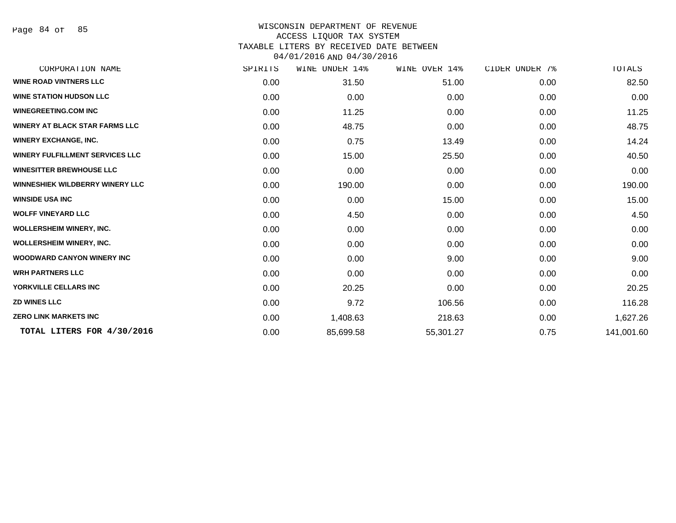Page 84 of 85

| CORPORATION NAME                       | SPIRITS | <b>WINE UNDER 14%</b> | WINE OVER 14% | CIDER UNDER 7% | TOTALS     |
|----------------------------------------|---------|-----------------------|---------------|----------------|------------|
| <b>WINE ROAD VINTNERS LLC</b>          | 0.00    | 31.50                 | 51.00         | 0.00           | 82.50      |
| <b>WINE STATION HUDSON LLC</b>         | 0.00    | 0.00                  | 0.00          | 0.00           | 0.00       |
| <b>WINEGREETING.COM INC</b>            | 0.00    | 11.25                 | 0.00          | 0.00           | 11.25      |
| <b>WINERY AT BLACK STAR FARMS LLC</b>  | 0.00    | 48.75                 | 0.00          | 0.00           | 48.75      |
| <b>WINERY EXCHANGE, INC.</b>           | 0.00    | 0.75                  | 13.49         | 0.00           | 14.24      |
| <b>WINERY FULFILLMENT SERVICES LLC</b> | 0.00    | 15.00                 | 25.50         | 0.00           | 40.50      |
| <b>WINESITTER BREWHOUSE LLC</b>        | 0.00    | 0.00                  | 0.00          | 0.00           | 0.00       |
| <b>WINNESHIEK WILDBERRY WINERY LLC</b> | 0.00    | 190.00                | 0.00          | 0.00           | 190.00     |
| <b>WINSIDE USA INC</b>                 | 0.00    | 0.00                  | 15.00         | 0.00           | 15.00      |
| <b>WOLFF VINEYARD LLC</b>              | 0.00    | 4.50                  | 0.00          | 0.00           | 4.50       |
| <b>WOLLERSHEIM WINERY, INC.</b>        | 0.00    | 0.00                  | 0.00          | 0.00           | 0.00       |
| <b>WOLLERSHEIM WINERY, INC.</b>        | 0.00    | 0.00                  | 0.00          | 0.00           | 0.00       |
| <b>WOODWARD CANYON WINERY INC</b>      | 0.00    | 0.00                  | 9.00          | 0.00           | 9.00       |
| <b>WRH PARTNERS LLC</b>                | 0.00    | 0.00                  | 0.00          | 0.00           | 0.00       |
| YORKVILLE CELLARS INC                  | 0.00    | 20.25                 | 0.00          | 0.00           | 20.25      |
| <b>ZD WINES LLC</b>                    | 0.00    | 9.72                  | 106.56        | 0.00           | 116.28     |
| <b>ZERO LINK MARKETS INC</b>           | 0.00    | 1,408.63              | 218.63        | 0.00           | 1,627.26   |
| TOTAL LITERS FOR 4/30/2016             | 0.00    | 85,699.58             | 55,301.27     | 0.75           | 141,001.60 |